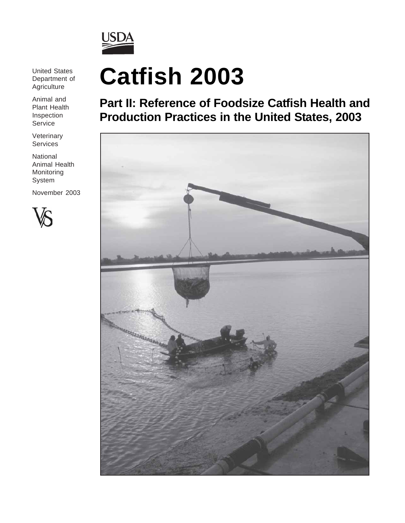

United States Department of **Agriculture** 

Animal and Plant Health Inspection Service

Veterinary Services

National Animal Health Monitoring System

November 2003



# **Catfish 2003**

**Part II: Reference of Foodsize Catfish Health and Production Practices in the United States, 2003**

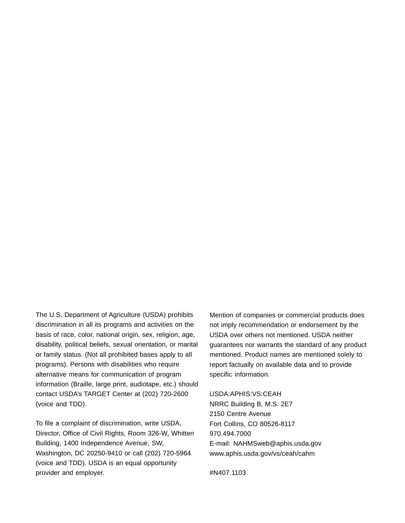The U.S. Department of Agriculture (USDA) prohibits discrimination in all its programs and activities on the basis of race, color, national origin, sex, religion, age, disability, political beliefs, sexual orientation, or marital or family status. (Not all prohibited bases apply to all programs). Persons with disabilities who require alternative means for communication of program information (Braille, large print, audiotape, etc.) should contact USDA's TARGET Center at (202) 720-2600 (voice and TDD).

To file a complaint of discrimination, write USDA, Director, Office of Civil Rights, Room 326-W, Whitten Building, 1400 Independence Avenue, SW, Washington, DC 20250-9410 or call (202) 720-5964 (voice and TDD). USDA is an equal opportunity provider and employer.

Mention of companies or commercial products does not imply recommendation or endorsement by the USDA over others not mentioned. USDA neither guarantees nor warrants the standard of any product mentioned. Product names are mentioned solely to report factually on available data and to provide specific information.

USDA:APHIS:VS:CEAH NRRC Building B, M.S. 2E7 2150 Centre Avenue Fort Collins, CO 80526-8117 970.494.7000 E-mail: NAHMSweb@aphis.usda.gov www.aphis.usda.gov/vs/ceah/cahm

#N407.1103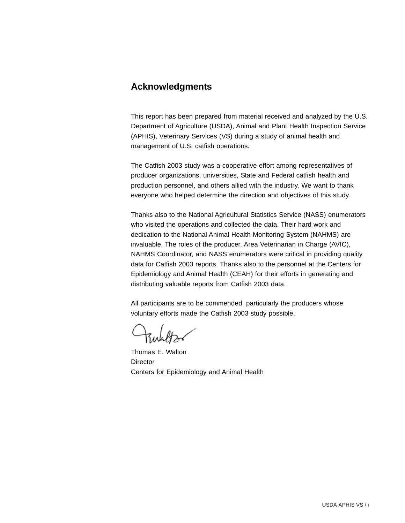# **Acknowledgments**

This report has been prepared from material received and analyzed by the U.S. Department of Agriculture (USDA), Animal and Plant Health Inspection Service (APHIS), Veterinary Services (VS) during a study of animal health and management of U.S. catfish operations.

The Catfish 2003 study was a cooperative effort among representatives of producer organizations, universities, State and Federal catfish health and production personnel, and others allied with the industry. We want to thank everyone who helped determine the direction and objectives of this study.

Thanks also to the National Agricultural Statistics Service (NASS) enumerators who visited the operations and collected the data. Their hard work and dedication to the National Animal Health Monitoring System (NAHMS) are invaluable. The roles of the producer, Area Veterinarian in Charge (AVIC), NAHMS Coordinator, and NASS enumerators were critical in providing quality data for Catfish 2003 reports. Thanks also to the personnel at the Centers for Epidemiology and Animal Health (CEAH) for their efforts in generating and distributing valuable reports from Catfish 2003 data.

All participants are to be commended, particularly the producers whose voluntary efforts made the Catfish 2003 study possible.

Thomas E. Walton **Director** Centers for Epidemiology and Animal Health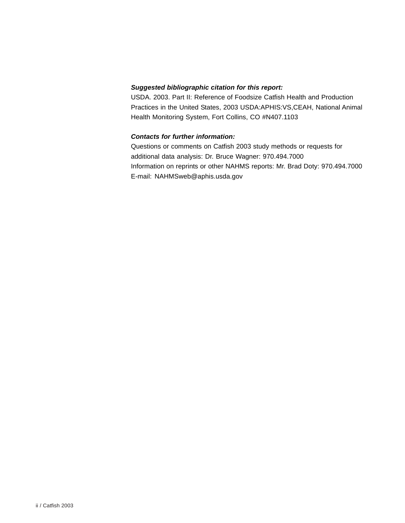## *Suggested bibliographic citation for this report:*

USDA. 2003. Part II: Reference of Foodsize Catfish Health and Production Practices in the United States, 2003 USDA:APHIS:VS,CEAH, National Animal Health Monitoring System, Fort Collins, CO #N407.1103

## *Contacts for further information:*

Questions or comments on Catfish 2003 study methods or requests for additional data analysis: Dr. Bruce Wagner: 970.494.7000 Information on reprints or other NAHMS reports: Mr. Brad Doty: 970.494.7000 E-mail: NAHMSweb@aphis.usda.gov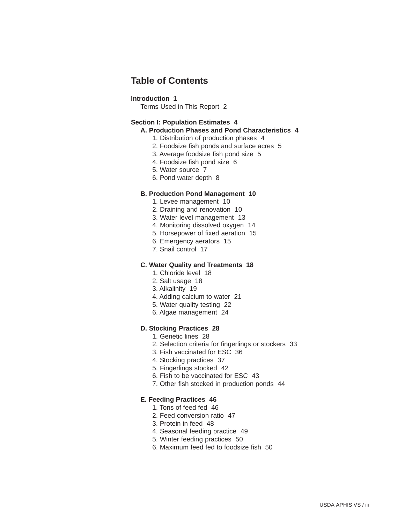# **Table of Contents**

#### **Introduction 1**

Terms Used in This Report 2

### **Section I: Population Estimates 4**

## **A. Production Phases and Pond Characteristics 4**

- 1. Distribution of production phases 4
- 2. Foodsize fish ponds and surface acres 5
- 3. Average foodsize fish pond size 5
- 4. Foodsize fish pond size 6
- 5. Water source 7
- 6. Pond water depth 8

#### **B. Production Pond Management 10**

- 1. Levee management 10
- 2. Draining and renovation 10
- 3. Water level management 13
- 4. Monitoring dissolved oxygen 14
- 5. Horsepower of fixed aeration 15
- 6. Emergency aerators 15
- 7. Snail control 17

#### **C. Water Quality and Treatments 18**

- 1. Chloride level 18
- 2. Salt usage 18
- 3. Alkalinity 19
- 4. Adding calcium to water 21
- 5. Water quality testing 22
- 6. Algae management 24

### **D. Stocking Practices 28**

- 1. Genetic lines 28
- 2. Selection criteria for fingerlings or stockers 33
- 3. Fish vaccinated for ESC 36
- 4. Stocking practices 37
- 5. Fingerlings stocked 42
- 6. Fish to be vaccinated for ESC 43
- 7. Other fish stocked in production ponds 44

#### **E. Feeding Practices 46**

- 1. Tons of feed fed 46
- 2. Feed conversion ratio 47
- 3. Protein in feed 48
- 4. Seasonal feeding practice 49
- 5. Winter feeding practices 50
- 6. Maximum feed fed to foodsize fish 50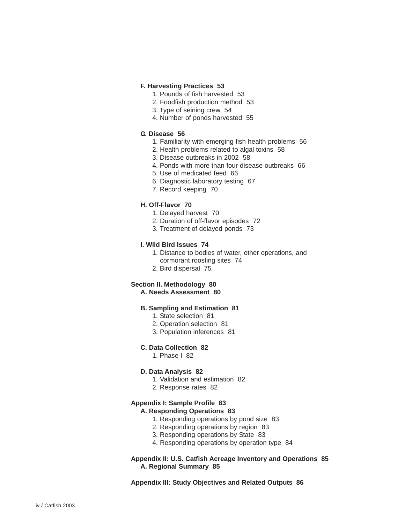#### **F. Harvesting Practices 53**

- 1. Pounds of fish harvested 53
- 2. Foodfish production method 53
- 3. Type of seining crew 54
- 4. Number of ponds harvested 55

## **G. Disease 56**

- 1. Familiarity with emerging fish health problems 56
- 2. Health problems related to algal toxins 58
- 3. Disease outbreaks in 2002 58
- 4. Ponds with more than four disease outbreaks 66
- 5. Use of medicated feed 66
- 6. Diagnostic laboratory testing 67
- 7. Record keeping 70

#### **H. Off-Flavor 70**

- 1. Delayed harvest 70
- 2. Duration of off-flavor episodes 72
- 3. Treatment of delayed ponds 73

#### **I. Wild Bird Issues 74**

- 1. Distance to bodies of water, other operations, and cormorant roosting sites 74
- 2. Bird dispersal 75

#### **Section II. Methodology 80 A. Needs Assessment 80**

# **B. Sampling and Estimation 81**

- 1. State selection 81
- 2. Operation selection 81
- 3. Population inferences 81

#### **C. Data Collection 82**

1. Phase I 82

#### **D. Data Analysis 82**

- 1. Validation and estimation 82
- 2. Response rates 82

#### **Appendix I: Sample Profile 83**

### **A. Responding Operations 83**

- 1. Responding operations by pond size 83
- 2. Responding operations by region 83
- 3. Responding operations by State 83
- 4. Responding operations by operation type 84

**Appendix II: U.S. Catfish Acreage Inventory and Operations 85 A. Regional Summary 85**

**Appendix III: Study Objectives and Related Outputs 86**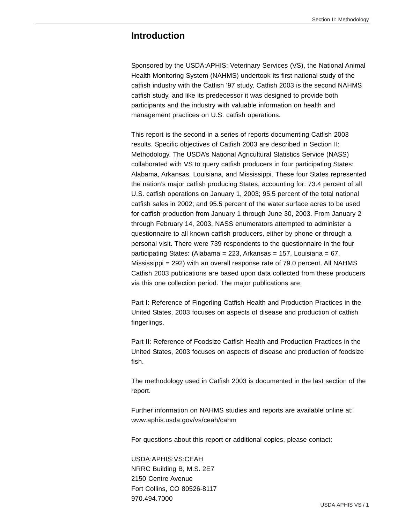# **Introduction**

Sponsored by the USDA:APHIS: Veterinary Services (VS), the National Animal Health Monitoring System (NAHMS) undertook its first national study of the catfish industry with the Catfish '97 study. Catfish 2003 is the second NAHMS catfish study, and like its predecessor it was designed to provide both participants and the industry with valuable information on health and management practices on U.S. catfish operations.

This report is the second in a series of reports documenting Catfish 2003 results. Specific objectives of Catfish 2003 are described in Section II: Methodology. The USDA's National Agricultural Statistics Service (NASS) collaborated with VS to query catfish producers in four participating States: Alabama, Arkansas, Louisiana, and Mississippi. These four States represented the nation's major catfish producing States, accounting for: 73.4 percent of all U.S. catfish operations on January 1, 2003; 95.5 percent of the total national catfish sales in 2002; and 95.5 percent of the water surface acres to be used for catfish production from January 1 through June 30, 2003. From January 2 through February 14, 2003, NASS enumerators attempted to administer a questionnaire to all known catfish producers, either by phone or through a personal visit. There were 739 respondents to the questionnaire in the four participating States: (Alabama = 223, Arkansas = 157, Louisiana = 67, Mississippi = 292) with an overall response rate of 79.0 percent. All NAHMS Catfish 2003 publications are based upon data collected from these producers via this one collection period. The major publications are:

Part I: Reference of Fingerling Catfish Health and Production Practices in the United States, 2003 focuses on aspects of disease and production of catfish fingerlings.

Part II: Reference of Foodsize Catfish Health and Production Practices in the United States, 2003 focuses on aspects of disease and production of foodsize fish.

The methodology used in Catfish 2003 is documented in the last section of the report.

Further information on NAHMS studies and reports are available online at: www.aphis.usda.gov/vs/ceah/cahm

For questions about this report or additional copies, please contact:

USDA:APHIS:VS:CEAH NRRC Building B, M.S. 2E7 2150 Centre Avenue Fort Collins, CO 80526-8117 970.494.7000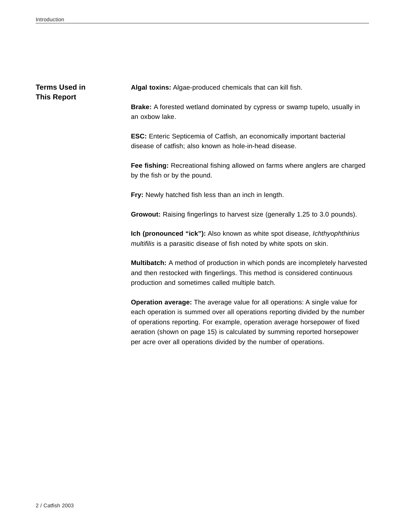# **Terms Used in This Report**

**Algal toxins:** Algae-produced chemicals that can kill fish.

**Brake:** A forested wetland dominated by cypress or swamp tupelo, usually in an oxbow lake.

**ESC:** Enteric Septicemia of Catfish, an economically important bacterial disease of catfish; also known as hole-in-head disease.

**Fee fishing:** Recreational fishing allowed on farms where anglers are charged by the fish or by the pound.

**Fry:** Newly hatched fish less than an inch in length.

**Growout:** Raising fingerlings to harvest size (generally 1.25 to 3.0 pounds).

**Ich (pronounced "ick"):** Also known as white spot disease, *Ichthyophthirius multifilis* is a parasitic disease of fish noted by white spots on skin.

**Multibatch:** A method of production in which ponds are incompletely harvested and then restocked with fingerlings. This method is considered continuous production and sometimes called multiple batch.

**Operation average:** The average value for all operations: A single value for each operation is summed over all operations reporting divided by the number of operations reporting. For example, operation average horsepower of fixed aeration (shown on page 15) is calculated by summing reported horsepower per acre over all operations divided by the number of operations.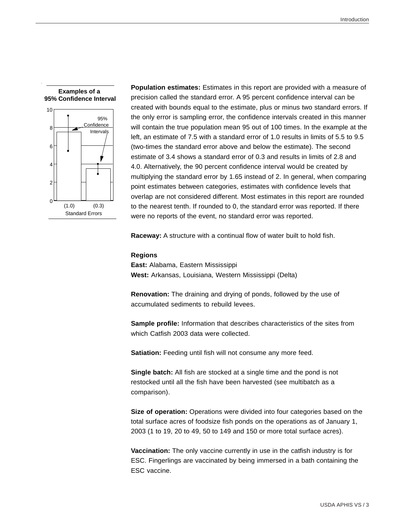#### **Examples of a 95% Confidence Interval**



**Population estimates:** Estimates in this report are provided with a measure of precision called the standard error. A 95 percent confidence interval can be created with bounds equal to the estimate, plus or minus two standard errors. If the only error is sampling error, the confidence intervals created in this manner will contain the true population mean 95 out of 100 times. In the example at the left, an estimate of 7.5 with a standard error of 1.0 results in limits of 5.5 to 9.5 (two-times the standard error above and below the estimate). The second estimate of 3.4 shows a standard error of 0.3 and results in limits of 2.8 and 4.0. Alternatively, the 90 percent confidence interval would be created by multiplying the standard error by 1.65 instead of 2. In general, when comparing point estimates between categories, estimates with confidence levels that overlap are not considered different. Most estimates in this report are rounded to the nearest tenth. If rounded to 0, the standard error was reported. If there were no reports of the event, no standard error was reported.

**Raceway:** A structure with a continual flow of water built to hold fish.

#### **Regions**

**East:** Alabama, Eastern Mississippi **West:** Arkansas, Louisiana, Western Mississippi (Delta)

**Renovation:** The draining and drying of ponds, followed by the use of accumulated sediments to rebuild levees.

**Sample profile:** Information that describes characteristics of the sites from which Catfish 2003 data were collected.

**Satiation:** Feeding until fish will not consume any more feed.

**Single batch:** All fish are stocked at a single time and the pond is not restocked until all the fish have been harvested (see multibatch as a comparison).

**Size of operation:** Operations were divided into four categories based on the total surface acres of foodsize fish ponds on the operations as of January 1, 2003 (1 to 19, 20 to 49, 50 to 149 and 150 or more total surface acres).

**Vaccination:** The only vaccine currently in use in the catfish industry is for ESC. Fingerlings are vaccinated by being immersed in a bath containing the ESC vaccine.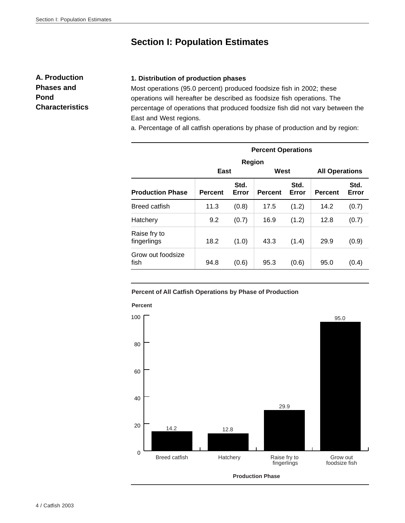# **Section I: Population Estimates**

**A. Production Phases and Pond Characteristics**

## **1. Distribution of production phases**

Most operations (95.0 percent) produced foodsize fish in 2002; these operations will hereafter be described as foodsize fish operations. The percentage of operations that produced foodsize fish did not vary between the East and West regions.

a. Percentage of all catfish operations by phase of production and by region:

| <b>Percent Operations</b>   |                |               |                |               |                       |               |  |  |  |  |  |
|-----------------------------|----------------|---------------|----------------|---------------|-----------------------|---------------|--|--|--|--|--|
|                             |                | Region        |                |               |                       |               |  |  |  |  |  |
|                             | East           |               | West           |               | <b>All Operations</b> |               |  |  |  |  |  |
| <b>Production Phase</b>     | <b>Percent</b> | Std.<br>Error | <b>Percent</b> | Std.<br>Error | <b>Percent</b>        | Std.<br>Error |  |  |  |  |  |
| <b>Breed catfish</b>        | 11.3           | (0.8)         | 17.5           | (1.2)         | 14.2                  | (0.7)         |  |  |  |  |  |
| Hatchery                    | 9.2            | (0.7)         | 16.9           | (1.2)         | 12.8                  | (0.7)         |  |  |  |  |  |
| Raise fry to<br>fingerlings | 18.2           | (1.0)         | 43.3           | (1.4)         | 29.9                  | (0.9)         |  |  |  |  |  |
| Grow out foodsize<br>fish   | 94.8           | (0.6)         | 95.3           | (0.6)         | 95.0                  | (0.4)         |  |  |  |  |  |

#### **Percent of All Catfish Operations by Phase of Production**



#### 4 / Catfish 2003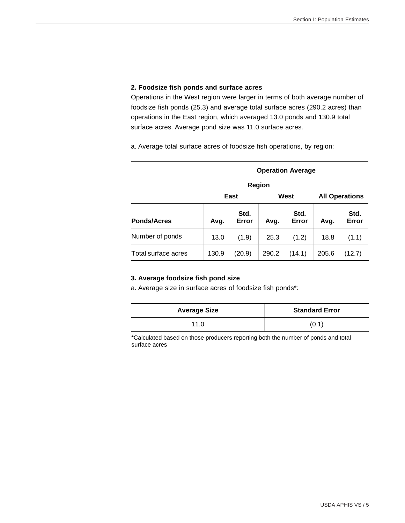## **2. Foodsize fish ponds and surface acres**

Operations in the West region were larger in terms of both average number of foodsize fish ponds (25.3) and average total surface acres (290.2 acres) than operations in the East region, which averaged 13.0 ponds and 130.9 total surface acres. Average pond size was 11.0 surface acres.

a. Average total surface acres of foodsize fish operations, by region:

| <b>Operation Average</b> |       |               |                       |        |                       |               |  |  |  |  |
|--------------------------|-------|---------------|-----------------------|--------|-----------------------|---------------|--|--|--|--|
| <b>Region</b>            |       |               |                       |        |                       |               |  |  |  |  |
|                          |       | East          |                       | West   | <b>All Operations</b> |               |  |  |  |  |
| <b>Ponds/Acres</b>       | Avg.  | Std.<br>Error | Std.<br>Error<br>Avg. |        | Avg.                  | Std.<br>Error |  |  |  |  |
| Number of ponds          | 13.0  | (1.9)         | 25.3                  | (1.2)  | 18.8                  | (1.1)         |  |  |  |  |
| Total surface acres      | 130.9 | (20.9)        | 290.2                 | (14.1) | 205.6                 | (12.7)        |  |  |  |  |

#### **3. Average foodsize fish pond size**

a. Average size in surface acres of foodsize fish ponds\*:

| <b>Average Size</b> | <b>Standard Error</b> |
|---------------------|-----------------------|
| 11.0                | (0.1)                 |

\*Calculated based on those producers reporting both the number of ponds and total surface acres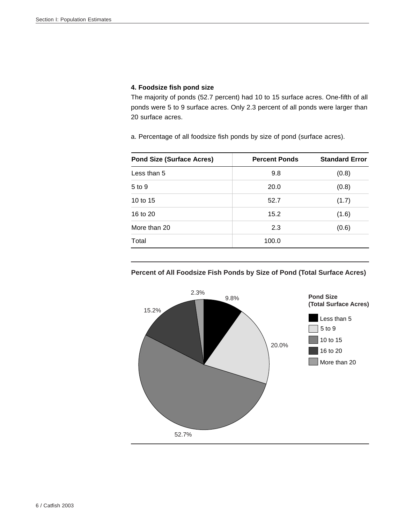## **4. Foodsize fish pond size**

The majority of ponds (52.7 percent) had 10 to 15 surface acres. One-fifth of all ponds were 5 to 9 surface acres. Only 2.3 percent of all ponds were larger than 20 surface acres.

a. Percentage of all foodsize fish ponds by size of pond (surface acres).

| <b>Pond Size (Surface Acres)</b> | <b>Percent Ponds</b> | <b>Standard Error</b> |
|----------------------------------|----------------------|-----------------------|
| Less than 5                      | 9.8                  | (0.8)                 |
| 5 to 9                           | 20.0                 | (0.8)                 |
| 10 to 15                         | 52.7                 | (1.7)                 |
| 16 to 20                         | 15.2                 | (1.6)                 |
| More than 20                     | 2.3                  | (0.6)                 |
| Total                            | 100.0                |                       |



## **Percent of All Foodsize Fish Ponds by Size of Pond (Total Surface Acres)**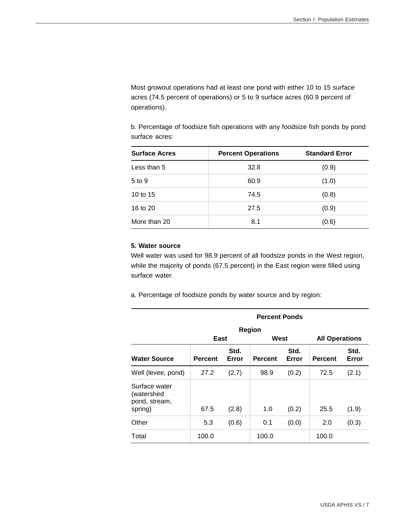Most growout operations had at least one pond with either 10 to 15 surface acres (74.5 percent of operations) or 5 to 9 surface acres (60.9 percent of operations).

b. Percentage of foodsize fish operations with any foodsize fish ponds by pond surface acres:

| <b>Surface Acres</b> | <b>Percent Operations</b> | <b>Standard Error</b> |
|----------------------|---------------------------|-----------------------|
| Less than 5          | 32.8                      | (0.9)                 |
| $5$ to $9$           | 60.9                      | (1.0)                 |
| 10 to $15$           | 74.5                      | (0.8)                 |
| 16 to 20             | 27.5                      | (0.9)                 |
| More than 20         | 8.1                       | (0.6)                 |

#### **5. Water source**

Well water was used for 98.9 percent of all foodsize ponds in the West region, while the majority of ponds (67.5 percent) in the East region were filled using surface water.

a. Percentage of foodsize ponds by water source and by region:

|                                                         | <b>Percent Ponds</b> |               |                |               |                       |               |  |  |  |  |  |  |
|---------------------------------------------------------|----------------------|---------------|----------------|---------------|-----------------------|---------------|--|--|--|--|--|--|
|                                                         | Region               |               |                |               |                       |               |  |  |  |  |  |  |
|                                                         | East                 |               | West           |               | <b>All Operations</b> |               |  |  |  |  |  |  |
| <b>Water Source</b>                                     | <b>Percent</b>       | Std.<br>Error | <b>Percent</b> | Std.<br>Error | <b>Percent</b>        | Std.<br>Error |  |  |  |  |  |  |
| Well (levee, pond)                                      | 27.2                 | (2.7)         | 98.9           | (0.2)         | 72.5                  | (2.1)         |  |  |  |  |  |  |
| Surface water<br>(watershed<br>pond, stream,<br>spring) | 67.5                 | (2.8)         | 1.0            | (0.2)         | 25.5                  | (1.9)         |  |  |  |  |  |  |
| Other                                                   | 5.3                  | (0.6)         | 0.1            | (0.0)         | 2.0                   | (0.3)         |  |  |  |  |  |  |
| Total                                                   | 100.0                |               | 100.0          |               | 100.0                 |               |  |  |  |  |  |  |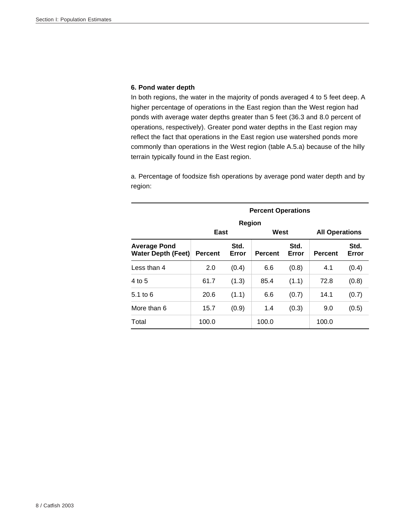## **6. Pond water depth**

In both regions, the water in the majority of ponds averaged 4 to 5 feet deep. A higher percentage of operations in the East region than the West region had ponds with average water depths greater than 5 feet (36.3 and 8.0 percent of operations, respectively). Greater pond water depths in the East region may reflect the fact that operations in the East region use watershed ponds more commonly than operations in the West region (table A.5.a) because of the hilly terrain typically found in the East region.

a. Percentage of foodsize fish operations by average pond water depth and by region:

|                                                  | <b>Percent Operations</b> |               |                |               |                       |               |  |  |  |  |  |  |
|--------------------------------------------------|---------------------------|---------------|----------------|---------------|-----------------------|---------------|--|--|--|--|--|--|
|                                                  |                           | Region        |                |               |                       |               |  |  |  |  |  |  |
|                                                  | East                      |               | West           |               | <b>All Operations</b> |               |  |  |  |  |  |  |
| <b>Average Pond</b><br><b>Water Depth (Feet)</b> | <b>Percent</b>            | Std.<br>Error | <b>Percent</b> | Std.<br>Error | <b>Percent</b>        | Std.<br>Error |  |  |  |  |  |  |
| Less than 4                                      | 2.0                       | (0.4)         | 6.6            | (0.8)         | 4.1                   | (0.4)         |  |  |  |  |  |  |
| 4 to 5                                           | 61.7                      | (1.3)         | 85.4           | (1.1)         | 72.8                  | (0.8)         |  |  |  |  |  |  |
| $5.1$ to 6                                       | 20.6                      | (1.1)         | 6.6            | (0.7)         | 14.1                  | (0.7)         |  |  |  |  |  |  |
| More than 6                                      | 15.7                      | (0.9)         | 1.4            | (0.3)         | 9.0                   | (0.5)         |  |  |  |  |  |  |
| Total                                            | 100.0                     |               | 100.0          |               | 100.0                 |               |  |  |  |  |  |  |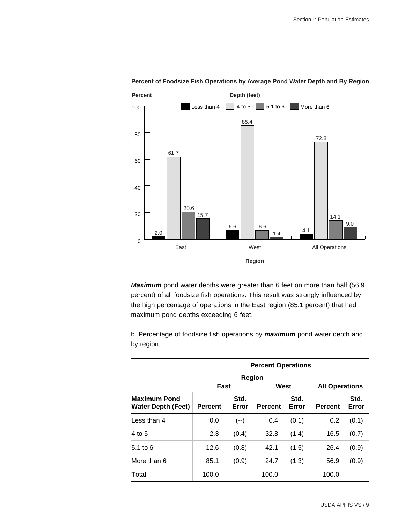

**Percent of Foodsize Fish Operations by Average Pond Water Depth and By Region**

*Maximum* pond water depths were greater than 6 feet on more than half (56.9 percent) of all foodsize fish operations. This result was strongly influenced by the high percentage of operations in the East region (85.1 percent) that had maximum pond depths exceeding 6 feet.

b. Percentage of foodsize fish operations by *maximum* pond water depth and by region:

|                                                  | <b>Percent Operations</b>                                          |        |       |       |                       |               |
|--------------------------------------------------|--------------------------------------------------------------------|--------|-------|-------|-----------------------|---------------|
|                                                  |                                                                    | Region |       |       |                       |               |
|                                                  | East                                                               |        | West  |       | <b>All Operations</b> |               |
| <b>Maximum Pond</b><br><b>Water Depth (Feet)</b> | Std.<br>Std.<br>Error<br><b>Percent</b><br>Error<br><b>Percent</b> |        |       |       | <b>Percent</b>        | Std.<br>Error |
| Less than 4                                      | 0.0                                                                | $(--)$ | 0.4   | (0.1) | 0.2                   | (0.1)         |
| 4 to 5                                           | 2.3                                                                | (0.4)  | 32.8  | (1.4) | 16.5                  | (0.7)         |
| $5.1$ to $6$                                     | 12.6                                                               | (0.8)  | 42.1  | (1.5) | 26.4                  | (0.9)         |
| More than 6                                      | 85.1                                                               | (0.9)  | 24.7  | (1.3) | 56.9                  | (0.9)         |
| Total                                            | 100.0                                                              |        | 100.0 |       | 100.0                 |               |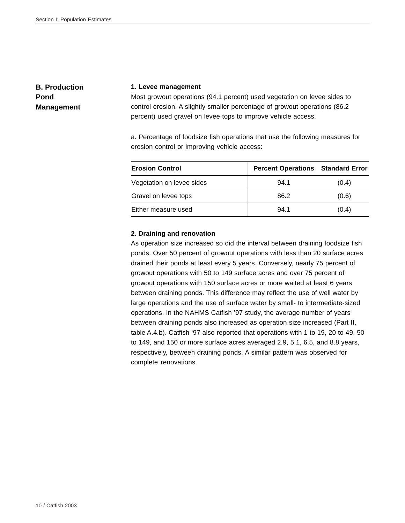# **B. Production Pond Management**

#### **1. Levee management**

Most growout operations (94.1 percent) used vegetation on levee sides to control erosion. A slightly smaller percentage of growout operations (86.2 percent) used gravel on levee tops to improve vehicle access.

a. Percentage of foodsize fish operations that use the following measures for erosion control or improving vehicle access:

| <b>Erosion Control</b>    | <b>Percent Operations Standard Error</b> |       |
|---------------------------|------------------------------------------|-------|
| Vegetation on levee sides | 94.1                                     | (0.4) |
| Gravel on levee tops      | 86.2                                     | (0.6) |
| Either measure used       | 94.1                                     | (0.4) |

#### **2. Draining and renovation**

As operation size increased so did the interval between draining foodsize fish ponds. Over 50 percent of growout operations with less than 20 surface acres drained their ponds at least every 5 years. Conversely, nearly 75 percent of growout operations with 50 to 149 surface acres and over 75 percent of growout operations with 150 surface acres or more waited at least 6 years between draining ponds. This difference may reflect the use of well water by large operations and the use of surface water by small- to intermediate-sized operations. In the NAHMS Catfish '97 study, the average number of years between draining ponds also increased as operation size increased (Part II, table A.4.b). Catfish '97 also reported that operations with 1 to 19, 20 to 49, 50 to 149, and 150 or more surface acres averaged 2.9, 5.1, 6.5, and 8.8 years, respectively, between draining ponds. A similar pattern was observed for complete renovations.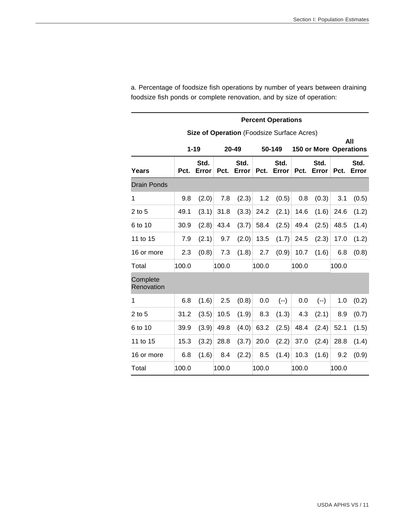|                        | <b>Percent Operations</b> |                                            |       |               |       |               |       |                               |       |               |  |  |
|------------------------|---------------------------|--------------------------------------------|-------|---------------|-------|---------------|-------|-------------------------------|-------|---------------|--|--|
|                        |                           | Size of Operation (Foodsize Surface Acres) |       |               |       |               |       |                               |       |               |  |  |
|                        |                           | $1 - 19$                                   |       | 20-49         |       | 50-149        |       | <b>150 or More Operations</b> |       | All           |  |  |
| Years                  | Pct.                      | Std.<br>Error                              | Pct.  | Std.<br>Error | Pct.  | Std.<br>Error | Pct.  | Std.<br>Error                 | Pct.  | Std.<br>Error |  |  |
| <b>Drain Ponds</b>     |                           |                                            |       |               |       |               |       |                               |       |               |  |  |
| 1                      | 9.8                       | (2.0)                                      | 7.8   | (2.3)         | 1.2   | (0.5)         | 0.8   | (0.3)                         | 3.1   | (0.5)         |  |  |
| $2$ to 5               | 49.1                      | (3.1)                                      | 31.8  | (3.3)         | 24.2  | (2.1)         | 14.6  | (1.6)                         | 24.6  | (1.2)         |  |  |
| 6 to 10                | 30.9                      | (2.8)                                      | 43.4  | (3.7)         | 58.4  | (2.5)         | 49.4  | (2.5)                         | 48.5  | (1.4)         |  |  |
| 11 to 15               | 7.9                       | (2.1)                                      | 9.7   | (2.0)         | 13.5  | (1.7)         | 24.5  | (2.3)                         | 17.0  | (1.2)         |  |  |
| 16 or more             | 2.3                       | (0.8)                                      | 7.3   | (1.8)         | 2.7   | (0.9)         | 10.7  | (1.6)                         | 6.8   | (0.8)         |  |  |
| Total                  | 100.0                     |                                            | 100.0 |               | 100.0 |               | 100.0 |                               | 100.0 |               |  |  |
| Complete<br>Renovation |                           |                                            |       |               |       |               |       |                               |       |               |  |  |
| 1                      | 6.8                       | (1.6)                                      | 2.5   | (0.8)         | 0.0   | $(--)$        | 0.0   | $(--)$                        | 1.0   | (0.2)         |  |  |
| $2$ to 5               | 31.2                      | (3.5)                                      | 10.5  | (1.9)         | 8.3   | (1.3)         | 4.3   | (2.1)                         | 8.9   | (0.7)         |  |  |
| 6 to 10                | 39.9                      | (3.9)                                      | 49.8  | (4.0)         | 63.2  | (2.5)         | 48.4  | (2.4)                         | 52.1  | (1.5)         |  |  |
| 11 to 15               | 15.3                      | (3.2)                                      | 28.8  | (3.7)         | 20.0  | (2.2)         | 37.0  | (2.4)                         | 28.8  | (1.4)         |  |  |
| 16 or more             | 6.8                       | (1.6)                                      | 8.4   | (2.2)         | 8.5   | (1.4)         | 10.3  | (1.6)                         | 9.2   | (0.9)         |  |  |
| Total                  | 100.0                     |                                            | 100.0 |               | 100.0 |               | 100.0 |                               | 100.0 |               |  |  |

a. Percentage of foodsize fish operations by number of years between draining foodsize fish ponds or complete renovation, and by size of operation: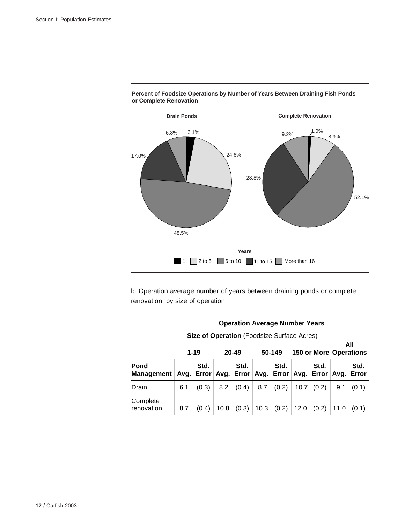

**Percent of Foodsize Operations by Number of Years Between Draining Fish Ponds or Complete Renovation**

b. Operation average number of years between draining ponds or complete renovation, by size of operation

| <b>Operation Average Number Years</b>             |                                                                  |                    |      |                    |     |                                          |      |       |      |       |
|---------------------------------------------------|------------------------------------------------------------------|--------------------|------|--------------------|-----|------------------------------------------|------|-------|------|-------|
| <b>Size of Operation</b> (Foodsize Surface Acres) |                                                                  |                    |      |                    |     |                                          |      |       |      |       |
|                                                   | $1 - 19$<br>$20 - 49$<br>50-149<br><b>150 or More Operations</b> |                    |      |                    |     |                                          |      | All   |      |       |
| Pond<br><b>Management</b>                         |                                                                  | Std.<br>Avg. Error |      | Std.<br>Avg. Error |     | Std.<br>Avg. Error Avg. Error Avg. Error |      | Std.  |      | Std.  |
| Drain                                             | 6.1                                                              | (0.3)              | 8.2  | (0.4)              | 8.7 | (0.2)                                    | 10.7 | (0.2) | 9.1  | (0.1) |
| Complete<br>renovation                            | 8.7                                                              | (0.4)              | 10.8 | (0.3)              |     | $10.3$ $(0.2)$                           | 12.0 | (0.2) | 11.0 | (0.1) |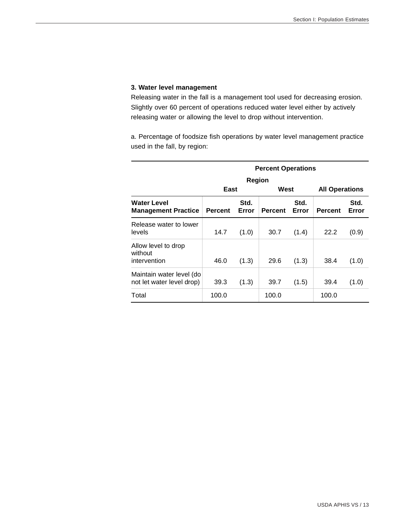## **3. Water level management**

Releasing water in the fall is a management tool used for decreasing erosion. Slightly over 60 percent of operations reduced water level either by actively releasing water or allowing the level to drop without intervention.

a. Percentage of foodsize fish operations by water level management practice used in the fall, by region:

|                                                       | <b>Percent Operations</b> |                |                |               |                                         |               |  |  |  |  |  |  |
|-------------------------------------------------------|---------------------------|----------------|----------------|---------------|-----------------------------------------|---------------|--|--|--|--|--|--|
|                                                       | East                      | Region<br>West |                |               |                                         |               |  |  |  |  |  |  |
| Water Level<br><b>Management Practice</b>             | <b>Percent</b>            | Std.<br>Error  | <b>Percent</b> | Std.<br>Error | <b>All Operations</b><br><b>Percent</b> | Std.<br>Error |  |  |  |  |  |  |
| Release water to lower<br>levels                      | 14.7                      | (1.0)          | 30.7           | (1.4)         | 22.2                                    | (0.9)         |  |  |  |  |  |  |
| Allow level to drop<br>without<br>intervention        | 46.0                      | (1.3)          | 29.6           | (1.3)         | 38.4                                    | (1.0)         |  |  |  |  |  |  |
| Maintain water level (do<br>not let water level drop) | 39.3                      | (1.3)          | 39.7           | (1.5)         | 39.4                                    | (1.0)         |  |  |  |  |  |  |
| Total                                                 | 100.0                     |                | 100.0          |               | 100.0                                   |               |  |  |  |  |  |  |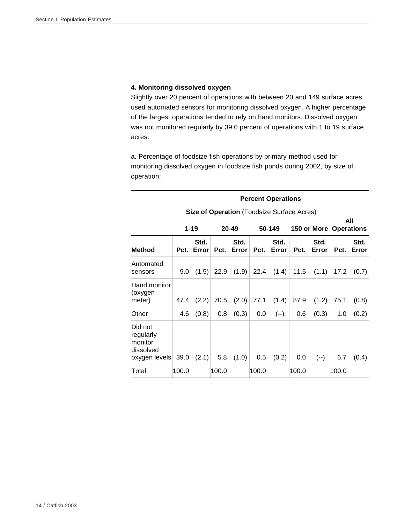## **4. Monitoring dissolved oxygen**

Slightly over 20 percent of operations with between 20 and 149 surface acres used automated sensors for monitoring dissolved oxygen. A higher percentage of the largest operations tended to rely on hand monitors. Dissolved oxygen was not monitored regularly by 39.0 percent of operations with 1 to 19 surface acres.

a. Percentage of foodsize fish operations by primary method used for monitoring dissolved oxygen in foodsize fish ponds during 2002, by size of operation:

|                                                               |                                                           | <b>Percent Operations</b> |       |                    |       |               |       |               |       |               |  |
|---------------------------------------------------------------|-----------------------------------------------------------|---------------------------|-------|--------------------|-------|---------------|-------|---------------|-------|---------------|--|
|                                                               | <b>Size of Operation (Foodsize Surface Acres)</b>         |                           |       |                    |       |               |       |               |       |               |  |
|                                                               | $1 - 19$<br>$20 - 49$<br>50-149<br>150 or More Operations |                           |       |                    |       |               | All   |               |       |               |  |
| <b>Method</b>                                                 | Pct.                                                      | Std.<br>Error             |       | Std.<br>Pct. Error | Pct.  | Std.<br>Error | Pct.  | Std.<br>Error | Pct.  | Std.<br>Error |  |
| Automated<br>sensors                                          | 9.0 <sub>1</sub>                                          | (1.5)                     |       | $22.9$ (1.9)       |       | 22.4 $(1.4)$  | 11.5  | (1.1)         | 17.2  | (0.7)         |  |
| Hand monitor<br>(oxygen<br>meter)                             | 47.4                                                      | (2.2)                     | 70.5  | (2.0)              | 77.1  | (1.4)         | 87.9  | (1.2)         | 75.1  | (0.8)         |  |
| Other                                                         | 4.6                                                       | (0.8)                     | 0.8   | (0.3)              | 0.0   | $(--)$        | 0.6   | (0.3)         | 1.0   | (0.2)         |  |
| Did not<br>regularly<br>monitor<br>dissolved<br>oxygen levels | 39.0                                                      | (2.1)                     | 5.8   | (1.0)              | 0.5   | (0.2)         | 0.0   | $(--)$        | 6.7   | (0.4)         |  |
| Total                                                         | 100.0                                                     |                           | 100.0 |                    | 100.0 |               | 100.0 |               | 100.0 |               |  |

#### 14 / Catfish 2003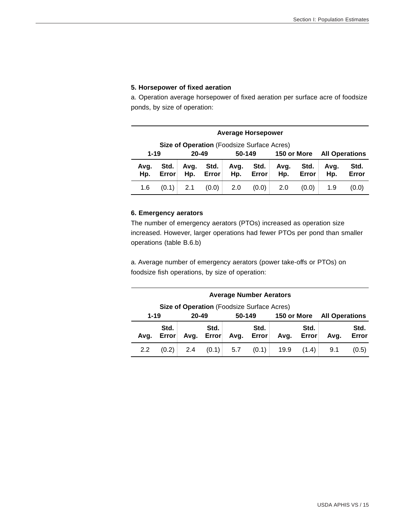## **5. Horsepower of fixed aeration**

a. Operation average horsepower of fixed aeration per surface acre of foodsize ponds, by size of operation:

|             | <b>Average Horsepower</b>                                               |             |               |             |               |                                             |  |  |  |  |
|-------------|-------------------------------------------------------------------------|-------------|---------------|-------------|---------------|---------------------------------------------|--|--|--|--|
|             | Size of Operation (Foodsize Surface Acres)                              |             |               |             |               |                                             |  |  |  |  |
|             | 150 or More<br>$1 - 19$<br>$20 - 49$<br>50-149<br><b>All Operations</b> |             |               |             |               |                                             |  |  |  |  |
| Avg.<br>Hp. | Std.<br>Error                                                           | Avg.<br>Hp. | Std.<br>Error | Avg.<br>Hp. | Std.<br>Error | Std.<br>Avg.<br>Avq.<br>Hp.<br>Hp.<br>Error |  |  |  |  |
| 1.6         | 2.1<br>(0.0)<br>2.0<br>(0.1)<br>(0.0)<br>2.0<br>(0.0)<br>1.9<br>(0.0)   |             |               |             |               |                                             |  |  |  |  |

#### **6. Emergency aerators**

The number of emergency aerators (PTOs) increased as operation size increased. However, larger operations had fewer PTOs per pond than smaller operations (table B.6.b)

a. Average number of emergency aerators (power take-offs or PTOs) on foodsize fish operations, by size of operation:

|          | <b>Average Number Aerators</b>                    |           |               |        |               |             |       |                       |       |  |
|----------|---------------------------------------------------|-----------|---------------|--------|---------------|-------------|-------|-----------------------|-------|--|
|          | <b>Size of Operation</b> (Foodsize Surface Acres) |           |               |        |               |             |       |                       |       |  |
| $1 - 19$ |                                                   | $20 - 49$ |               | 50-149 |               | 150 or More |       | <b>All Operations</b> |       |  |
| Avq.     | Std.<br>Error                                     | Avq.      | Std.<br>Error | Avg.   | Std.<br>Error | Avq.        | Avq.  | Std.<br>Error         |       |  |
| 2.2      | (0.2)                                             | 2.4       | (0.1)         | 5.7    | (0.1)         | 19.9        | (1.4) | 9.1                   | (0.5) |  |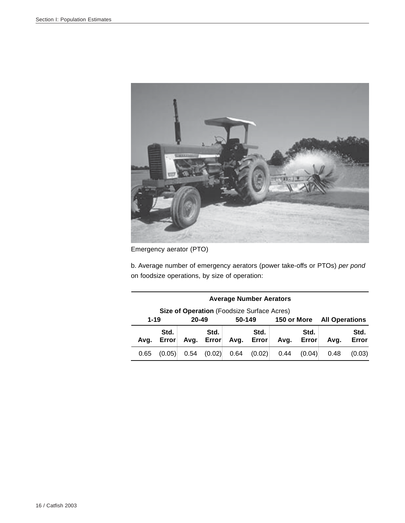

Emergency aerator (PTO)

b. Average number of emergency aerators (power take-offs or PTOs) *per pond* on foodsize operations, by size of operation:

|          | <b>Average Number Aerators</b>                                                 |           |               |                                                        |  |             |  |                       |  |
|----------|--------------------------------------------------------------------------------|-----------|---------------|--------------------------------------------------------|--|-------------|--|-----------------------|--|
|          | <b>Size of Operation</b> (Foodsize Surface Acres)                              |           |               |                                                        |  |             |  |                       |  |
| $1 - 19$ |                                                                                | $20 - 49$ |               | 50-149                                                 |  | 150 or More |  | <b>All Operations</b> |  |
| Ava.     | Std.<br>Error                                                                  | Avg.      | Std.<br>Error | Std.<br>Std.<br>Avg.<br>Error<br>Error<br>Avq.<br>Avq. |  |             |  |                       |  |
| 0.65     | (0.02)<br>0.64<br>(0.02)<br>0.54<br>0.44<br>(0.04)<br>(0.05)<br>0.48<br>(0.03) |           |               |                                                        |  |             |  |                       |  |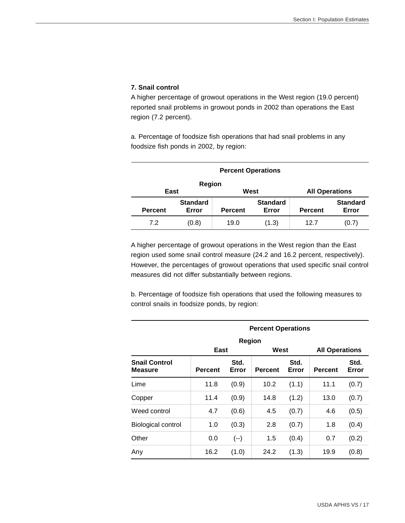## **7. Snail control**

A higher percentage of growout operations in the West region (19.0 percent) reported snail problems in growout ponds in 2002 than operations the East region (7.2 percent).

a. Percentage of foodsize fish operations that had snail problems in any foodsize fish ponds in 2002, by region:

|                | <b>Percent Operations</b> |                       |                          |                |                          |  |  |  |  |  |
|----------------|---------------------------|-----------------------|--------------------------|----------------|--------------------------|--|--|--|--|--|
| East           | Region                    | <b>All Operations</b> |                          |                |                          |  |  |  |  |  |
| <b>Percent</b> | <b>Standard</b><br>Error  | <b>Percent</b>        | <b>Standard</b><br>Error | <b>Percent</b> | <b>Standard</b><br>Error |  |  |  |  |  |
| 7.2            | (0.8)                     | 19.0                  | (1.3)                    | 12.7           | (0.7)                    |  |  |  |  |  |

A higher percentage of growout operations in the West region than the East region used some snail control measure (24.2 and 16.2 percent, respectively). However, the percentages of growout operations that used specific snail control measures did not differ substantially between regions.

b. Percentage of foodsize fish operations that used the following measures to control snails in foodsize ponds, by region:

|                                        | <b>Percent Operations</b> |               |                |               |                       |               |  |  |
|----------------------------------------|---------------------------|---------------|----------------|---------------|-----------------------|---------------|--|--|
|                                        |                           | Region        |                |               |                       |               |  |  |
|                                        | East                      |               | West           |               | <b>All Operations</b> |               |  |  |
| <b>Snail Control</b><br><b>Measure</b> | <b>Percent</b>            | Std.<br>Error | <b>Percent</b> | Std.<br>Error | <b>Percent</b>        | Std.<br>Error |  |  |
| Lime                                   | 11.8                      | (0.9)         | 10.2           | (1.1)         | 11.1                  | (0.7)         |  |  |
| Copper                                 | 11.4                      | (0.9)         | 14.8           | (1.2)         | 13.0                  | (0.7)         |  |  |
| Weed control                           | 4.7                       | (0.6)         | 4.5            | (0.7)         | 4.6                   | (0.5)         |  |  |
| <b>Biological control</b>              | 1.0                       | (0.3)         | 2.8            | (0.7)         | 1.8                   | (0.4)         |  |  |
| Other                                  | 0.0                       | $(--)$        | 1.5            | (0.4)         | 0.7                   | (0.2)         |  |  |
| Any                                    | 16.2                      | (1.0)         | 24.2           | (1.3)         | 19.9                  | (0.8)         |  |  |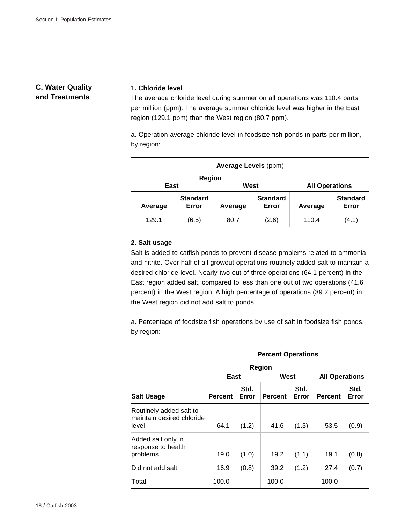## **C. Water Quality and Treatments**

#### **1. Chloride level**

The average chloride level during summer on all operations was 110.4 parts per million (ppm). The average summer chloride level was higher in the East region (129.1 ppm) than the West region (80.7 ppm).

a. Operation average chloride level in foodsize fish ponds in parts per million, by region:

| <b>Average Levels (ppm)</b> |                          |                       |                          |         |                          |  |  |  |  |
|-----------------------------|--------------------------|-----------------------|--------------------------|---------|--------------------------|--|--|--|--|
| East                        | <b>Region</b>            | <b>All Operations</b> |                          |         |                          |  |  |  |  |
| Average                     | <b>Standard</b><br>Error | Average               | <b>Standard</b><br>Error | Average | <b>Standard</b><br>Error |  |  |  |  |
| 129.1                       | (6.5)                    | 80.7                  | (2.6)                    | 110.4   | (4.1)                    |  |  |  |  |

## **2. Salt usage**

Salt is added to catfish ponds to prevent disease problems related to ammonia and nitrite. Over half of all growout operations routinely added salt to maintain a desired chloride level. Nearly two out of three operations (64.1 percent) in the East region added salt, compared to less than one out of two operations (41.6 percent) in the West region. A high percentage of operations (39.2 percent) in the West region did not add salt to ponds.

a. Percentage of foodsize fish operations by use of salt in foodsize fish ponds, by region:

|                                                               | <b>Percent Operations</b> |               |                |               |                       |               |  |  |  |
|---------------------------------------------------------------|---------------------------|---------------|----------------|---------------|-----------------------|---------------|--|--|--|
|                                                               |                           |               | <b>Region</b>  |               |                       |               |  |  |  |
|                                                               | East                      |               | West           |               | <b>All Operations</b> |               |  |  |  |
| <b>Salt Usage</b>                                             | <b>Percent</b>            | Std.<br>Error | <b>Percent</b> | Std.<br>Error | <b>Percent</b>        | Std.<br>Error |  |  |  |
| Routinely added salt to<br>maintain desired chloride<br>level | 64.1                      | (1.2)         | 41.6           | (1.3)         | 53.5                  | (0.9)         |  |  |  |
| Added salt only in<br>response to health<br>problems          | 19.0                      | (1.0)         | 19.2           | (1.1)         | 19.1                  | (0.8)         |  |  |  |
| Did not add salt                                              | 16.9                      | (0.8)         | 39.2           | (1.2)         | 27.4                  | (0.7)         |  |  |  |
| Total                                                         | 100.0                     |               | 100.0          |               | 100.0                 |               |  |  |  |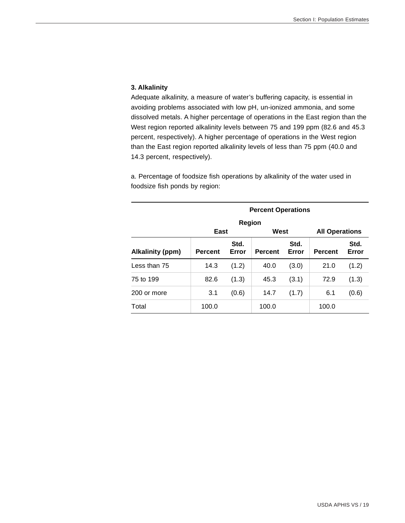## **3. Alkalinity**

Adequate alkalinity, a measure of water's buffering capacity, is essential in avoiding problems associated with low pH, un-ionized ammonia, and some dissolved metals. A higher percentage of operations in the East region than the West region reported alkalinity levels between 75 and 199 ppm (82.6 and 45.3 percent, respectively). A higher percentage of operations in the West region than the East region reported alkalinity levels of less than 75 ppm (40.0 and 14.3 percent, respectively).

a. Percentage of foodsize fish operations by alkalinity of the water used in foodsize fish ponds by region:

| <b>Percent Operations</b> |                |               |                |               |                       |               |  |  |
|---------------------------|----------------|---------------|----------------|---------------|-----------------------|---------------|--|--|
|                           |                | <b>Region</b> |                |               |                       |               |  |  |
|                           | East           |               | West           |               | <b>All Operations</b> |               |  |  |
| <b>Alkalinity (ppm)</b>   | <b>Percent</b> | Std.<br>Error | <b>Percent</b> | Std.<br>Error | <b>Percent</b>        | Std.<br>Error |  |  |
| Less than 75              | 14.3           | (1.2)         | 40.0           | (3.0)         | 21.0                  | (1.2)         |  |  |
| 75 to 199                 | 82.6           | (1.3)         | 45.3           | (3.1)         | 72.9                  | (1.3)         |  |  |
| 200 or more               | 3.1            | (0.6)         | 14.7           | (1.7)         | 6.1                   | (0.6)         |  |  |
| Total                     | 100.0          |               | 100.0          |               | 100.0                 |               |  |  |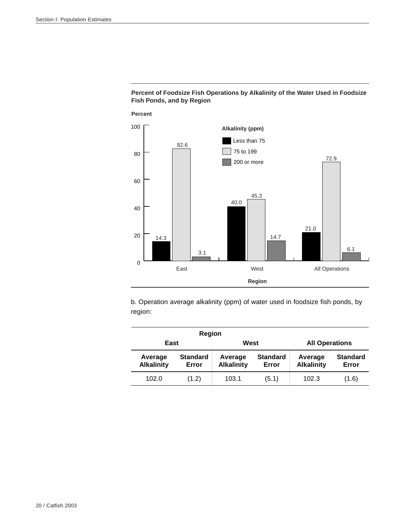



b. Operation average alkalinity (ppm) of water used in foodsize fish ponds, by region:

|                              | <b>Region</b>            |                               |                          |                              |                          |  |
|------------------------------|--------------------------|-------------------------------|--------------------------|------------------------------|--------------------------|--|
| East                         |                          | <b>All Operations</b><br>West |                          |                              |                          |  |
| Average<br><b>Alkalinity</b> | <b>Standard</b><br>Error | Average<br><b>Alkalinity</b>  | <b>Standard</b><br>Error | Average<br><b>Alkalinity</b> | <b>Standard</b><br>Error |  |
| 102.0                        | (1.2)                    | 103.1                         | (5.1)                    | 102.3                        | (1.6)                    |  |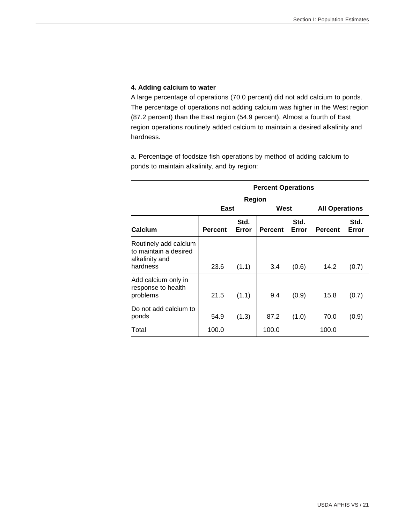## **4. Adding calcium to water**

A large percentage of operations (70.0 percent) did not add calcium to ponds. The percentage of operations not adding calcium was higher in the West region (87.2 percent) than the East region (54.9 percent). Almost a fourth of East region operations routinely added calcium to maintain a desired alkalinity and hardness.

a. Percentage of foodsize fish operations by method of adding calcium to ponds to maintain alkalinity, and by region:

|                                                                              |                |               | <b>Percent Operations</b> |               |                       |               |
|------------------------------------------------------------------------------|----------------|---------------|---------------------------|---------------|-----------------------|---------------|
|                                                                              |                | <b>Region</b> |                           |               |                       |               |
|                                                                              | East           |               | West                      |               | <b>All Operations</b> |               |
| Calcium                                                                      | <b>Percent</b> | Std.<br>Error | <b>Percent</b>            | Std.<br>Error | <b>Percent</b>        | Std.<br>Error |
| Routinely add calcium<br>to maintain a desired<br>alkalinity and<br>hardness | 23.6           | (1.1)         | 3.4                       | (0.6)         | 14.2                  | (0.7)         |
| Add calcium only in<br>response to health<br>problems                        | 21.5           | (1.1)         | 9.4                       | (0.9)         | 15.8                  | (0.7)         |
| Do not add calcium to<br>ponds                                               | 54.9           | (1.3)         | 87.2                      | (1.0)         | 70.0                  | (0.9)         |
| Total                                                                        | 100.0          |               | 100.0                     |               | 100.0                 |               |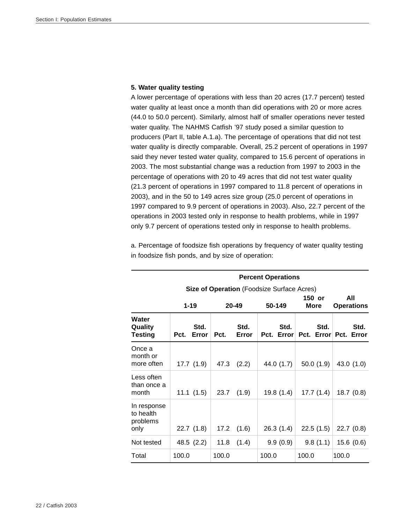#### **5. Water quality testing**

A lower percentage of operations with less than 20 acres (17.7 percent) tested water quality at least once a month than did operations with 20 or more acres (44.0 to 50.0 percent). Similarly, almost half of smaller operations never tested water quality. The NAHMS Catfish '97 study posed a similar question to producers (Part II, table A.1.a). The percentage of operations that did not test water quality is directly comparable. Overall, 25.2 percent of operations in 1997 said they never tested water quality, compared to 15.6 percent of operations in 2003. The most substantial change was a reduction from 1997 to 2003 in the percentage of operations with 20 to 49 acres that did not test water quality (21.3 percent of operations in 1997 compared to 11.8 percent of operations in 2003), and in the 50 to 149 acres size group (25.0 percent of operations in 1997 compared to 9.9 percent of operations in 2003). Also, 22.7 percent of the operations in 2003 tested only in response to health problems, while in 1997 only 9.7 percent of operations tested only in response to health problems.

a. Percentage of foodsize fish operations by frequency of water quality testing in foodsize fish ponds, and by size of operation:

|                                              |       | <b>Percent Operations</b>   |       |               |                                                   |                          |                               |  |  |  |  |
|----------------------------------------------|-------|-----------------------------|-------|---------------|---------------------------------------------------|--------------------------|-------------------------------|--|--|--|--|
|                                              |       |                             |       |               | <b>Size of Operation</b> (Foodsize Surface Acres) |                          |                               |  |  |  |  |
|                                              |       | $1 - 19$<br>20-49<br>50-149 |       |               | 150 or<br><b>More</b>                             | All<br><b>Operations</b> |                               |  |  |  |  |
| Water<br>Quality<br>Testing                  | Pct.  | Std.<br>Error               | Pct.  | Std.<br>Error | Std.<br>Pct. Error                                | Std.                     | Std.<br>Pct. Error Pct. Error |  |  |  |  |
| Once a<br>month or<br>more often             |       | 17.7(1.9)                   | 47.3  | (2.2)         | 44.0 (1.7)                                        | 50.0(1.9)                | 43.0 $(1.0)$                  |  |  |  |  |
| Less often<br>than once a<br>month           |       | 11.1(1.5)                   | 23.7  | (1.9)         | 19.8(1.4)                                         | 17.7(1.4)                | 18.7(0.8)                     |  |  |  |  |
| In response<br>to health<br>problems<br>only |       | 22.7(1.8)                   | 17.2  | (1.6)         | 26.3(1.4)                                         | 22.5(1.5)                | 22.7(0.8)                     |  |  |  |  |
| Not tested                                   |       | 48.5 (2.2)                  | 11.8  | (1.4)         | 9.9(0.9)                                          | 9.8(1.1)                 | 15.6(0.6)                     |  |  |  |  |
| Total                                        | 100.0 |                             | 100.0 |               | 100.0                                             | 100.0                    | 100.0                         |  |  |  |  |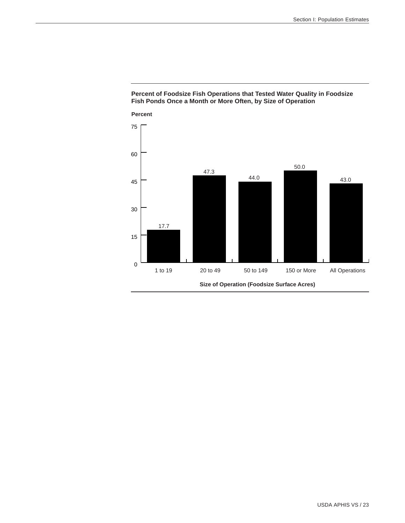

## **Percent of Foodsize Fish Operations that Tested Water Quality in Foodsize Fish Ponds Once a Month or More Often, by Size of Operation**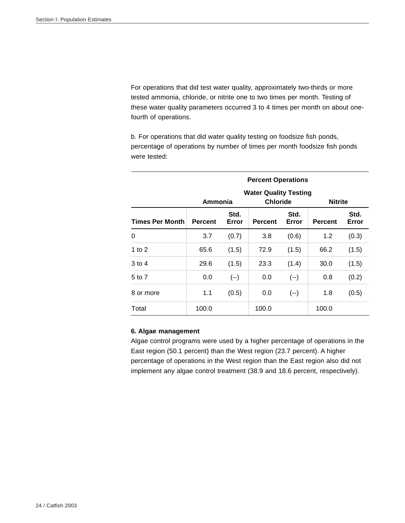For operations that did test water quality, approximately two-thirds or more tested ammonia, chloride, or nitrite one to two times per month. Testing of these water quality parameters occurred 3 to 4 times per month on about onefourth of operations.

b. For operations that did water quality testing on foodsize fish ponds, percentage of operations by number of times per month foodsize fish ponds were tested:

|                        | <b>Percent Operations</b>                                                    |               |                |               |                |               |  |  |  |
|------------------------|------------------------------------------------------------------------------|---------------|----------------|---------------|----------------|---------------|--|--|--|
|                        | <b>Water Quality Testing</b><br><b>Chloride</b><br>Ammonia<br><b>Nitrite</b> |               |                |               |                |               |  |  |  |
| <b>Times Per Month</b> | <b>Percent</b>                                                               | Std.<br>Error | <b>Percent</b> | Std.<br>Error | <b>Percent</b> | Std.<br>Error |  |  |  |
| 0                      | 3.7                                                                          | (0.7)         | 3.8            | (0.6)         | 1.2            | (0.3)         |  |  |  |
| 1 to $2$               | 65.6                                                                         | (1.5)         | 72.9           | (1.5)         | 66.2           | (1.5)         |  |  |  |
| 3 to 4                 | 29.6                                                                         | (1.5)         | 23.3           | (1.4)         | 30.0           | (1.5)         |  |  |  |
| 5 to 7                 | 0.0                                                                          | $(--)$        | 0.0            | $(--)$        | 0.8            | (0.2)         |  |  |  |
| 8 or more              | 1.1                                                                          | (0.5)         | 0.0            | $(--)$        | 1.8            | (0.5)         |  |  |  |
| Total                  | 100.0                                                                        |               | 100.0          |               | 100.0          |               |  |  |  |

## **6. Algae management**

Algae control programs were used by a higher percentage of operations in the East region (50.1 percent) than the West region (23.7 percent). A higher percentage of operations in the West region than the East region also did not implement any algae control treatment (38.9 and 18.6 percent, respectively).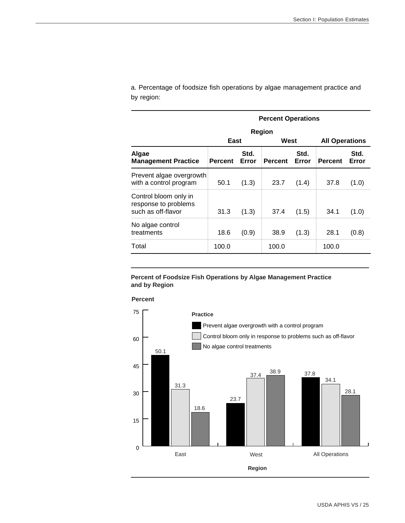a. Percentage of foodsize fish operations by algae management practice and by region:

| <b>Percent Operations</b>                                           |         |               |                |               |                       |               |  |
|---------------------------------------------------------------------|---------|---------------|----------------|---------------|-----------------------|---------------|--|
|                                                                     | Region  |               |                |               |                       |               |  |
|                                                                     | East    |               | West           |               | <b>All Operations</b> |               |  |
| Algae<br><b>Management Practice</b>                                 | Percent | Std.<br>Error | <b>Percent</b> | Std.<br>Error | <b>Percent</b>        | Std.<br>Error |  |
| Prevent algae overgrowth<br>with a control program                  | 50.1    | (1.3)         | 23.7           | (1.4)         | 37.8                  | (1.0)         |  |
| Control bloom only in<br>response to problems<br>such as off-flavor | 31.3    | (1.3)         | 37.4           | (1.5)         | 34.1                  | (1.0)         |  |
| No algae control<br>treatments                                      | 18.6    | (0.9)         | 38.9           | (1.3)         | 28.1                  | (0.8)         |  |
| Total                                                               | 100.0   |               | 100.0          |               | 100.0                 |               |  |

#### **Percent of Foodsize Fish Operations by Algae Management Practice and by Region**



**Percent**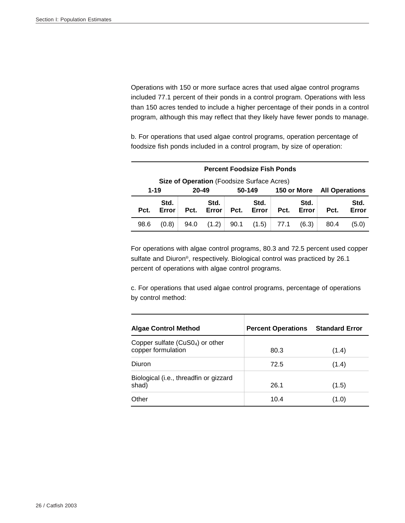Operations with 150 or more surface acres that used algae control programs included 77.1 percent of their ponds in a control program. Operations with less than 150 acres tended to include a higher percentage of their ponds in a control program, although this may reflect that they likely have fewer ponds to manage.

b. For operations that used algae control programs, operation percentage of foodsize fish ponds included in a control program, by size of operation:

| <b>Percent Foodsize Fish Ponds</b> |                                            |      |               |      |               |                       |               |      |               |
|------------------------------------|--------------------------------------------|------|---------------|------|---------------|-----------------------|---------------|------|---------------|
|                                    | Size of Operation (Foodsize Surface Acres) |      |               |      |               |                       |               |      |               |
|                                    | $1 - 19$<br>20-49<br>50-149<br>150 or More |      |               |      |               | <b>All Operations</b> |               |      |               |
| Pct.                               | Std.<br>Error                              | Pct. | Std.<br>Error | Pct. | Std.<br>Error | Pct.                  | Std.<br>Error | Pct. | Std.<br>Error |
| 98.6                               | (0.8)                                      | 94.0 | (1.2)         | 90.1 | (1.5)         | 77.1                  | (6.3)         | 80.4 | (5.0)         |

For operations with algae control programs, 80.3 and 72.5 percent used copper sulfate and Diuron®, respectively. Biological control was practiced by 26.1 percent of operations with algae control programs.

c. For operations that used algae control programs, percentage of operations by control method:

| <b>Algae Control Method</b>                             | <b>Percent Operations</b> | <b>Standard Error</b> |
|---------------------------------------------------------|---------------------------|-----------------------|
| Copper sulfate $(CuS04)$ or other<br>copper formulation | 80.3                      | (1.4)                 |
| Diuron                                                  | 72.5                      | (1.4)                 |
| Biological (i.e., threadfin or gizzard<br>shad)         | 26.1                      | (1.5)                 |
| Other                                                   | 10.4                      | (1.0)                 |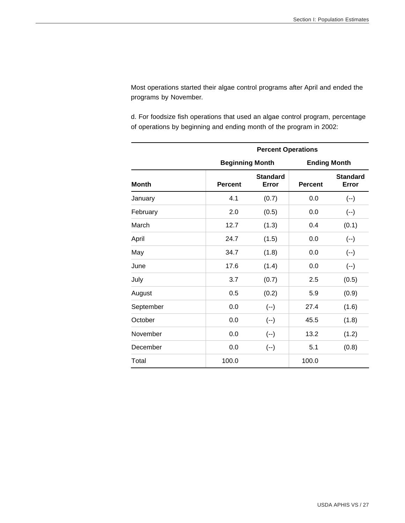Most operations started their algae control programs after April and ended the programs by November.

d. For foodsize fish operations that used an algae control program, percentage of operations by beginning and ending month of the program in 2002:

|              | <b>Percent Operations</b> |                          |                     |                          |  |  |  |  |
|--------------|---------------------------|--------------------------|---------------------|--------------------------|--|--|--|--|
|              | <b>Beginning Month</b>    |                          | <b>Ending Month</b> |                          |  |  |  |  |
| <b>Month</b> | <b>Percent</b>            | <b>Standard</b><br>Error | <b>Percent</b>      | <b>Standard</b><br>Error |  |  |  |  |
| January      | 4.1                       | (0.7)                    | 0.0                 | $(-)$                    |  |  |  |  |
| February     | 2.0                       | (0.5)                    | 0.0                 | $(-)$                    |  |  |  |  |
| March        | 12.7                      | (1.3)                    | 0.4                 | (0.1)                    |  |  |  |  |
| April        | 24.7                      | (1.5)                    |                     | $(--)$                   |  |  |  |  |
| May          | 34.7                      | (1.8)                    |                     | $(--)$                   |  |  |  |  |
| June         | 17.6                      | (1.4)                    |                     | $(-)$                    |  |  |  |  |
| July         | 3.7                       | (0.7)                    | 2.5                 | (0.5)                    |  |  |  |  |
| August       | 0.5                       | (0.2)                    | 5.9                 | (0.9)                    |  |  |  |  |
| September    | 0.0                       | $(--)$                   | 27.4                | (1.6)                    |  |  |  |  |
| October      | 0.0                       | $(-)$                    | 45.5                | (1.8)                    |  |  |  |  |
| November     | 0.0                       | $(-)$                    | 13.2                | (1.2)                    |  |  |  |  |
| December     | 0.0                       | $(--)$                   | 5.1                 | (0.8)                    |  |  |  |  |
| Total        | 100.0                     |                          | 100.0               |                          |  |  |  |  |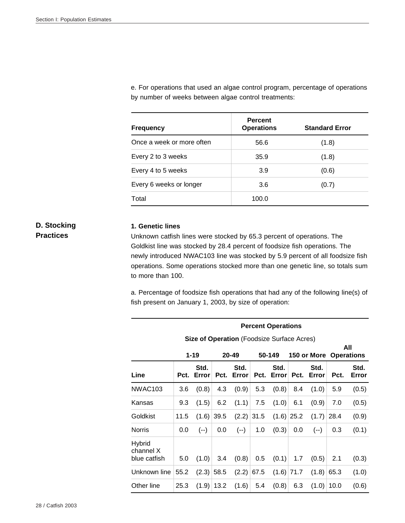e. For operations that used an algae control program, percentage of operations by number of weeks between algae control treatments:

| <b>Frequency</b>          | <b>Percent</b><br><b>Operations</b> | <b>Standard Error</b> |
|---------------------------|-------------------------------------|-----------------------|
| Once a week or more often | 56.6                                | (1.8)                 |
| Every 2 to 3 weeks        | 35.9                                | (1.8)                 |
| Every 4 to 5 weeks        | 3.9                                 | (0.6)                 |
| Every 6 weeks or longer   | 3.6                                 | (0.7)                 |
| Total                     | 100.0                               |                       |

## **D. Stocking Practices**

## **1. Genetic lines**

Unknown catfish lines were stocked by 65.3 percent of operations. The Goldkist line was stocked by 28.4 percent of foodsize fish operations. The newly introduced NWAC103 line was stocked by 5.9 percent of all foodsize fish operations. Some operations stocked more than one genetic line, so totals sum to more than 100.

a. Percentage of foodsize fish operations that had any of the following line(s) of fish present on January 1, 2003, by size of operation:

#### **Percent Operations**

 **Size of Operation** (Foodsize Surface Acres)

|                                     |      | $1 - 19$           |              | 20-49              |              | 50-149             |              | 150 or More Operations |      | All           |
|-------------------------------------|------|--------------------|--------------|--------------------|--------------|--------------------|--------------|------------------------|------|---------------|
| Line                                |      | Std.<br>Pct. Error |              | Std.<br>Pct. Error |              | Std.<br>Pct. Error |              | Std.<br>Pct. Error     | Pct. | Std.<br>Error |
| NWAC <sub>103</sub>                 | 3.6  | (0.8)              | 4.3          | (0.9)              | 5.3          | (0.8)              | 8.4          | (1.0)                  | 5.9  | (0.5)         |
| Kansas                              | 9.3  | (1.5)              | 6.2          | (1.1)              | 7.5          | (1.0)              | 6.1          | (0.9)                  | 7.0  | (0.5)         |
| Goldkist                            | 11.5 |                    | $(1.6)$ 39.5 |                    | $(2.2)$ 31.5 |                    | $(1.6)$ 25.2 | (1.7)                  | 28.4 | (0.9)         |
| <b>Norris</b>                       | 0.0  | $(--)$             | 0.0          | $(--)$             | 1.0          | (0.3)              | 0.0          | $(--)$                 | 0.3  | (0.1)         |
| Hybrid<br>channel X<br>blue catfish | 5.0  | (1.0)              | 3.4          | (0.8)              | 0.5          | (0.1)              | 1.7          | (0.5)                  | 2.1  | (0.3)         |
| Unknown line                        | 55.2 |                    | $(2.3)$ 58.5 |                    | $(2.2)$ 67.5 |                    | $(1.6)$ 71.7 | (1.8)                  | 65.3 | (1.0)         |
| Other line                          | 25.3 |                    | $(1.9)$ 13.2 |                    | $(1.6)$ 5.4  | (0.8)              | 6.3          | (1.0)                  | 10.0 | (0.6)         |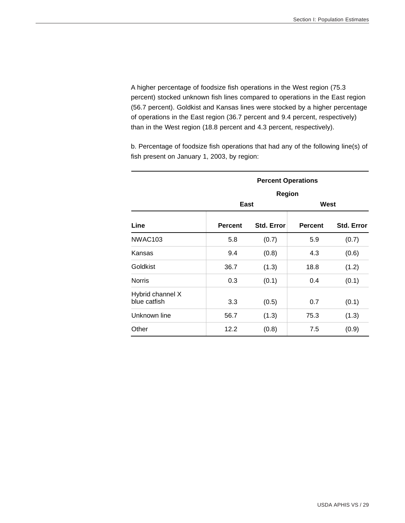A higher percentage of foodsize fish operations in the West region (75.3 percent) stocked unknown fish lines compared to operations in the East region (56.7 percent). Goldkist and Kansas lines were stocked by a higher percentage of operations in the East region (36.7 percent and 9.4 percent, respectively) than in the West region (18.8 percent and 4.3 percent, respectively).

b. Percentage of foodsize fish operations that had any of the following line(s) of fish present on January 1, 2003, by region:

|                                  | <b>Percent Operations</b><br><b>Region</b> |            |                |                   |  |  |  |  |
|----------------------------------|--------------------------------------------|------------|----------------|-------------------|--|--|--|--|
|                                  |                                            |            |                |                   |  |  |  |  |
|                                  | East                                       |            | West           |                   |  |  |  |  |
| Line                             | <b>Percent</b>                             | Std. Error | <b>Percent</b> | <b>Std. Error</b> |  |  |  |  |
| <b>NWAC103</b>                   | 5.8                                        | (0.7)      | 5.9            | (0.7)             |  |  |  |  |
| Kansas                           | 9.4                                        | (0.8)      | 4.3            | (0.6)             |  |  |  |  |
| Goldkist                         | 36.7                                       | (1.3)      | 18.8           | (1.2)             |  |  |  |  |
| <b>Norris</b>                    | 0.3                                        | (0.1)      | 0.4            | (0.1)             |  |  |  |  |
| Hybrid channel X<br>blue catfish | 3.3                                        | (0.5)      | 0.7            | (0.1)             |  |  |  |  |
| Unknown line                     | 56.7                                       | (1.3)      | 75.3           | (1.3)             |  |  |  |  |
| Other                            | 12.2                                       | (0.8)      | 7.5            | (0.9)             |  |  |  |  |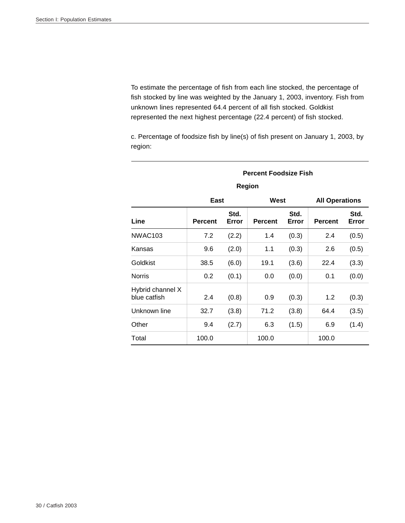To estimate the percentage of fish from each line stocked, the percentage of fish stocked by line was weighted by the January 1, 2003, inventory. Fish from unknown lines represented 64.4 percent of all fish stocked. Goldkist represented the next highest percentage (22.4 percent) of fish stocked.

c. Percentage of foodsize fish by line(s) of fish present on January 1, 2003, by region:

# **Percent Foodsize Fish**

|                                  | East    |               | West           |               | <b>All Operations</b> |               |  |
|----------------------------------|---------|---------------|----------------|---------------|-----------------------|---------------|--|
| Line                             | Percent | Std.<br>Error | <b>Percent</b> | Std.<br>Error | <b>Percent</b>        | Std.<br>Error |  |
| NWAC <sub>103</sub>              | 7.2     | (2.2)         | 1.4            | (0.3)         | 2.4                   | (0.5)         |  |
| Kansas                           | 9.6     | (2.0)         | 1.1            | (0.3)         | 2.6                   | (0.5)         |  |
| Goldkist                         | 38.5    | (6.0)         | 19.1           | (3.6)         | 22.4                  | (3.3)         |  |
| <b>Norris</b>                    | 0.2     | (0.1)         | 0.0            | (0.0)         | 0.1                   | (0.0)         |  |
| Hybrid channel X<br>blue catfish | 2.4     | (0.8)         | 0.9            | (0.3)         | 1.2                   | (0.3)         |  |
| Unknown line                     | 32.7    | (3.8)         | 71.2           | (3.8)         | 64.4                  | (3.5)         |  |
| Other                            | 9.4     | (2.7)         | 6.3            | (1.5)         | 6.9                   | (1.4)         |  |
| Total                            | 100.0   |               | 100.0          |               | 100.0                 |               |  |

## **Region**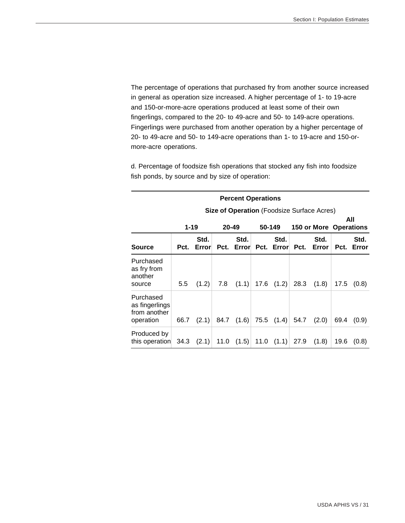The percentage of operations that purchased fry from another source increased in general as operation size increased. A higher percentage of 1- to 19-acre and 150-or-more-acre operations produced at least some of their own fingerlings, compared to the 20- to 49-acre and 50- to 149-acre operations. Fingerlings were purchased from another operation by a higher percentage of 20- to 49-acre and 50- to 149-acre operations than 1- to 19-acre and 150-ormore-acre operations.

d. Percentage of foodsize fish operations that stocked any fish into foodsize fish ponds, by source and by size of operation:

|                                                          | <b>Percent Operations</b>                         |               |       |                                    |      |            |      |                        |      |               |
|----------------------------------------------------------|---------------------------------------------------|---------------|-------|------------------------------------|------|------------|------|------------------------|------|---------------|
|                                                          | <b>Size of Operation</b> (Foodsize Surface Acres) |               |       |                                    |      |            |      |                        |      |               |
|                                                          | $1 - 19$                                          |               | 20-49 |                                    |      | 50-149     |      | 150 or More Operations |      | All           |
| Source                                                   | Pct.                                              | Std.<br>Error |       | Std.<br>Pct. Error Pct. Error Pct. |      | Std.       |      | Std.<br>Error          | Pct. | Std.<br>Error |
| Purchased<br>as fry from<br>another<br>source            | 5.5                                               | (1.2)         | 7.8   | (1.1)                              | 17.6 | (1.2)      | 28.3 | (1.8)                  | 17.5 | (0.8)         |
| Purchased<br>as fingerlings<br>from another<br>operation | 66.7                                              | (2.1)         |       | 84.7 (1.6)                         |      | 75.5 (1.4) | 54.7 | (2.0)                  | 69.4 | (0.9)         |
| Produced by<br>this operation                            | 34.3                                              | (2.1)         | 11.0  | (1.5)                              | 11.0 | (1.1)      | 27.9 | (1.8)                  | 19.6 | (0.8)         |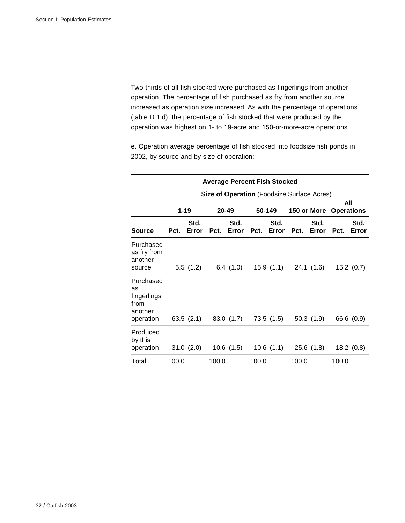Two-thirds of all fish stocked were purchased as fingerlings from another operation. The percentage of fish purchased as fry from another source increased as operation size increased. As with the percentage of operations (table D.1.d), the percentage of fish stocked that were produced by the operation was highest on 1- to 19-acre and 150-or-more-acre operations.

e. Operation average percentage of fish stocked into foodsize fish ponds in 2002, by source and by size of operation:

|                                                                                                                                 |       |               |       | <b>Average Percent Fish Stocked</b> |       |               |       |               |       |               |  |
|---------------------------------------------------------------------------------------------------------------------------------|-------|---------------|-------|-------------------------------------|-------|---------------|-------|---------------|-------|---------------|--|
| <b>Size of Operation</b> (Foodsize Surface Acres)<br>All<br>$1 - 19$<br>50-149<br>$20 - 49$<br><b>Operations</b><br>150 or More |       |               |       |                                     |       |               |       |               |       |               |  |
| <b>Source</b>                                                                                                                   | Pct.  | Std.<br>Error | Pct.  | Std.<br>Error                       | Pct.  | Std.<br>Error | Pct.  | Std.<br>Error | Pct.  | Std.<br>Error |  |
| Purchased<br>as fry from<br>another<br>source                                                                                   |       | 5.5(1.2)      |       | 6.4(1.0)                            |       | 15.9(1.1)     |       | 24.1(1.6)     |       | 15.2(0.7)     |  |
| Purchased<br>as<br>fingerlings<br>from<br>another<br>operation                                                                  |       | 63.5(2.1)     |       | 83.0 (1.7)                          |       | 73.5(1.5)     |       | 50.3(1.9)     |       | 66.6 (0.9)    |  |
| Produced<br>by this<br>operation                                                                                                |       | 31.0(2.0)     |       | 10.6(1.5)                           |       | 10.6(1.1)     |       | 25.6(1.8)     |       | 18.2(0.8)     |  |
| Total                                                                                                                           | 100.0 |               | 100.0 |                                     | 100.0 |               | 100.0 |               | 100.0 |               |  |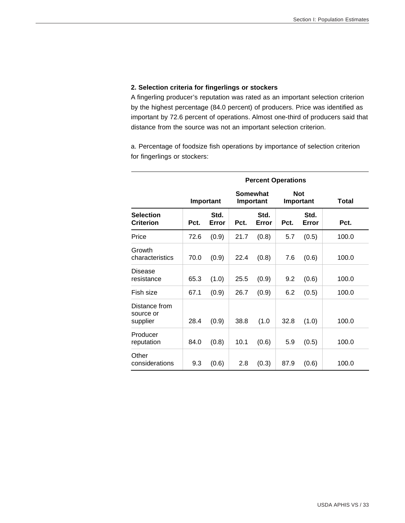### **2. Selection criteria for fingerlings or stockers**

A fingerling producer's reputation was rated as an important selection criterion by the highest percentage (84.0 percent) of producers. Price was identified as important by 72.6 percent of operations. Almost one-third of producers said that distance from the source was not an important selection criterion.

a. Percentage of foodsize fish operations by importance of selection criterion for fingerlings or stockers:

|                                        |      | <b>Percent Operations</b> |                       |               |      |                         |       |  |  |  |
|----------------------------------------|------|---------------------------|-----------------------|---------------|------|-------------------------|-------|--|--|--|
|                                        |      | Important                 | Somewhat<br>Important |               |      | <b>Not</b><br>Important | Total |  |  |  |
| <b>Selection</b><br><b>Criterion</b>   | Pct. | Std.<br>Error             | Pct.                  | Std.<br>Error | Pct. | Std.<br>Error           | Pct.  |  |  |  |
| Price                                  | 72.6 | (0.9)                     | 21.7                  | (0.8)         | 5.7  | (0.5)                   | 100.0 |  |  |  |
| Growth<br>characteristics              | 70.0 | (0.9)                     | 22.4                  | (0.8)         | 7.6  | (0.6)                   | 100.0 |  |  |  |
| Disease<br>resistance                  | 65.3 | (1.0)                     | 25.5                  | (0.9)         | 9.2  | (0.6)                   | 100.0 |  |  |  |
| Fish size                              | 67.1 | (0.9)                     | 26.7                  | (0.9)         | 6.2  | (0.5)                   | 100.0 |  |  |  |
| Distance from<br>source or<br>supplier | 28.4 | (0.9)                     | 38.8                  | (1.0)         | 32.8 | (1.0)                   | 100.0 |  |  |  |
| Producer<br>reputation                 | 84.0 | (0.8)                     | 10.1                  | (0.6)         | 5.9  | (0.5)                   | 100.0 |  |  |  |
| Other<br>considerations                | 9.3  | (0.6)                     | 2.8                   | (0.3)         | 87.9 | (0.6)                   | 100.0 |  |  |  |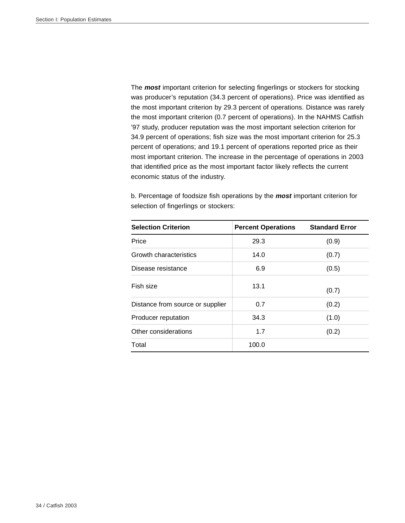The *most* important criterion for selecting fingerlings or stockers for stocking was producer's reputation (34.3 percent of operations). Price was identified as the most important criterion by 29.3 percent of operations. Distance was rarely the most important criterion (0.7 percent of operations). In the NAHMS Catfish '97 study, producer reputation was the most important selection criterion for 34.9 percent of operations; fish size was the most important criterion for 25.3 percent of operations; and 19.1 percent of operations reported price as their most important criterion. The increase in the percentage of operations in 2003 that identified price as the most important factor likely reflects the current economic status of the industry.

b. Percentage of foodsize fish operations by the *most* important criterion for selection of fingerlings or stockers:

| <b>Selection Criterion</b>       | <b>Percent Operations</b> | <b>Standard Error</b> |
|----------------------------------|---------------------------|-----------------------|
| Price                            | 29.3                      | (0.9)                 |
| Growth characteristics           | 14.0                      | (0.7)                 |
| Disease resistance               | 6.9                       | (0.5)                 |
| Fish size                        | 13.1                      | (0.7)                 |
| Distance from source or supplier | 0.7                       | (0.2)                 |
| Producer reputation              | 34.3                      | (1.0)                 |
| Other considerations             | 1.7                       | (0.2)                 |
| Total                            | 100.0                     |                       |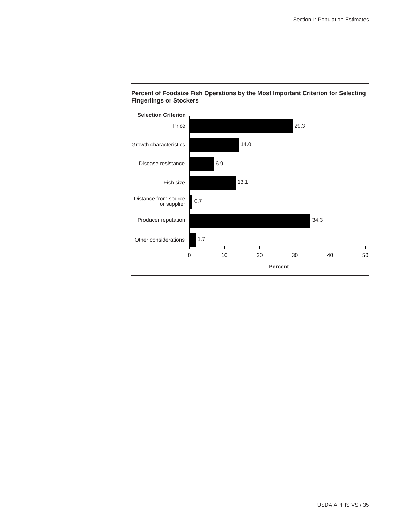

#### **Percent of Foodsize Fish Operations by the Most Important Criterion for Selecting Fingerlings or Stockers**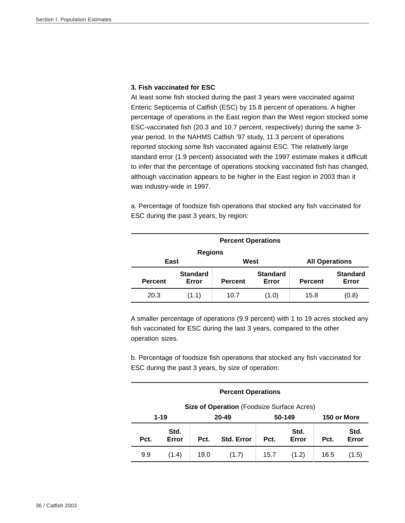#### **3. Fish vaccinated for ESC**

At least some fish stocked during the past 3 years were vaccinated against Enteric Septicemia of Catfish (ESC) by 15.8 percent of operations. A higher percentage of operations in the East region than the West region stocked some ESC-vaccinated fish (20.3 and 10.7 percent, respectively) during the same 3 year period. In the NAHMS Catfish '97 study, 11.3 percent of operations reported stocking some fish vaccinated against ESC. The relatively large standard error (1.9 percent) associated with the 1997 estimate makes it difficult to infer that the percentage of operations stocking vaccinated fish has changed, although vaccination appears to be higher in the East region in 2003 than it was industry-wide in 1997.

a. Percentage of foodsize fish operations that stocked any fish vaccinated for ESC during the past 3 years, by region:

| <b>Percent Operations</b> |                          |                       |                          |  |  |  |  |  |  |  |
|---------------------------|--------------------------|-----------------------|--------------------------|--|--|--|--|--|--|--|
|                           | <b>Regions</b>           |                       |                          |  |  |  |  |  |  |  |
| East                      |                          | <b>All Operations</b> |                          |  |  |  |  |  |  |  |
| <b>Percent</b>            | <b>Standard</b><br>Error | <b>Percent</b>        | <b>Standard</b><br>Error |  |  |  |  |  |  |  |
| 20.3                      | (1.1)                    | 15.8                  | (0.8)                    |  |  |  |  |  |  |  |

A smaller percentage of operations (9.9 percent) with 1 to 19 acres stocked any fish vaccinated for ESC during the last 3 years, compared to the other operation sizes.

b. Percentage of foodsize fish operations that stocked any fish vaccinated for ESC during the past 3 years, by size of operation:

|      | <b>Percent Operations</b>                                                                    |  |  |  |  |  |  |  |  |  |
|------|----------------------------------------------------------------------------------------------|--|--|--|--|--|--|--|--|--|
|      | Size of Operation (Foodsize Surface Acres)                                                   |  |  |  |  |  |  |  |  |  |
|      | $1 - 19$<br>50-149<br>20-49<br>150 or More                                                   |  |  |  |  |  |  |  |  |  |
| Pct. | Std.<br>Std.<br>Std.<br>Error<br><b>Std. Error</b><br>Error<br>Error<br>Pct.<br>Pct.<br>Pct. |  |  |  |  |  |  |  |  |  |
| 9.9  | 19.0<br>(1.7)<br>(1.2)<br>15.7<br>16.5<br>(1.4)<br>(1.5)                                     |  |  |  |  |  |  |  |  |  |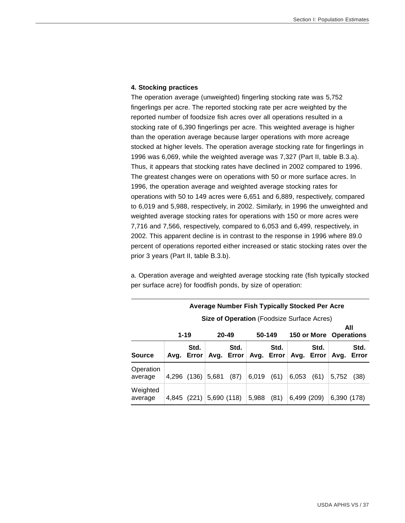#### **4. Stocking practices**

The operation average (unweighted) fingerling stocking rate was 5,752 fingerlings per acre. The reported stocking rate per acre weighted by the reported number of foodsize fish acres over all operations resulted in a stocking rate of 6,390 fingerlings per acre. This weighted average is higher than the operation average because larger operations with more acreage stocked at higher levels. The operation average stocking rate for fingerlings in 1996 was 6,069, while the weighted average was 7,327 (Part II, table B.3.a). Thus, it appears that stocking rates have declined in 2002 compared to 1996. The greatest changes were on operations with 50 or more surface acres. In 1996, the operation average and weighted average stocking rates for operations with 50 to 149 acres were 6,651 and 6,889, respectively, compared to 6,019 and 5,988, respectively, in 2002. Similarly, in 1996 the unweighted and weighted average stocking rates for operations with 150 or more acres were 7,716 and 7,566, respectively, compared to 6,053 and 6,499, respectively, in 2002. This apparent decline is in contrast to the response in 1996 where 89.0 percent of operations reported either increased or static stocking rates over the prior 3 years (Part II, table B.3.b).

a. Operation average and weighted average stocking rate (fish typically stocked per surface acre) for foodfish ponds, by size of operation:

|                      | <b>Average Number Fish Typically Stocked Per Acre</b> |                    |             |                    |       |                    |             |                    |                               |               |
|----------------------|-------------------------------------------------------|--------------------|-------------|--------------------|-------|--------------------|-------------|--------------------|-------------------------------|---------------|
|                      | Size of Operation (Foodsize Surface Acres)            |                    |             |                    |       |                    |             |                    |                               |               |
|                      | $1 - 19$                                              |                    |             | $20 - 49$          |       | 50-149             |             |                    | All<br>150 or More Operations |               |
| <b>Source</b>        |                                                       | Std.<br>Avg. Error |             | Std.<br>Avg. Error |       | Std.<br>Avg. Error |             | Std.<br>Avg. Error | Avg.                          | Std.<br>Error |
| Operation<br>average |                                                       | 4,296 (136)        | 5,681       | (87)               | 6,019 | (61)               | 6,053       | (61)               | 5,752                         | (38)          |
| Weighted<br>average  | 4.845                                                 | (221)              | 5,690 (118) |                    | 5,988 | (81)               | 6,499 (209) |                    | 6,390 (178)                   |               |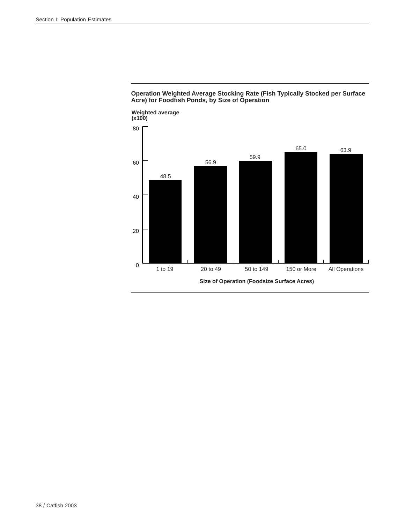

**Operation Weighted Average Stocking Rate (Fish Typically Stocked per Surface Acre) for Foodfish Ponds, by Size of Operation**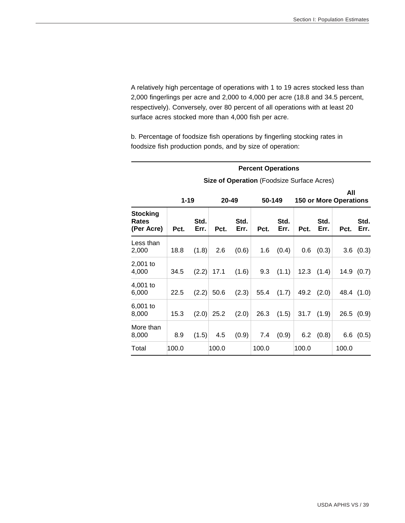A relatively high percentage of operations with 1 to 19 acres stocked less than 2,000 fingerlings per acre and 2,000 to 4,000 per acre (18.8 and 34.5 percent, respectively). Conversely, over 80 percent of all operations with at least 20 surface acres stocked more than 4,000 fish per acre.

 **Percent Operations** 

b. Percentage of foodsize fish operations by fingerling stocking rates in foodsize fish production ponds, and by size of operation:

|                                        |          | <b>Size of Operation (Foodsize Surface Acres)</b> |       |                 |       |              |       |              |                                      |              |  |
|----------------------------------------|----------|---------------------------------------------------|-------|-----------------|-------|--------------|-------|--------------|--------------------------------------|--------------|--|
|                                        | $1 - 19$ |                                                   |       | 20-49<br>50-149 |       |              |       |              | All<br><b>150 or More Operations</b> |              |  |
| <b>Stocking</b><br>Rates<br>(Per Acre) | Pct.     | Std.<br>Err.                                      | Pct.  | Std.<br>Err.    | Pct.  | Std.<br>Err. | Pct.  | Std.<br>Err. | Pct.                                 | Std.<br>Err. |  |
| Less than<br>2,000                     | 18.8     | (1.8)                                             | 2.6   | (0.6)           | 1.6   | (0.4)        | 0.6   | (0.3)        |                                      | 3.6(0.3)     |  |
| 2,001 to<br>4,000                      | 34.5     | (2.2)                                             | 17.1  | (1.6)           | 9.3   | (1.1)        | 12.3  | (1.4)        |                                      | 14.9(0.7)    |  |
| 4,001 to<br>6,000                      | 22.5     | (2.2)                                             | 50.6  | (2.3)           | 55.4  | (1.7)        | 49.2  | (2.0)        |                                      | 48.4 (1.0)   |  |
| 6,001 to<br>8,000                      | 15.3     | (2.0)                                             | 25.2  | (2.0)           | 26.3  | (1.5)        | 31.7  | (1.9)        |                                      | 26.5(0.9)    |  |
| More than<br>8,000                     | 8.9      | (1.5)                                             | 4.5   | (0.9)           | 7.4   | (0.9)        | 6.2   | (0.8)        | 6.6                                  | (0.5)        |  |
| Total                                  | 100.0    |                                                   | 100.0 |                 | 100.0 |              | 100.0 |              | 100.0                                |              |  |

USDA APHIS VS / 39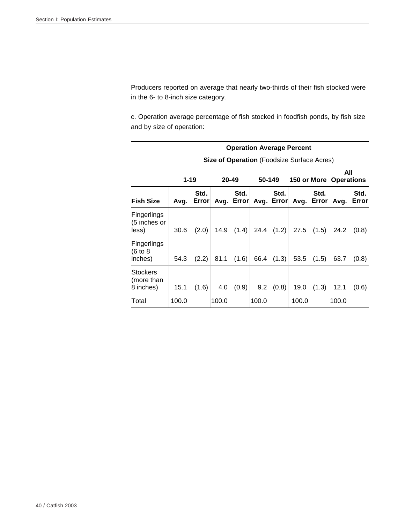l.

Producers reported on average that nearly two-thirds of their fish stocked were in the 6- to 8-inch size category.

c. Operation average percentage of fish stocked in foodfish ponds, by fish size and by size of operation:

|                                            | <b>Operation Average Percent</b> |                    |       |           |       |                |                                                   |                |                               |               |
|--------------------------------------------|----------------------------------|--------------------|-------|-----------|-------|----------------|---------------------------------------------------|----------------|-------------------------------|---------------|
|                                            |                                  |                    |       |           |       |                | <b>Size of Operation</b> (Foodsize Surface Acres) |                |                               |               |
|                                            | $1 - 19$                         |                    |       | $20 - 49$ |       | 50-149         |                                                   |                | All<br>150 or More Operations |               |
| <b>Fish Size</b>                           |                                  | Std.<br>Avg. Error |       | Std.      |       | Std.           | Avg. Error Avg. Error Avg. Error                  | Std.           | Avq.                          | Std.<br>Error |
| Fingerlings<br>(5 inches or<br>less)       | 30.6                             | (2.0)              | 14.9  | (1.4)     |       | $24.4$ $(1.2)$ |                                                   | $27.5$ $(1.5)$ | 24.2                          | (0.8)         |
| Fingerlings<br>(6 to 8)<br>inches)         | 54.3                             | (2.2)              | 81.1  | (1.6)     |       | 66.4 $(1.3)$   | 53.5                                              | (1.5)          | 63.7                          | (0.8)         |
| <b>Stockers</b><br>(more than<br>8 inches) | 15.1                             | (1.6)              | 4.0   | (0.9)     | 9.2   | (0.8)          | 19.0                                              | (1.3)          | 12.1                          | (0.6)         |
| Total                                      | 100.0                            |                    | 100.0 |           | 100.0 |                | 100.0                                             |                | 100.0                         |               |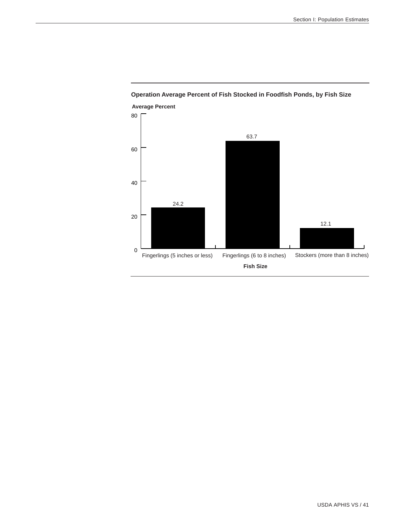

# **Operation Average Percent of Fish Stocked in Foodfish Ponds, by Fish Size**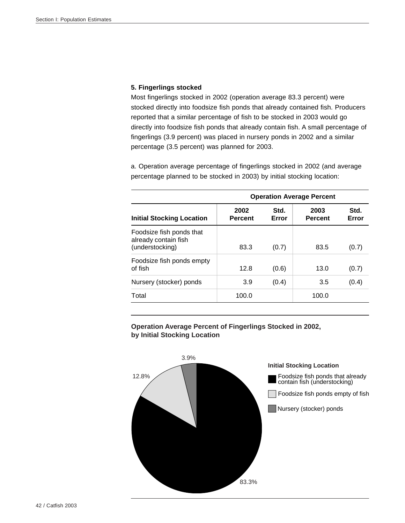### **5. Fingerlings stocked**

Most fingerlings stocked in 2002 (operation average 83.3 percent) were stocked directly into foodsize fish ponds that already contained fish. Producers reported that a similar percentage of fish to be stocked in 2003 would go directly into foodsize fish ponds that already contain fish. A small percentage of fingerlings (3.9 percent) was placed in nursery ponds in 2002 and a similar percentage (3.5 percent) was planned for 2003.

a. Operation average percentage of fingerlings stocked in 2002 (and average percentage planned to be stocked in 2003) by initial stocking location:

|                                                                     | <b>Operation Average Percent</b> |               |                        |               |  |  |  |  |  |
|---------------------------------------------------------------------|----------------------------------|---------------|------------------------|---------------|--|--|--|--|--|
| <b>Initial Stocking Location</b>                                    | 2002<br><b>Percent</b>           | Std.<br>Error | 2003<br><b>Percent</b> | Std.<br>Error |  |  |  |  |  |
| Foodsize fish ponds that<br>already contain fish<br>(understocking) | 83.3                             | (0.7)         | 83.5                   | (0.7)         |  |  |  |  |  |
| Foodsize fish ponds empty<br>of fish                                | 12.8                             | (0.6)         | 13.0                   | (0.7)         |  |  |  |  |  |
| Nursery (stocker) ponds                                             | 3.9                              | (0.4)         | 3.5                    | (0.4)         |  |  |  |  |  |
| Total                                                               | 100.0                            |               | 100.0                  |               |  |  |  |  |  |

**Operation Average Percent of Fingerlings Stocked in 2002, by Initial Stocking Location**

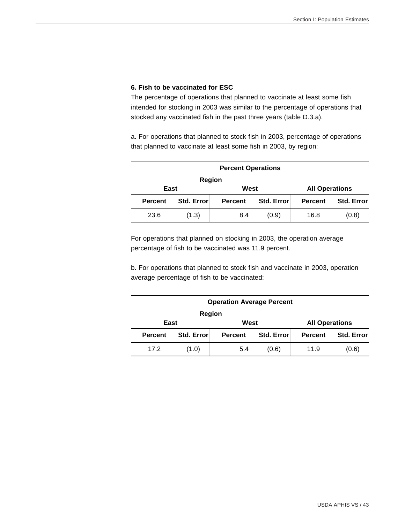# **6. Fish to be vaccinated for ESC**

The percentage of operations that planned to vaccinate at least some fish intended for stocking in 2003 was similar to the percentage of operations that stocked any vaccinated fish in the past three years (table D.3.a).

a. For operations that planned to stock fish in 2003, percentage of operations that planned to vaccinate at least some fish in 2003, by region:

|                | <b>Percent Operations</b> |                       |                   |      |       |  |  |  |  |  |  |
|----------------|---------------------------|-----------------------|-------------------|------|-------|--|--|--|--|--|--|
|                | <b>Region</b>             |                       |                   |      |       |  |  |  |  |  |  |
| East           |                           | <b>All Operations</b> |                   |      |       |  |  |  |  |  |  |
| <b>Percent</b> | <b>Std. Error</b>         | <b>Percent</b>        | <b>Std. Error</b> |      |       |  |  |  |  |  |  |
| 23.6           | (1.3)                     | 8.4                   | (0.9)             | 16.8 | (0.8) |  |  |  |  |  |  |

For operations that planned on stocking in 2003, the operation average percentage of fish to be vaccinated was 11.9 percent.

b. For operations that planned to stock fish and vaccinate in 2003, operation average percentage of fish to be vaccinated:

|                | <b>Operation Average Percent</b>           |                       |       |      |                   |  |  |  |  |  |  |
|----------------|--------------------------------------------|-----------------------|-------|------|-------------------|--|--|--|--|--|--|
| Region         |                                            |                       |       |      |                   |  |  |  |  |  |  |
| East           |                                            | <b>All Operations</b> |       |      |                   |  |  |  |  |  |  |
| <b>Percent</b> | Std. Error<br>Std. Error<br><b>Percent</b> |                       |       |      | <b>Std. Error</b> |  |  |  |  |  |  |
| 17.2           | (1.0)                                      | 5.4                   | (0.6) | 11.9 | (0.6)             |  |  |  |  |  |  |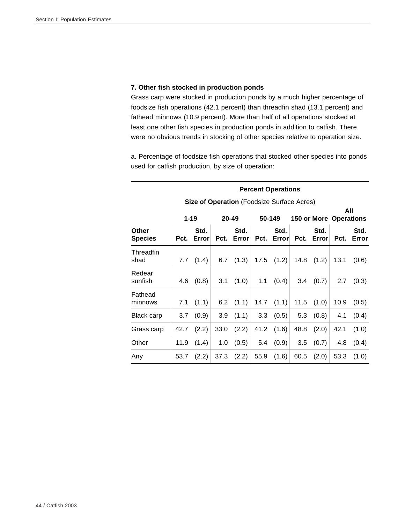# **7. Other fish stocked in production ponds**

Grass carp were stocked in production ponds by a much higher percentage of foodsize fish operations (42.1 percent) than threadfin shad (13.1 percent) and fathead minnows (10.9 percent). More than half of all operations stocked at least one other fish species in production ponds in addition to catfish. There were no obvious trends in stocking of other species relative to operation size.

a. Percentage of foodsize fish operations that stocked other species into ponds used for catfish production, by size of operation:

|                         | <b>Percent Operations</b> |               |      |                                                   |      |               |      |                               |      |               |
|-------------------------|---------------------------|---------------|------|---------------------------------------------------|------|---------------|------|-------------------------------|------|---------------|
|                         |                           |               |      | <b>Size of Operation</b> (Foodsize Surface Acres) |      |               |      |                               |      |               |
|                         |                           | $1 - 19$      |      | 20-49                                             |      | 50-149        |      | <b>150 or More Operations</b> |      | All           |
| Other<br><b>Species</b> | Pct.                      | Std.<br>Error | Pct. | Std.<br>Error                                     | Pct. | Std.<br>Error | Pct. | Std.<br>Error                 | Pct. | Std.<br>Error |
| Threadfin<br>shad       | 7.7                       | (1.4)         | 6.7  | (1.3)                                             | 17.5 | (1.2)         | 14.8 | (1.2)                         | 13.1 | (0.6)         |
| Redear<br>sunfish       | 4.6                       | (0.8)         | 3.1  | (1.0)                                             | 1.1  | (0.4)         | 3.4  | (0.7)                         | 2.7  | (0.3)         |
| Fathead<br>minnows      | 7.1                       | (1.1)         | 6.2  | (1.1)                                             | 14.7 | (1.1)         | 11.5 | (1.0)                         | 10.9 | (0.5)         |
| <b>Black carp</b>       | 3.7                       | (0.9)         | 3.9  | (1.1)                                             | 3.3  | (0.5)         | 5.3  | (0.8)                         | 4.1  | (0.4)         |
| Grass carp              | 42.7                      | (2.2)         | 33.0 | (2.2)                                             | 41.2 | (1.6)         | 48.8 | (2.0)                         | 42.1 | (1.0)         |
| Other                   | 11.9                      | (1.4)         | 1.0  | (0.5)                                             | 5.4  | (0.9)         | 3.5  | (0.7)                         | 4.8  | (0.4)         |
| Any                     | 53.7                      | (2.2)         | 37.3 | (2.2)                                             | 55.9 | (1.6)         | 60.5 | (2.0)                         | 53.3 | (1.0)         |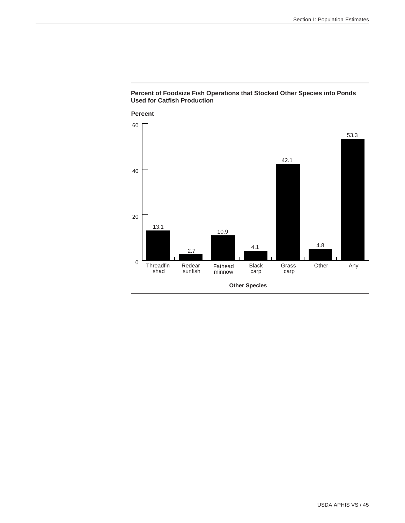

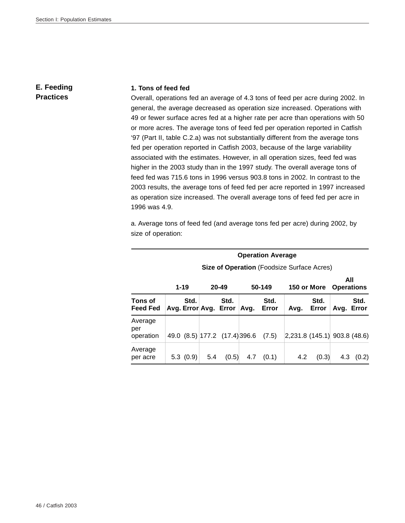# **E. Feeding Practices**

#### **1. Tons of feed fed**

Overall, operations fed an average of 4.3 tons of feed per acre during 2002. In general, the average decreased as operation size increased. Operations with 49 or fewer surface acres fed at a higher rate per acre than operations with 50 or more acres. The average tons of feed fed per operation reported in Catfish '97 (Part II, table C.2.a) was not substantially different from the average tons fed per operation reported in Catfish 2003, because of the large variability associated with the estimates. However, in all operation sizes, feed fed was higher in the 2003 study than in the 1997 study. The overall average tons of feed fed was 715.6 tons in 1996 versus 903.8 tons in 2002. In contrast to the 2003 results, the average tons of feed fed per acre reported in 1997 increased as operation size increased. The overall average tons of feed fed per acre in 1996 was 4.9.

a. Average tons of feed fed (and average tons fed per acre) during 2002, by size of operation:

|                             | <b>Operation Average</b>                          |          |                       |                               |      |               |                              |               |                          |       |
|-----------------------------|---------------------------------------------------|----------|-----------------------|-------------------------------|------|---------------|------------------------------|---------------|--------------------------|-------|
|                             | <b>Size of Operation (Foodsize Surface Acres)</b> |          |                       |                               |      |               |                              |               |                          |       |
|                             |                                                   | $1 - 19$ |                       | $20 - 49$                     |      | 50-149        | 150 or More                  |               | All<br><b>Operations</b> |       |
| Tons of<br><b>Feed Fed</b>  |                                                   | Std.     | Avg. Error Avg. Error | Std.                          | Avg. | Std.<br>Error | Avg.                         | Std.<br>Error | Avg. Error               | Std.  |
| Average<br>per<br>operation |                                                   |          |                       | 49.0 (8.5) 177.2 (17.4) 396.6 |      | (7.5)         | 2,231.8 (145.1) 903.8 (48.6) |               |                          |       |
| Average<br>per acre         |                                                   | 5.3(0.9) | 5.4                   | (0.5)                         | 4.7  | (0.1)         | 4.2                          | (0.3)         | 4.3                      | (0.2) |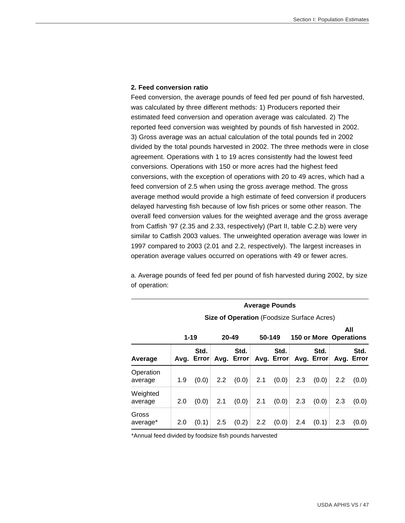#### **2. Feed conversion ratio**

Feed conversion, the average pounds of feed fed per pound of fish harvested, was calculated by three different methods: 1) Producers reported their estimated feed conversion and operation average was calculated. 2) The reported feed conversion was weighted by pounds of fish harvested in 2002. 3) Gross average was an actual calculation of the total pounds fed in 2002 divided by the total pounds harvested in 2002. The three methods were in close agreement. Operations with 1 to 19 acres consistently had the lowest feed conversions. Operations with 150 or more acres had the highest feed conversions, with the exception of operations with 20 to 49 acres, which had a feed conversion of 2.5 when using the gross average method. The gross average method would provide a high estimate of feed conversion if producers delayed harvesting fish because of low fish prices or some other reason. The overall feed conversion values for the weighted average and the gross average from Catfish '97 (2.35 and 2.33, respectively) (Part II, table C.2.b) were very similar to Catfish 2003 values. The unweighted operation average was lower in 1997 compared to 2003 (2.01 and 2.2, respectively). The largest increases in operation average values occurred on operations with 49 or fewer acres.

a. Average pounds of feed fed per pound of fish harvested during 2002, by size of operation:

|                      |     |                                                   |           |                    | <b>Average Pounds</b> |                    |     |                    |                               |                    |  |  |
|----------------------|-----|---------------------------------------------------|-----------|--------------------|-----------------------|--------------------|-----|--------------------|-------------------------------|--------------------|--|--|
|                      |     | <b>Size of Operation (Foodsize Surface Acres)</b> |           |                    |                       |                    |     |                    |                               |                    |  |  |
|                      |     | $1 - 19$                                          | $20 - 49$ |                    | 50-149                |                    |     |                    | All<br>150 or More Operations |                    |  |  |
| Average              |     | Std.<br>Avg. Error                                |           | Std.<br>Avg. Error |                       | Std.<br>Avg. Error |     | Std.<br>Avg. Error |                               | Std.<br>Avg. Error |  |  |
| Operation<br>average | 1.9 | (0.0)                                             | 2.2       | (0.0)              | 2.1                   | (0.0)              | 2.3 | (0.0)              | 2.2                           | (0.0)              |  |  |
| Weighted<br>average  | 2.0 | (0.0)                                             | 2.1       | (0.0)              | 2.1                   | (0.0)              | 2.3 | (0.0)              | 2.3                           | (0.0)              |  |  |
| Gross<br>average*    | 2.0 | (0.1)                                             | 2.5       | (0.2)              | $2.2^{\circ}$         | (0.0)              | 2.4 | (0.1)              | 2.3                           | (0.0)              |  |  |

\*Annual feed divided by foodsize fish pounds harvested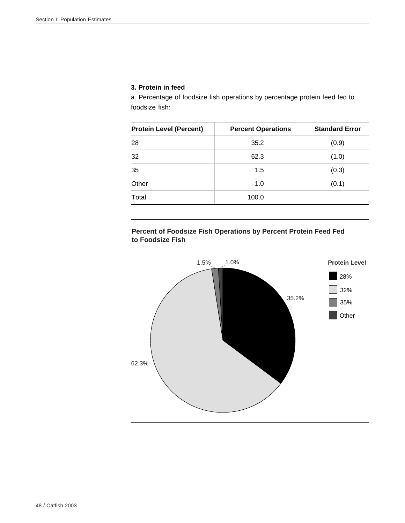# **3. Protein in feed**

a. Percentage of foodsize fish operations by percentage protein feed fed to foodsize fish:

| <b>Protein Level (Percent)</b> | <b>Percent Operations</b> | <b>Standard Error</b> |  |  |
|--------------------------------|---------------------------|-----------------------|--|--|
| 28                             | 35.2                      | (0.9)                 |  |  |
| 32                             | 62.3                      | (1.0)                 |  |  |
| 35                             | 1.5                       | (0.3)                 |  |  |
| Other                          | 1.0                       | (0.1)                 |  |  |
| Total                          | 100.0                     |                       |  |  |

# **Percent of Foodsize Fish Operations by Percent Protein Feed Fed to Foodsize Fish**

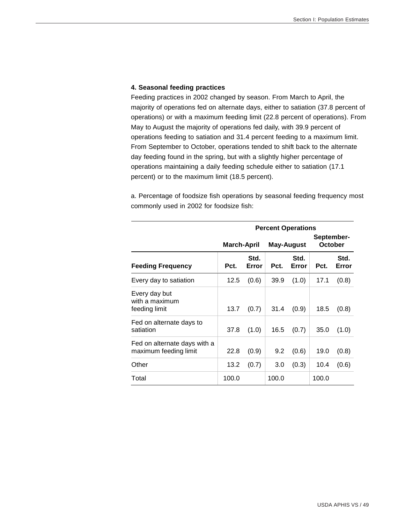#### **4. Seasonal feeding practices**

Feeding practices in 2002 changed by season. From March to April, the majority of operations fed on alternate days, either to satiation (37.8 percent of operations) or with a maximum feeding limit (22.8 percent of operations). From May to August the majority of operations fed daily, with 39.9 percent of operations feeding to satiation and 31.4 percent feeding to a maximum limit. From September to October, operations tended to shift back to the alternate day feeding found in the spring, but with a slightly higher percentage of operations maintaining a daily feeding schedule either to satiation (17.1 percent) or to the maximum limit (18.5 percent).

a. Percentage of foodsize fish operations by seasonal feeding frequency most commonly used in 2002 for foodsize fish:

|                                                       |                                  |               | <b>Percent Operations</b> |               |                       |               |  |
|-------------------------------------------------------|----------------------------------|---------------|---------------------------|---------------|-----------------------|---------------|--|
|                                                       | <b>March-April</b><br>May-August |               |                           |               | September-<br>October |               |  |
| <b>Feeding Frequency</b>                              | Pct.                             | Std.<br>Error | Pct.                      | Std.<br>Error | Pct.                  | Std.<br>Error |  |
| Every day to satiation                                | 12.5                             | (0.6)         | 39.9                      | (1.0)         | 17.1                  | (0.8)         |  |
| Every day but<br>with a maximum<br>feeding limit      | 13.7                             | (0.7)         | 31.4                      | (0.9)         | 18.5                  | (0.8)         |  |
| Fed on alternate days to<br>satiation                 | 37.8                             | (1.0)         | 16.5                      | (0.7)         | 35.0                  | (1.0)         |  |
| Fed on alternate days with a<br>maximum feeding limit | 22.8                             | (0.9)         | 9.2                       | (0.6)         | 19.0                  | (0.8)         |  |
| Other                                                 | 13.2                             | (0.7)         | 3.0                       | (0.3)         | 10.4                  | (0.6)         |  |
| Total                                                 | 100.0                            |               | 100.0                     |               | 100.0                 |               |  |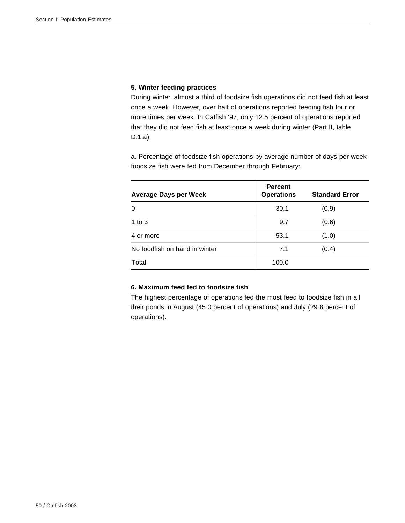# **5. Winter feeding practices**

During winter, almost a third of foodsize fish operations did not feed fish at least once a week. However, over half of operations reported feeding fish four or more times per week. In Catfish '97, only 12.5 percent of operations reported that they did not feed fish at least once a week during winter (Part II, table D.1.a).

a. Percentage of foodsize fish operations by average number of days per week foodsize fish were fed from December through February:

| <b>Average Days per Week</b>  | <b>Percent</b><br><b>Operations</b> | <b>Standard Error</b> |
|-------------------------------|-------------------------------------|-----------------------|
| $\Omega$                      | 30.1                                | (0.9)                 |
| 1 to $3$                      | 9.7                                 | (0.6)                 |
| 4 or more                     | 53.1                                | (1.0)                 |
| No foodfish on hand in winter | 7.1                                 | (0.4)                 |
| Total                         | 100.0                               |                       |

# **6. Maximum feed fed to foodsize fish**

The highest percentage of operations fed the most feed to foodsize fish in all their ponds in August (45.0 percent of operations) and July (29.8 percent of operations).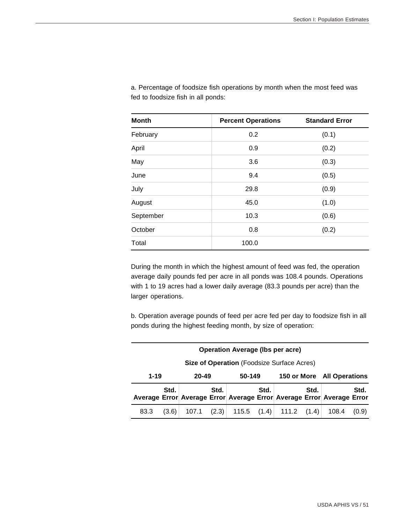| <b>Month</b> | <b>Percent Operations</b> | <b>Standard Error</b> |
|--------------|---------------------------|-----------------------|
| February     | 0.2                       | (0.1)                 |
| April        | 0.9                       | (0.2)                 |
| May          | 3.6                       | (0.3)                 |
| June         | 9.4                       | (0.5)                 |
| July         | 29.8                      | (0.9)                 |
| August       | 45.0                      | (1.0)                 |
| September    | 10.3                      | (0.6)                 |
| October      | 0.8                       | (0.2)                 |
| Total        | 100.0                     |                       |

a. Percentage of foodsize fish operations by month when the most feed was fed to foodsize fish in all ponds:

During the month in which the highest amount of feed was fed, the operation average daily pounds fed per acre in all ponds was 108.4 pounds. Operations with 1 to 19 acres had a lower daily average (83.3 pounds per acre) than the larger operations.

b. Operation average pounds of feed per acre fed per day to foodsize fish in all ponds during the highest feeding month, by size of operation:

| <b>Operation Average (Ibs per acre)</b>    |       |                 |      |  |        |                                       |                            |                                                                       |       |
|--------------------------------------------|-------|-----------------|------|--|--------|---------------------------------------|----------------------------|-----------------------------------------------------------------------|-------|
| Size of Operation (Foodsize Surface Acres) |       |                 |      |  |        |                                       |                            |                                                                       |       |
| $1 - 19$                                   |       | 50-149<br>20-49 |      |  |        |                                       | 150 or More All Operations |                                                                       |       |
|                                            | Std.  |                 | Std. |  | Std. I |                                       | Std.                       | Average Error Average Error Average Error Average Error Average Error | Std.  |
| 83.3                                       | (3.6) |                 |      |  |        | $107.1$ (2.3) 115.5 (1.4) 111.2 (1.4) |                            | 108.4                                                                 | (0.9) |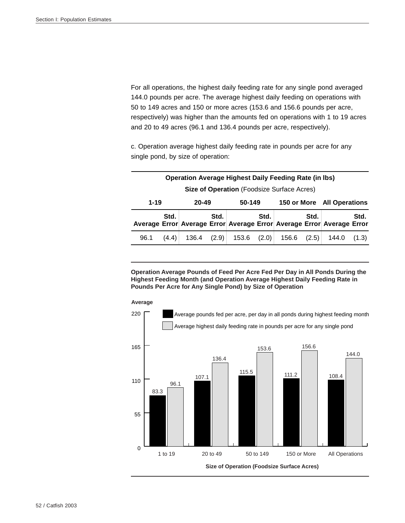For all operations, the highest daily feeding rate for any single pond averaged 144.0 pounds per acre. The average highest daily feeding on operations with 50 to 149 acres and 150 or more acres (153.6 and 156.6 pounds per acre, respectively) was higher than the amounts fed on operations with 1 to 19 acres and 20 to 49 acres (96.1 and 136.4 pounds per acre, respectively).

c. Operation average highest daily feeding rate in pounds per acre for any single pond, by size of operation:

|                                            | <b>Operation Average Highest Daily Feeding Rate (in Ibs)</b> |  |      |  |                            |                                                                       |      |  |      |  |
|--------------------------------------------|--------------------------------------------------------------|--|------|--|----------------------------|-----------------------------------------------------------------------|------|--|------|--|
| Size of Operation (Foodsize Surface Acres) |                                                              |  |      |  |                            |                                                                       |      |  |      |  |
|                                            | $1 - 19$<br>20-49<br>50-149                                  |  |      |  | 150 or More All Operations |                                                                       |      |  |      |  |
|                                            | Std.                                                         |  | Std. |  | Std.                       | Average Error Average Error Average Error Average Error Average Error | Std. |  | Std. |  |
|                                            |                                                              |  |      |  |                            |                                                                       |      |  |      |  |

**Operation Average Pounds of Feed Per Acre Fed Per Day in All Ponds During the Highest Feeding Month (and Operation Average Highest Daily Feeding Rate in Pounds Per Acre for Any Single Pond) by Size of Operation**

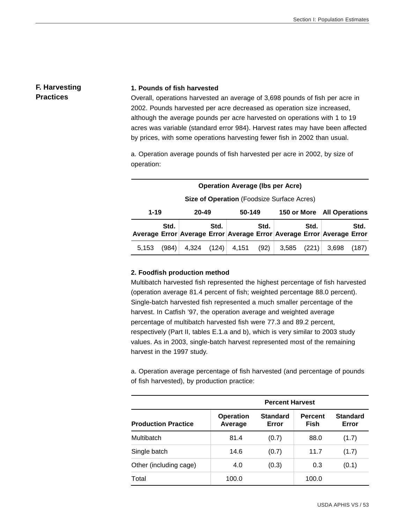# **F. Harvesting Practices**

#### **1. Pounds of fish harvested**

Overall, operations harvested an average of 3,698 pounds of fish per acre in 2002. Pounds harvested per acre decreased as operation size increased, although the average pounds per acre harvested on operations with 1 to 19 acres was variable (standard error 984). Harvest rates may have been affected by prices, with some operations harvesting fewer fish in 2002 than usual.

a. Operation average pounds of fish harvested per acre in 2002, by size of operation:

| <b>Operation Average (Ibs per Acre)</b>    |       |                 |       |       |      |                                                                       |                            |       |       |
|--------------------------------------------|-------|-----------------|-------|-------|------|-----------------------------------------------------------------------|----------------------------|-------|-------|
| Size of Operation (Foodsize Surface Acres) |       |                 |       |       |      |                                                                       |                            |       |       |
| $1 - 19$                                   |       | 50-149<br>20-49 |       |       |      |                                                                       | 150 or More All Operations |       |       |
|                                            | Std.  |                 | Std.  |       | Std. | Average Error Average Error Average Error Average Error Average Error | Std.                       |       | Std.  |
| 5.153                                      | (984) | 4.324           | (124) | 4,151 | (92) | 3,585                                                                 | (221)                      | 3.698 | (187) |

### **2. Foodfish production method**

Multibatch harvested fish represented the highest percentage of fish harvested (operation average 81.4 percent of fish; weighted percentage 88.0 percent). Single-batch harvested fish represented a much smaller percentage of the harvest. In Catfish '97, the operation average and weighted average percentage of multibatch harvested fish were 77.3 and 89.2 percent, respectively (Part II, tables E.1.a and b), which is very similar to 2003 study values. As in 2003, single-batch harvest represented most of the remaining harvest in the 1997 study.

a. Operation average percentage of fish harvested (and percentage of pounds of fish harvested), by production practice:

|                            | <b>Percent Harvest</b>      |                          |                               |                          |  |  |  |  |
|----------------------------|-----------------------------|--------------------------|-------------------------------|--------------------------|--|--|--|--|
| <b>Production Practice</b> | <b>Operation</b><br>Average | <b>Standard</b><br>Error | <b>Percent</b><br><b>Fish</b> | <b>Standard</b><br>Error |  |  |  |  |
| Multibatch                 | 81.4                        | (0.7)                    | 88.0                          | (1.7)                    |  |  |  |  |
| Single batch               | 14.6                        | (0.7)                    | 11.7                          | (1.7)                    |  |  |  |  |
| Other (including cage)     | 4.0                         | (0.3)                    | 0.3                           | (0.1)                    |  |  |  |  |
| Total                      | 100.0                       |                          | 100.0                         |                          |  |  |  |  |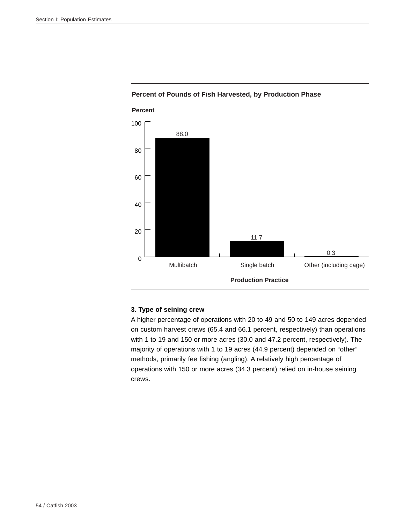

# **Percent of Pounds of Fish Harvested, by Production Phase**

# **3. Type of seining crew**

A higher percentage of operations with 20 to 49 and 50 to 149 acres depended on custom harvest crews (65.4 and 66.1 percent, respectively) than operations with 1 to 19 and 150 or more acres (30.0 and 47.2 percent, respectively). The majority of operations with 1 to 19 acres (44.9 percent) depended on "other" methods, primarily fee fishing (angling). A relatively high percentage of operations with 150 or more acres (34.3 percent) relied on in-house seining crews.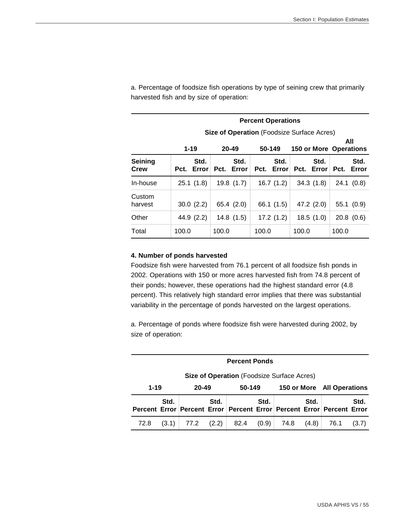|                   | <b>Percent Operations</b> |                                                   |                    |                               |                       |  |  |  |  |  |
|-------------------|---------------------------|---------------------------------------------------|--------------------|-------------------------------|-----------------------|--|--|--|--|--|
|                   |                           | <b>Size of Operation (Foodsize Surface Acres)</b> |                    |                               |                       |  |  |  |  |  |
|                   | $1 - 19$                  | $20 - 49$                                         | 50-149             | <b>150 or More Operations</b> | All                   |  |  |  |  |  |
| Seining<br>Crew   | Std.<br>Error<br>Pct.     | Std.<br>Pct.<br>Error                             | Std.<br>Pct. Error | Std.<br>Pct. Error            | Std.<br>Pct.<br>Error |  |  |  |  |  |
| In-house          | 25.1(1.8)                 | 19.8(1.7)                                         | 16.7(1.2)          | 34.3(1.8)                     | 24.1 (0.8)            |  |  |  |  |  |
| Custom<br>harvest | 30.0(2.2)                 | 65.4(2.0)                                         | 66.1 (1.5)         | 47.2 (2.0)                    | 55.1(0.9)             |  |  |  |  |  |
| Other             | 44.9 (2.2)                | 14.8(1.5)                                         | 17.2(1.2)          | 18.5(1.0)                     | 20.8(0.6)             |  |  |  |  |  |
| Total             | 100.0                     | 100.0                                             | 100.0              | 100.0                         | 100.0                 |  |  |  |  |  |

a. Percentage of foodsize fish operations by type of seining crew that primarily harvested fish and by size of operation:

### **4. Number of ponds harvested**

Foodsize fish were harvested from 76.1 percent of all foodsize fish ponds in 2002. Operations with 150 or more acres harvested fish from 74.8 percent of their ponds; however, these operations had the highest standard error (4.8 percent). This relatively high standard error implies that there was substantial variability in the percentage of ponds harvested on the largest operations.

a. Percentage of ponds where foodsize fish were harvested during 2002, by size of operation:

| <b>Percent Ponds</b>        |                                                   |            |      |      |                            |      |       |                                                                       |       |  |
|-----------------------------|---------------------------------------------------|------------|------|------|----------------------------|------|-------|-----------------------------------------------------------------------|-------|--|
|                             | <b>Size of Operation</b> (Foodsize Surface Acres) |            |      |      |                            |      |       |                                                                       |       |  |
| $1 - 19$<br>20-49<br>50-149 |                                                   |            |      |      | 150 or More All Operations |      |       |                                                                       |       |  |
|                             | Std.                                              |            | Std. |      | Std.                       |      | Std.  | Percent Error Percent Error Percent Error Percent Error Percent Error | Std.  |  |
| 72.8                        | (3.1)                                             | 77.2 (2.2) |      | 82.4 | (0.9)                      | 74.8 | (4.8) | 76.1                                                                  | (3.7) |  |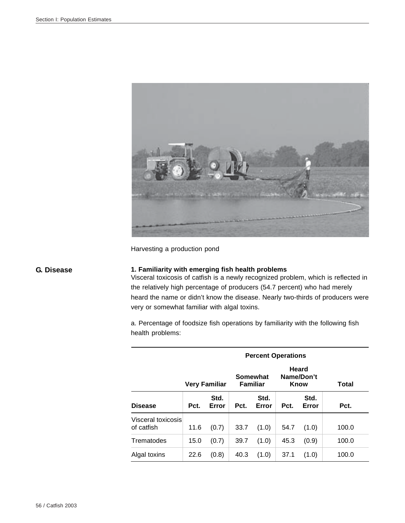

Harvesting a production pond

# **G. Disease 1. Familiarity with emerging fish health problems**

Visceral toxicosis of catfish is a newly recognized problem, which is reflected in the relatively high percentage of producers (54.7 percent) who had merely heard the name or didn't know the disease. Nearly two-thirds of producers were very or somewhat familiar with algal toxins.

a. Percentage of foodsize fish operations by familiarity with the following fish health problems:

| <b>Percent Operations</b>        |      |               |      |                             |      |                             |       |
|----------------------------------|------|---------------|------|-----------------------------|------|-----------------------------|-------|
|                                  |      | Very Familiar |      | Somewhat<br><b>Familiar</b> |      | Heard<br>Name/Don't<br>Know | Total |
| <b>Disease</b>                   | Pct. | Std.<br>Error | Pct. | Std.<br>Error               | Pct. | Std.<br>Error               | Pct.  |
| Visceral toxicosis<br>of catfish | 11.6 | (0.7)         | 33.7 | (1.0)                       | 54.7 | (1.0)                       | 100.0 |
| Trematodes                       | 15.0 | (0.7)         | 39.7 | (1.0)                       | 45.3 | (0.9)                       | 100.0 |
| Algal toxins                     | 22.6 | (0.8)         | 40.3 | (1.0)                       | 37.1 | (1.0)                       | 100.0 |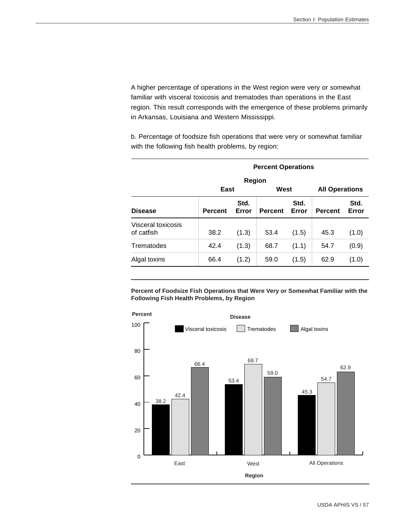A higher percentage of operations in the West region were very or somewhat familiar with visceral toxicosis and trematodes than operations in the East region. This result corresponds with the emergence of these problems primarily in Arkansas, Louisiana and Western Mississippi.

b. Percentage of foodsize fish operations that were very or somewhat familiar with the following fish health problems, by region:

|                                       | <b>Percent Operations</b> |               |                |               |                |               |  |  |  |
|---------------------------------------|---------------------------|---------------|----------------|---------------|----------------|---------------|--|--|--|
|                                       |                           | Region        |                |               |                |               |  |  |  |
| West<br>East<br><b>All Operations</b> |                           |               |                |               |                |               |  |  |  |
| <b>Disease</b>                        | <b>Percent</b>            | Std.<br>Error | <b>Percent</b> | Std.<br>Error | <b>Percent</b> | Std.<br>Error |  |  |  |
| Visceral toxicosis<br>of catfish      | 38.2                      | (1.3)         | 53.4           | (1.5)         | 45.3           | (1.0)         |  |  |  |
| Trematodes                            | 42.4                      | (1.3)         | 68.7           | (1.1)         | 54.7           | (0.9)         |  |  |  |
| Algal toxins                          | 66.4                      | (1.2)         | 59.0           | (1.5)         | 62.9           | (1.0)         |  |  |  |

**Percent of Foodsize Fish Operations that Were Very or Somewhat Familiar with the Following Fish Health Problems, by Region**

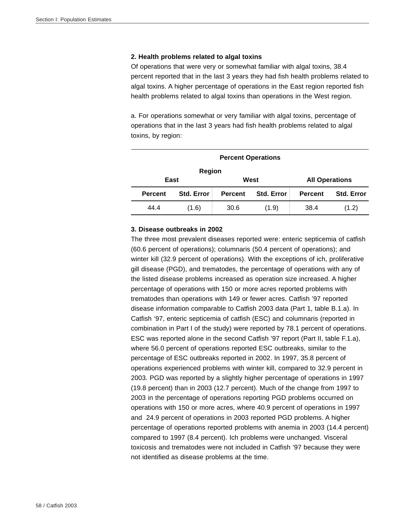#### **2. Health problems related to algal toxins**

Of operations that were very or somewhat familiar with algal toxins, 38.4 percent reported that in the last 3 years they had fish health problems related to algal toxins. A higher percentage of operations in the East region reported fish health problems related to algal toxins than operations in the West region.

a. For operations somewhat or very familiar with algal toxins, percentage of operations that in the last 3 years had fish health problems related to algal toxins, by region:

|                | <b>Percent Operations</b> |                |                       |                |                   |  |  |  |  |  |
|----------------|---------------------------|----------------|-----------------------|----------------|-------------------|--|--|--|--|--|
| Region         |                           |                |                       |                |                   |  |  |  |  |  |
| East           |                           | West           | <b>All Operations</b> |                |                   |  |  |  |  |  |
| <b>Percent</b> | <b>Std. Error</b>         | <b>Percent</b> | <b>Std. Error</b>     | <b>Percent</b> | <b>Std. Error</b> |  |  |  |  |  |
| 44.4           | (1.6)                     | 30.6           | (1.9)                 | 38.4           | (1.2)             |  |  |  |  |  |

#### **3. Disease outbreaks in 2002**

The three most prevalent diseases reported were: enteric septicemia of catfish (60.6 percent of operations); columnaris (50.4 percent of operations); and winter kill (32.9 percent of operations). With the exceptions of ich, proliferative gill disease (PGD), and trematodes, the percentage of operations with any of the listed disease problems increased as operation size increased. A higher percentage of operations with 150 or more acres reported problems with trematodes than operations with 149 or fewer acres. Catfish '97 reported disease information comparable to Catfish 2003 data (Part 1, table B.1.a). In Catfish '97, enteric septicemia of catfish (ESC) and columnaris (reported in combination in Part I of the study) were reported by 78.1 percent of operations. ESC was reported alone in the second Catfish '97 report (Part II, table F.1.a), where 56.0 percent of operations reported ESC outbreaks, similar to the percentage of ESC outbreaks reported in 2002. In 1997, 35.8 percent of operations experienced problems with winter kill, compared to 32.9 percent in 2003. PGD was reported by a slightly higher percentage of operations in 1997 (19.8 percent) than in 2003 (12.7 percent). Much of the change from 1997 to 2003 in the percentage of operations reporting PGD problems occurred on operations with 150 or more acres, where 40.9 percent of operations in 1997 and 24.9 percent of operations in 2003 reported PGD problems. A higher percentage of operations reported problems with anemia in 2003 (14.4 percent) compared to 1997 (8.4 percent). Ich problems were unchanged. Visceral toxicosis and trematodes were not included in Catfish '97 because they were not identified as disease problems at the time.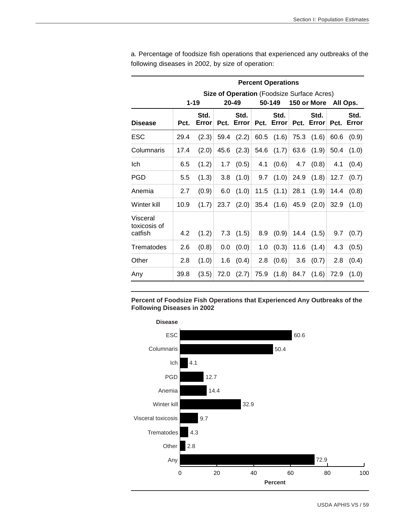|                                     |      |               |      |               |      | <b>Percent Operations</b> |      |                                                   |      |               |
|-------------------------------------|------|---------------|------|---------------|------|---------------------------|------|---------------------------------------------------|------|---------------|
|                                     |      |               |      |               |      |                           |      | <b>Size of Operation (Foodsize Surface Acres)</b> |      |               |
|                                     |      | $1 - 19$      |      | 20-49         |      | 50-149                    |      | 150 or More                                       |      | All Ops.      |
| <b>Disease</b>                      | Pct. | Std.<br>Error | Pct. | Std.<br>Error | Pct. | Std.<br>Error             | Pct. | Std.<br>Error                                     | Pct. | Std.<br>Error |
| <b>ESC</b>                          | 29.4 | (2.3)         | 59.4 | (2.2)         | 60.5 | (1.6)                     | 75.3 | (1.6)                                             | 60.6 | (0.9)         |
| Columnaris                          | 17.4 | (2.0)         | 45.6 | (2.3)         | 54.6 | (1.7)                     | 63.6 | (1.9)                                             | 50.4 | (1.0)         |
| Ich                                 | 6.5  | (1.2)         | 1.7  | (0.5)         | 4.1  | (0.6)                     | 4.7  | (0.8)                                             | 4.1  | (0.4)         |
| <b>PGD</b>                          | 5.5  | (1.3)         | 3.8  | (1.0)         | 9.7  | (1.0)                     | 24.9 | (1.8)                                             | 12.7 | (0.7)         |
| Anemia                              | 2.7  | (0.9)         | 6.0  | (1.0)         | 11.5 | (1.1)                     | 28.1 | (1.9)                                             | 14.4 | (0.8)         |
| Winter kill                         | 10.9 | (1.7)         | 23.7 | (2.0)         | 35.4 | (1.6)                     | 45.9 | (2.0)                                             | 32.9 | (1.0)         |
| Visceral<br>toxicosis of<br>catfish | 4.2  | (1.2)         | 7.3  | (1.5)         | 8.9  | (0.9)                     | 14.4 | (1.5)                                             | 9.7  | (0.7)         |
| Trematodes                          | 2.6  | (0.8)         | 0.0  | (0.0)         | 1.0  | (0.3)                     | 11.6 | (1.4)                                             | 4.3  | (0.5)         |
| Other                               | 2.8  | (1.0)         | 1.6  | (0.4)         | 2.8  | (0.6)                     | 3.6  | (0.7)                                             | 2.8  | (0.4)         |
| Any                                 | 39.8 | (3.5)         | 72.0 | (2.7)         | 75.9 | (1.8)                     | 84.7 | (1.6)                                             | 72.9 | (1.0)         |

a. Percentage of foodsize fish operations that experienced any outbreaks of the following diseases in 2002, by size of operation:

**Percent of Foodsize Fish Operations that Experienced Any Outbreaks of the Following Diseases in 2002**

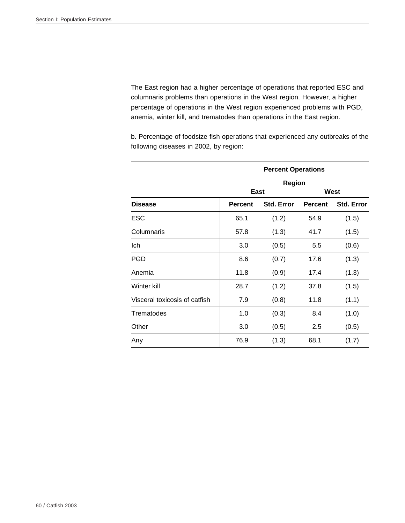The East region had a higher percentage of operations that reported ESC and columnaris problems than operations in the West region. However, a higher percentage of operations in the West region experienced problems with PGD, anemia, winter kill, and trematodes than operations in the East region.

b. Percentage of foodsize fish operations that experienced any outbreaks of the following diseases in 2002, by region:

|                               |                | <b>Percent Operations</b> |                |            |  |  |  |  |  |
|-------------------------------|----------------|---------------------------|----------------|------------|--|--|--|--|--|
|                               | <b>Region</b>  |                           |                |            |  |  |  |  |  |
|                               | East           |                           |                | West       |  |  |  |  |  |
| <b>Disease</b>                | <b>Percent</b> | Std. Error                | <b>Percent</b> | Std. Error |  |  |  |  |  |
| <b>ESC</b>                    | 65.1           | (1.2)                     | 54.9           | (1.5)      |  |  |  |  |  |
| Columnaris                    | 57.8           | (1.3)                     | 41.7           | (1.5)      |  |  |  |  |  |
| Ich                           | 3.0            | (0.5)                     | 5.5            | (0.6)      |  |  |  |  |  |
| <b>PGD</b>                    | 8.6            | (0.7)                     | 17.6           | (1.3)      |  |  |  |  |  |
| Anemia                        | 11.8           | (0.9)                     | 17.4           | (1.3)      |  |  |  |  |  |
| Winter kill                   | 28.7           | (1.2)                     | 37.8           | (1.5)      |  |  |  |  |  |
| Visceral toxicosis of catfish | 7.9            | (0.8)                     | 11.8           | (1.1)      |  |  |  |  |  |
| Trematodes                    | 1.0            | (0.3)                     | 8.4            | (1.0)      |  |  |  |  |  |
| Other                         | 3.0            | (0.5)                     | 2.5            | (0.5)      |  |  |  |  |  |
| Any                           | 76.9           | (1.3)                     | 68.1           | (1.7)      |  |  |  |  |  |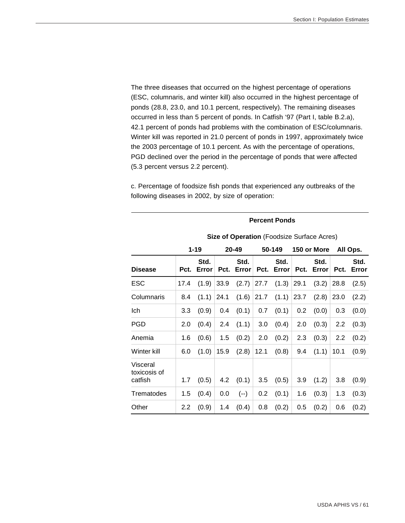The three diseases that occurred on the highest percentage of operations (ESC, columnaris, and winter kill) also occurred in the highest percentage of ponds (28.8, 23.0, and 10.1 percent, respectively). The remaining diseases occurred in less than 5 percent of ponds. In Catfish '97 (Part I, table B.2.a), 42.1 percent of ponds had problems with the combination of ESC/columnaris. Winter kill was reported in 21.0 percent of ponds in 1997, approximately twice the 2003 percentage of 10.1 percent. As with the percentage of operations, PGD declined over the period in the percentage of ponds that were affected (5.3 percent versus 2.2 percent).

c. Percentage of foodsize fish ponds that experienced any outbreaks of the following diseases in 2002, by size of operation:

|                                     |                  |               |      |               |        |               |             | <b>Size of Operation</b> (Foodsize Surface Acres) |          |               |  |
|-------------------------------------|------------------|---------------|------|---------------|--------|---------------|-------------|---------------------------------------------------|----------|---------------|--|
|                                     |                  | $1 - 19$      |      | 20-49         | 50-149 |               | 150 or More |                                                   | All Ops. |               |  |
| <b>Disease</b>                      | Pct.             | Std.<br>Error | Pct. | Std.<br>Error | Pct.   | Std.<br>Error | Pct.        | Std.<br>Error                                     | Pct.     | Std.<br>Error |  |
| <b>ESC</b>                          | 17.4             | (1.9)         | 33.9 | (2.7)         | 27.7   | (1.3)         | 29.1        | (3.2)                                             | 28.8     | (2.5)         |  |
| Columnaris                          | 8.4              | (1.1)         | 24.1 | (1.6)         | 21.7   | (1.1)         | 23.7        | (2.8)                                             | 23.0     | (2.2)         |  |
| Ich                                 | 3.3              | (0.9)         | 0.4  | (0.1)         | 0.7    | (0.1)         | 0.2         | (0.0)                                             | 0.3      | (0.0)         |  |
| <b>PGD</b>                          | 2.0              | (0.4)         | 2.4  | (1.1)         | 3.0    | (0.4)         | 2.0         | (0.3)                                             | 2.2      | (0.3)         |  |
| Anemia                              | 1.6              | (0.6)         | 1.5  | (0.2)         | 2.0    | (0.2)         | 2.3         | (0.3)                                             | 2.2      | (0.2)         |  |
| Winter kill                         | 6.0              | (1.0)         | 15.9 | (2.8)         | 12.1   | (0.8)         | 9.4         | (1.1)                                             | 10.1     | (0.9)         |  |
| Visceral<br>toxicosis of<br>catfish | 1.7              | (0.5)         | 4.2  | (0.1)         | 3.5    | (0.5)         | 3.9         | (1.2)                                             | 3.8      | (0.9)         |  |
| Trematodes                          | 1.5              | (0.4)         | 0.0  | $(--)$        | 0.2    | (0.1)         | 1.6         | (0.3)                                             | 1.3      | (0.3)         |  |
| Other                               | $2.2\phantom{0}$ | (0.9)         | 1.4  | (0.4)         | 0.8    | (0.2)         | 0.5         | (0.2)                                             | 0.6      | (0.2)         |  |

#### **Percent Ponds**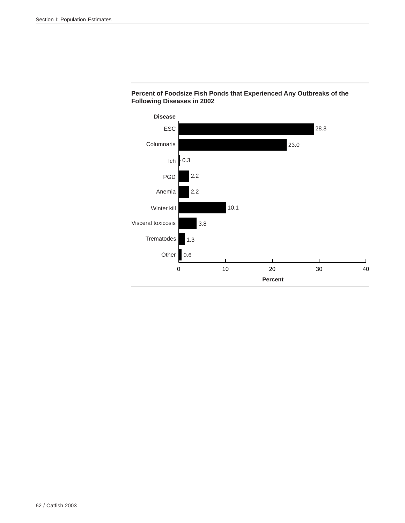

# **Percent of Foodsize Fish Ponds that Experienced Any Outbreaks of the Following Diseases in 2002**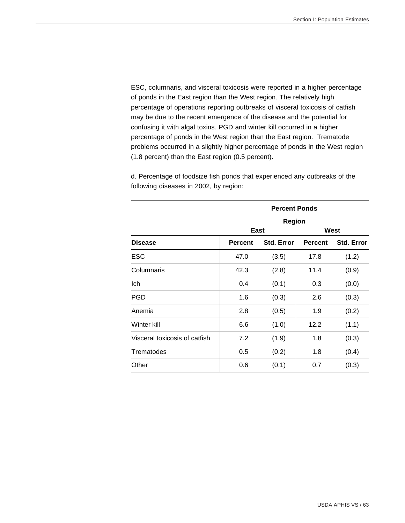ESC, columnaris, and visceral toxicosis were reported in a higher percentage of ponds in the East region than the West region. The relatively high percentage of operations reporting outbreaks of visceral toxicosis of catfish may be due to the recent emergence of the disease and the potential for confusing it with algal toxins. PGD and winter kill occurred in a higher percentage of ponds in the West region than the East region. Trematode problems occurred in a slightly higher percentage of ponds in the West region (1.8 percent) than the East region (0.5 percent).

|                               | <b>Percent Ponds</b> |                   |                |                   |  |  |  |  |
|-------------------------------|----------------------|-------------------|----------------|-------------------|--|--|--|--|
|                               |                      | <b>Region</b>     |                |                   |  |  |  |  |
|                               |                      | <b>East</b>       |                | West              |  |  |  |  |
| <b>Disease</b>                | <b>Percent</b>       | <b>Std. Error</b> | <b>Percent</b> | <b>Std. Error</b> |  |  |  |  |
| <b>ESC</b>                    | 47.0                 | (3.5)             | 17.8           | (1.2)             |  |  |  |  |
| Columnaris                    | 42.3                 | (2.8)             | 11.4           | (0.9)             |  |  |  |  |
| Ich                           | 0.4                  | (0.1)             | 0.3            | (0.0)             |  |  |  |  |
| <b>PGD</b>                    | 1.6                  | (0.3)             | 2.6            | (0.3)             |  |  |  |  |
| Anemia                        | 2.8                  | (0.5)             | 1.9            | (0.2)             |  |  |  |  |
| Winter kill                   | 6.6                  | (1.0)             | 12.2           | (1.1)             |  |  |  |  |
| Visceral toxicosis of catfish | 7.2                  | (1.9)             | 1.8            | (0.3)             |  |  |  |  |
| Trematodes                    | 0.5                  | (0.2)             | 1.8            | (0.4)             |  |  |  |  |
| Other                         | 0.6                  | (0.1)             | 0.7            | (0.3)             |  |  |  |  |

d. Percentage of foodsize fish ponds that experienced any outbreaks of the following diseases in 2002, by region: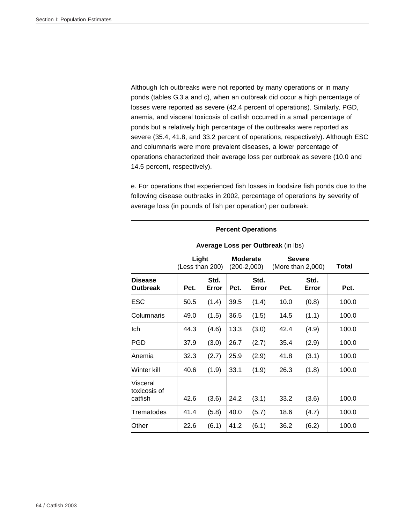Although Ich outbreaks were not reported by many operations or in many ponds (tables G.3.a and c), when an outbreak did occur a high percentage of losses were reported as severe (42.4 percent of operations). Similarly, PGD, anemia, and visceral toxicosis of catfish occurred in a small percentage of ponds but a relatively high percentage of the outbreaks were reported as severe (35.4, 41.8, and 33.2 percent of operations, respectively). Although ESC and columnaris were more prevalent diseases, a lower percentage of operations characterized their average loss per outbreak as severe (10.0 and 14.5 percent, respectively).

e. For operations that experienced fish losses in foodsize fish ponds due to the following disease outbreaks in 2002, percentage of operations by severity of average loss (in pounds of fish per operation) per outbreak:

|                                     |                          |               |      |                                  | Average Loss per Outbreak (in lbs) |                                    |       |
|-------------------------------------|--------------------------|---------------|------|----------------------------------|------------------------------------|------------------------------------|-------|
|                                     | Light<br>(Less than 200) |               |      | <b>Moderate</b><br>$(200-2,000)$ |                                    | <b>Severe</b><br>(More than 2,000) | Total |
| <b>Disease</b><br><b>Outbreak</b>   | Pct.                     | Std.<br>Error | Pct. | Std.<br>Error                    | Pct.                               | Std.<br>Error                      | Pct.  |
| <b>ESC</b>                          | 50.5                     | (1.4)         | 39.5 | (1.4)                            | 10.0                               | (0.8)                              | 100.0 |
| Columnaris                          | 49.0                     | (1.5)         | 36.5 | (1.5)                            | 14.5                               | (1.1)                              | 100.0 |
| Ich                                 | 44.3                     | (4.6)         | 13.3 | (3.0)                            | 42.4                               | (4.9)                              | 100.0 |
| <b>PGD</b>                          | 37.9                     | (3.0)         | 26.7 | (2.7)                            | 35.4                               | (2.9)                              | 100.0 |
| Anemia                              | 32.3                     | (2.7)         | 25.9 | (2.9)                            | 41.8                               | (3.1)                              | 100.0 |
| Winter kill                         | 40.6                     | (1.9)         | 33.1 | (1.9)                            | 26.3                               | (1.8)                              | 100.0 |
| Visceral<br>toxicosis of<br>catfish | 42.6                     | (3.6)         | 24.2 | (3.1)                            | 33.2                               | (3.6)                              | 100.0 |
| Trematodes                          | 41.4                     | (5.8)         | 40.0 | (5.7)                            | 18.6                               | (4.7)                              | 100.0 |
| Other                               | 22.6                     | (6.1)         | 41.2 | (6.1)                            | 36.2                               | (6.2)                              | 100.0 |

# **Percent Operations**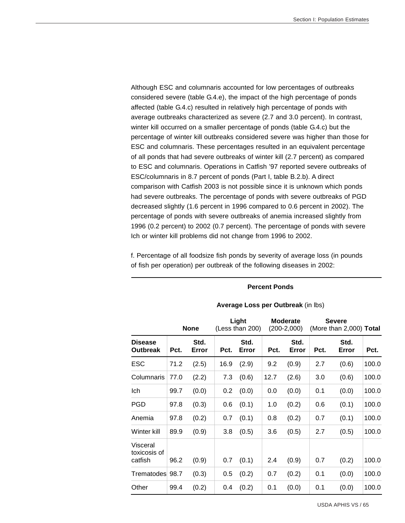Although ESC and columnaris accounted for low percentages of outbreaks considered severe (table G.4.e), the impact of the high percentage of ponds affected (table G.4.c) resulted in relatively high percentage of ponds with average outbreaks characterized as severe (2.7 and 3.0 percent). In contrast, winter kill occurred on a smaller percentage of ponds (table G.4.c) but the percentage of winter kill outbreaks considered severe was higher than those for ESC and columnaris. These percentages resulted in an equivalent percentage of all ponds that had severe outbreaks of winter kill (2.7 percent) as compared to ESC and columnaris. Operations in Catfish '97 reported severe outbreaks of ESC/columnaris in 8.7 percent of ponds (Part I, table B.2.b). A direct comparison with Catfish 2003 is not possible since it is unknown which ponds had severe outbreaks. The percentage of ponds with severe outbreaks of PGD decreased slightly (1.6 percent in 1996 compared to 0.6 percent in 2002). The percentage of ponds with severe outbreaks of anemia increased slightly from 1996 (0.2 percent) to 2002 (0.7 percent). The percentage of ponds with severe Ich or winter kill problems did not change from 1996 to 2002.

f. Percentage of all foodsize fish ponds by severity of average loss (in pounds of fish per operation) per outbreak of the following diseases in 2002:

#### **Percent Ponds**

|                                     |      | <b>None</b>   |      | Light<br>(Less than 200) |      | Moderate<br>$(200-2,000)$ |      | <b>Severe</b><br>(More than 2,000) Total |       |
|-------------------------------------|------|---------------|------|--------------------------|------|---------------------------|------|------------------------------------------|-------|
| <b>Disease</b><br><b>Outbreak</b>   | Pct. | Std.<br>Error | Pct. | Std.<br>Error            | Pct. | Std.<br>Error             | Pct. | Std.<br>Error                            | Pct.  |
| ESC                                 | 71.2 | (2.5)         | 16.9 | (2.9)                    | 9.2  | (0.9)                     | 2.7  | (0.6)                                    | 100.0 |
| Columnaris                          | 77.0 | (2.2)         | 7.3  | (0.6)                    | 12.7 | (2.6)                     | 3.0  | (0.6)                                    | 100.0 |
| Ich                                 | 99.7 | (0.0)         | 0.2  | (0.0)                    | 0.0  | (0.0)                     | 0.1  | (0.0)                                    | 100.0 |
| <b>PGD</b>                          | 97.8 | (0.3)         | 0.6  | (0.1)                    | 1.0  | (0.2)                     | 0.6  | (0.1)                                    | 100.0 |
| Anemia                              | 97.8 | (0.2)         | 0.7  | (0.1)                    | 0.8  | (0.2)                     | 0.7  | (0.1)                                    | 100.0 |
| Winter kill                         | 89.9 | (0.9)         | 3.8  | (0.5)                    | 3.6  | (0.5)                     | 2.7  | (0.5)                                    | 100.0 |
| Visceral<br>toxicosis of<br>catfish | 96.2 | (0.9)         | 0.7  | (0.1)                    | 2.4  | (0.9)                     | 0.7  | (0.2)                                    | 100.0 |
| Trematodes 98.7                     |      | (0.3)         | 0.5  | (0.2)                    | 0.7  | (0.2)                     | 0.1  | (0.0)                                    | 100.0 |
| Other                               | 99.4 | (0.2)         | 0.4  | (0.2)                    | 0.1  | (0.0)                     | 0.1  | (0.0)                                    | 100.0 |

#### **Average Loss per Outbreak** (in lbs)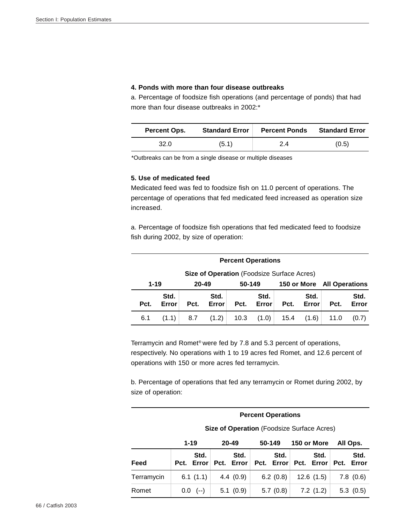#### **4. Ponds with more than four disease outbreaks**

a. Percentage of foodsize fish operations (and percentage of ponds) that had more than four disease outbreaks in 2002:\*

| Percent Ops. | <b>Standard Error</b> | <b>Percent Ponds</b> | <b>Standard Error</b> |
|--------------|-----------------------|----------------------|-----------------------|
| 32.0         | (5.1)                 | 2.4                  | (0.5)                 |

\*Outbreaks can be from a single disease or multiple diseases

# **5. Use of medicated feed**

Medicated feed was fed to foodsize fish on 11.0 percent of operations. The percentage of operations that fed medicated feed increased as operation size increased.

a. Percentage of foodsize fish operations that fed medicated feed to foodsize fish during 2002, by size of operation:

|                                            | <b>Percent Operations</b> |                                |               |      |               |                       |               |      |               |  |  |
|--------------------------------------------|---------------------------|--------------------------------|---------------|------|---------------|-----------------------|---------------|------|---------------|--|--|
| Size of Operation (Foodsize Surface Acres) |                           |                                |               |      |               |                       |               |      |               |  |  |
| $1 - 19$                                   |                           | 20-49<br>50-149<br>150 or More |               |      |               | <b>All Operations</b> |               |      |               |  |  |
| Pct.                                       | Std.<br>Error             | Pct.                           | Std.<br>Error | Pct. | Std.<br>Error | Pct.                  | Std.<br>Error | Pct. | Std.<br>Error |  |  |
| 6.1                                        | (1.1)                     | 8.7                            | (1.2)         | 10.3 | (1.0)         | 15.4                  | (1.6)         | 11.0 | (0.7)         |  |  |

Terramycin and Romet® were fed by 7.8 and 5.3 percent of operations, respectively. No operations with 1 to 19 acres fed Romet, and 12.6 percent of operations with 150 or more acres fed terramycin.

b. Percentage of operations that fed any terramycin or Romet during 2002, by size of operation:

#### **Percent Operations**

**Size of Operation** (Foodsize Surface Acres)

|            | $1 - 19$           | $20 - 49$          | 50-149      | 150 or More                   | All Ops.           |
|------------|--------------------|--------------------|-------------|-------------------------------|--------------------|
| Feed       | Std.<br>Pct. Error | Std.<br>Pct. Error | Std. I      | Std.<br>Pct. Error Pct. Error | Std.<br>Pct. Error |
| Terramycin | 6.1 $(1.1)$        | 4.4(0.9)           | 6.2 $(0.8)$ | 12.6 (1.5)                    | 7.8(0.6)           |
| Romet      | $0.0$ (--)         | 5.1(0.9)           | 5.7 $(0.8)$ | 7.2(1.2)                      | 5.3(0.5)           |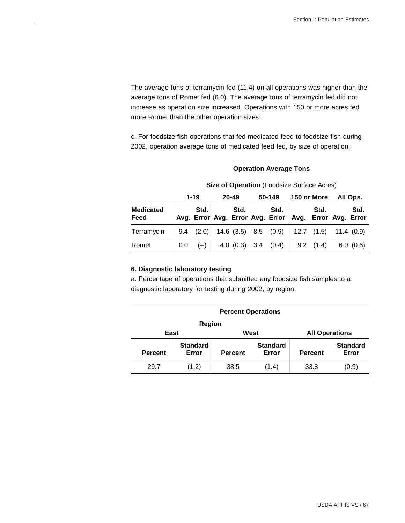The average tons of terramycin fed (11.4) on all operations was higher than the average tons of Romet fed (6.0). The average tons of terramycin fed did not increase as operation size increased. Operations with 150 or more acres fed more Romet than the other operation sizes.

c. For foodsize fish operations that fed medicated feed to foodsize fish during 2002, operation average tons of medicated feed fed, by size of operation:

**Operation Average Tons** 

#### **Size of Operation** (Foodsize Surface Acres)  **1-19 20-49 50-149 150 or More All Ops. Medicated Feed** Avg. Error Avg. Error Avg. Error Avg. **Std. Std. Std. Std. Error Avg. Error Std.**  Terramycin 9.4 (2.0) 14.6 (3.5) 8.5 (0.9) 12.7 (1.5) 11.4 (0.9) Romet  $\begin{array}{|c|c|c|c|c|c|c|c|c|} \hline 0.0 & (-) & 4.0 & (0.3) & 3.4 & (0.4) & 9.2 & (1.4) & 6.0 & (0.6) \hline \end{array}$

# **6. Diagnostic laboratory testing**

a. Percentage of operations that submitted any foodsize fish samples to a diagnostic laboratory for testing during 2002, by region:

| <b>Percent Operations</b> |                          |                |                          |                       |                          |  |  |  |
|---------------------------|--------------------------|----------------|--------------------------|-----------------------|--------------------------|--|--|--|
| <b>Region</b>             |                          |                |                          |                       |                          |  |  |  |
| East                      |                          | West           |                          | <b>All Operations</b> |                          |  |  |  |
| <b>Percent</b>            | <b>Standard</b><br>Error | <b>Percent</b> | <b>Standard</b><br>Error | <b>Percent</b>        | <b>Standard</b><br>Error |  |  |  |
| 29.7                      | (1.2)                    | 38.5           | (1.4)                    | 33.8                  | (0.9)                    |  |  |  |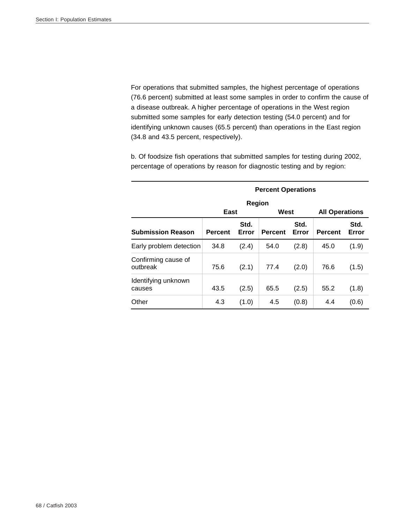For operations that submitted samples, the highest percentage of operations (76.6 percent) submitted at least some samples in order to confirm the cause of a disease outbreak. A higher percentage of operations in the West region submitted some samples for early detection testing (54.0 percent) and for identifying unknown causes (65.5 percent) than operations in the East region (34.8 and 43.5 percent, respectively).

b. Of foodsize fish operations that submitted samples for testing during 2002, percentage of operations by reason for diagnostic testing and by region:

|                                 | <b>Percent Operations</b> |               |                |               |                       |               |  |  |  |
|---------------------------------|---------------------------|---------------|----------------|---------------|-----------------------|---------------|--|--|--|
|                                 |                           | Region        |                |               |                       |               |  |  |  |
|                                 | East                      |               | West           |               | <b>All Operations</b> |               |  |  |  |
| <b>Submission Reason</b>        | <b>Percent</b>            | Std.<br>Error | <b>Percent</b> | Std.<br>Error | <b>Percent</b>        | Std.<br>Error |  |  |  |
| Early problem detection         | 34.8                      | (2.4)         | 54.0           | (2.8)         | 45.0                  | (1.9)         |  |  |  |
| Confirming cause of<br>outbreak | 75.6                      | (2.1)         | 77.4           | (2.0)         | 76.6                  | (1.5)         |  |  |  |
| Identifying unknown<br>causes   | 43.5                      | (2.5)         | 65.5           | (2.5)         | 55.2                  | (1.8)         |  |  |  |
| Other                           | 4.3                       | (1.0)         | 4.5            | (0.8)         | 4.4                   | (0.6)         |  |  |  |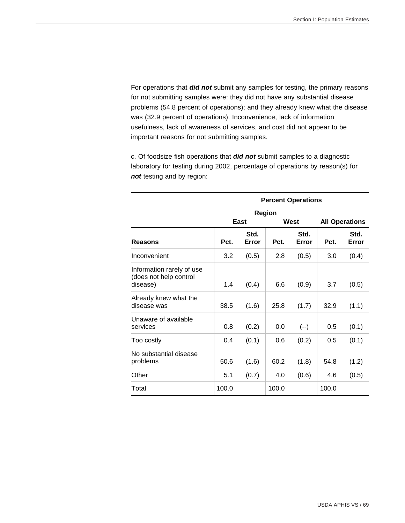For operations that *did not* submit any samples for testing, the primary reasons for not submitting samples were: they did not have any substantial disease problems (54.8 percent of operations); and they already knew what the disease was (32.9 percent of operations). Inconvenience, lack of information usefulness, lack of awareness of services, and cost did not appear to be important reasons for not submitting samples.

c. Of foodsize fish operations that *did not* submit samples to a diagnostic laboratory for testing during 2002, percentage of operations by reason(s) for *not* testing and by region:

|                                                                 | <b>Percent Operations</b> |               |               |               |       |                       |  |  |
|-----------------------------------------------------------------|---------------------------|---------------|---------------|---------------|-------|-----------------------|--|--|
|                                                                 |                           |               | <b>Region</b> |               |       |                       |  |  |
|                                                                 |                           | East          |               | West          |       | <b>All Operations</b> |  |  |
| Reasons                                                         | Pct.                      | Std.<br>Error | Pct.          | Std.<br>Error | Pct.  | Std.<br>Error         |  |  |
| Inconvenient                                                    | 3.2                       | (0.5)         | 2.8           | (0.5)         | 3.0   | (0.4)                 |  |  |
| Information rarely of use<br>(does not help control<br>disease) | 1.4                       | (0.4)         | 6.6           | (0.9)         | 3.7   | (0.5)                 |  |  |
| Already knew what the<br>disease was                            | 38.5                      | (1.6)         | 25.8          | (1.7)         | 32.9  | (1.1)                 |  |  |
| Unaware of available<br>services                                | 0.8                       | (0.2)         | 0.0           | $(-)$         | 0.5   | (0.1)                 |  |  |
| Too costly                                                      | 0.4                       | (0.1)         | 0.6           | (0.2)         | 0.5   | (0.1)                 |  |  |
| No substantial disease<br>problems                              | 50.6                      | (1.6)         | 60.2          | (1.8)         | 54.8  | (1.2)                 |  |  |
| Other                                                           | 5.1                       | (0.7)         | 4.0           | (0.6)         | 4.6   | (0.5)                 |  |  |
| Total                                                           | 100.0                     |               | 100.0         |               | 100.0 |                       |  |  |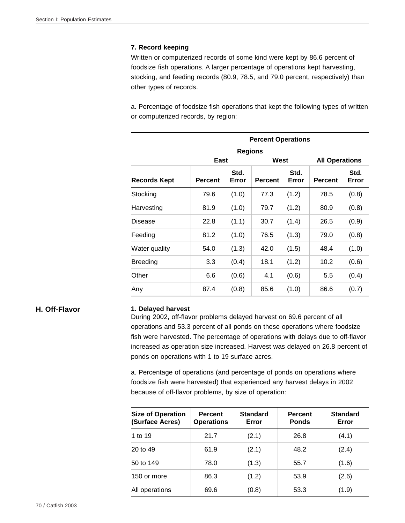### **7. Record keeping**

Written or computerized records of some kind were kept by 86.6 percent of foodsize fish operations. A larger percentage of operations kept harvesting, stocking, and feeding records (80.9, 78.5, and 79.0 percent, respectively) than other types of records.

a. Percentage of foodsize fish operations that kept the following types of written or computerized records, by region:

|                 |                |                | <b>Percent Operations</b> |               |                       |               |  |  |
|-----------------|----------------|----------------|---------------------------|---------------|-----------------------|---------------|--|--|
|                 |                | <b>Regions</b> |                           |               |                       |               |  |  |
|                 | East           |                | West                      |               | <b>All Operations</b> |               |  |  |
| Records Kept    | <b>Percent</b> | Std.<br>Error  | <b>Percent</b>            | Std.<br>Error |                       | Std.<br>Error |  |  |
| Stocking        | 79.6           | (1.0)          | 77.3                      | (1.2)         | 78.5                  | (0.8)         |  |  |
| Harvesting      | 81.9           | (1.0)          | 79.7                      | (1.2)         | 80.9                  | (0.8)         |  |  |
| <b>Disease</b>  | 22.8           | (1.1)          | 30.7                      | (1.4)         | 26.5                  | (0.9)         |  |  |
| Feeding         | 81.2           | (1.0)          | 76.5                      | (1.3)         | 79.0                  | (0.8)         |  |  |
| Water quality   | 54.0           | (1.3)          | 42.0                      | (1.5)         | 48.4                  | (1.0)         |  |  |
| <b>Breeding</b> | 3.3            | (0.4)          | 18.1                      | (1.2)         | 10.2                  | (0.6)         |  |  |
| Other           | 6.6            | (0.6)          | 4.1                       | (0.6)         | 5.5                   | (0.4)         |  |  |
| Any             | 87.4           | (0.8)          | 85.6                      | (1.0)         | 86.6                  | (0.7)         |  |  |

### **H. Off-Flavor 1. Delayed harvest**

During 2002, off-flavor problems delayed harvest on 69.6 percent of all operations and 53.3 percent of all ponds on these operations where foodsize fish were harvested. The percentage of operations with delays due to off-flavor increased as operation size increased. Harvest was delayed on 26.8 percent of ponds on operations with 1 to 19 surface acres.

a. Percentage of operations (and percentage of ponds on operations where foodsize fish were harvested) that experienced any harvest delays in 2002 because of off-flavor problems, by size of operation:

| <b>Size of Operation</b><br>(Surface Acres) | <b>Percent</b><br><b>Operations</b> | <b>Standard</b><br>Error | <b>Percent</b><br><b>Ponds</b> | <b>Standard</b><br>Error |
|---------------------------------------------|-------------------------------------|--------------------------|--------------------------------|--------------------------|
| 1 to 19                                     | 21.7                                | (2.1)                    | 26.8                           | (4.1)                    |
| 20 to 49                                    | 61.9                                | (2.1)                    | 48.2                           | (2.4)                    |
| 50 to 149                                   | 78.0                                | (1.3)                    | 55.7                           | (1.6)                    |
| 150 or more                                 | 86.3                                | (1.2)                    | 53.9                           | (2.6)                    |
| All operations                              | 69.6                                | (0.8)                    | 53.3                           | (1.9)                    |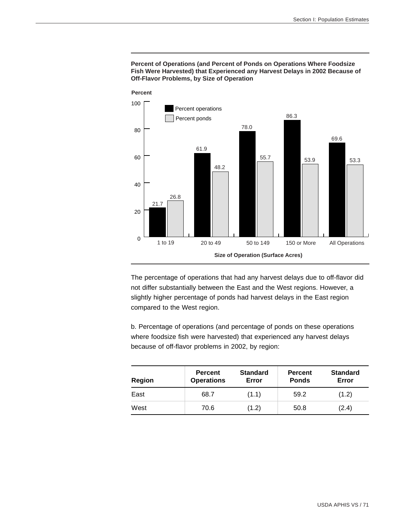#### **Percent of Operations (and Percent of Ponds on Operations Where Foodsize Fish Were Harvested) that Experienced any Harvest Delays in 2002 Because of Off-Flavor Problems, by Size of Operation**



The percentage of operations that had any harvest delays due to off-flavor did not differ substantially between the East and the West regions. However, a slightly higher percentage of ponds had harvest delays in the East region compared to the West region.

b. Percentage of operations (and percentage of ponds on these operations where foodsize fish were harvested) that experienced any harvest delays because of off-flavor problems in 2002, by region:

| Region | <b>Percent</b><br><b>Operations</b> | <b>Standard</b><br>Error | <b>Percent</b><br><b>Ponds</b> | <b>Standard</b><br>Error |
|--------|-------------------------------------|--------------------------|--------------------------------|--------------------------|
| East   | 68.7                                | (1.1)                    | 59.2                           | (1.2)                    |
| West   | 70.6                                | (1.2)                    | 50.8                           | (2.4)                    |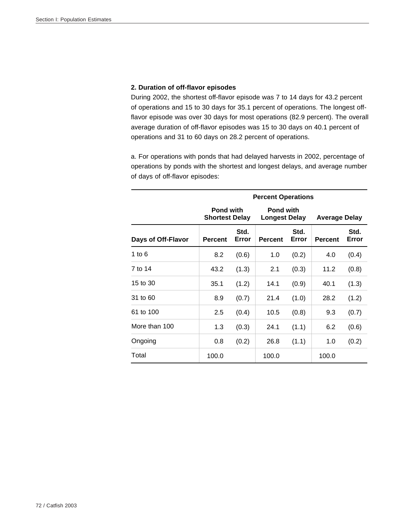## **2. Duration of off-flavor episodes**

During 2002, the shortest off-flavor episode was 7 to 14 days for 43.2 percent of operations and 15 to 30 days for 35.1 percent of operations. The longest offflavor episode was over 30 days for most operations (82.9 percent). The overall average duration of off-flavor episodes was 15 to 30 days on 40.1 percent of operations and 31 to 60 days on 28.2 percent of operations.

a. For operations with ponds that had delayed harvests in 2002, percentage of operations by ponds with the shortest and longest delays, and average number of days of off-flavor episodes:

|                    |                                           |       | <b>Percent Operations</b>                |               |                      |               |
|--------------------|-------------------------------------------|-------|------------------------------------------|---------------|----------------------|---------------|
|                    | <b>Pond with</b><br><b>Shortest Delay</b> |       | <b>Pond with</b><br><b>Longest Delay</b> |               | <b>Average Delay</b> |               |
| Days of Off-Flavor | Std.<br><b>Percent</b><br>Error           |       | <b>Percent</b>                           | Std.<br>Error | <b>Percent</b>       | Std.<br>Error |
| 1 to $6$           | 8.2                                       | (0.6) | 1.0                                      | (0.2)         | 4.0                  | (0.4)         |
| 7 to 14            | 43.2                                      | (1.3) | 2.1                                      | (0.3)         | 11.2                 | (0.8)         |
| 15 to 30           | 35.1                                      | (1.2) | 14.1                                     | (0.9)         | 40.1                 | (1.3)         |
| 31 to 60           | 8.9                                       | (0.7) | 21.4                                     | (1.0)         | 28.2                 | (1.2)         |
| 61 to 100          | 2.5                                       | (0.4) | 10.5                                     | (0.8)         | 9.3                  | (0.7)         |
| More than 100      | 1.3                                       | (0.3) | 24.1                                     | (1.1)         | 6.2                  | (0.6)         |
| Ongoing            | 0.8                                       | (0.2) | 26.8                                     | (1.1)         | 1.0                  | (0.2)         |
| Total              | 100.0                                     |       | 100.0                                    |               | 100.0                |               |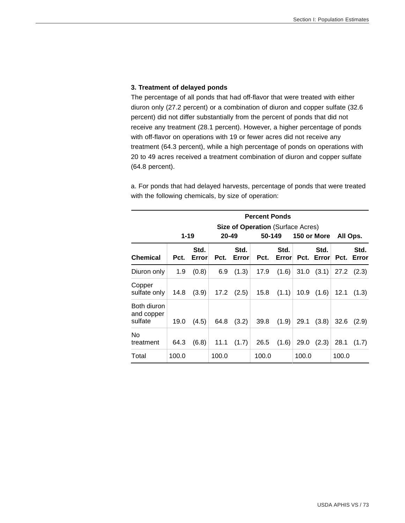#### **3. Treatment of delayed ponds**

The percentage of all ponds that had off-flavor that were treated with either diuron only (27.2 percent) or a combination of diuron and copper sulfate (32.6 percent) did not differ substantially from the percent of ponds that did not receive any treatment (28.1 percent). However, a higher percentage of ponds with off-flavor on operations with 19 or fewer acres did not receive any treatment (64.3 percent), while a high percentage of ponds on operations with 20 to 49 acres received a treatment combination of diuron and copper sulfate (64.8 percent).

a. For ponds that had delayed harvests, percentage of ponds that were treated with the following chemicals, by size of operation:

|                                      |          | <b>Percent Ponds</b> |       |                                                                            |       |               |       |                    |          |               |
|--------------------------------------|----------|----------------------|-------|----------------------------------------------------------------------------|-------|---------------|-------|--------------------|----------|---------------|
|                                      | $1 - 19$ |                      |       | <b>Size of Operation</b> (Surface Acres)<br>20-49<br>50-149<br>150 or More |       |               |       |                    | All Ops. |               |
| <b>Chemical</b>                      | Pct.     | Std.<br>Error        | Pct.  | Std.<br>Error                                                              | Pct.  | Std.<br>Error |       | Std.<br>Pct. Error | Pct.     | Std.<br>Error |
| Diuron only                          | 1.9      | (0.8)                | 6.9   | (1.3)                                                                      | 17.9  | (1.6)         | 31.0  | (3.1)              | 27.2     | (2.3)         |
| Copper<br>sulfate only               | 14.8     | (3.9)                |       | $17.2$ $(2.5)$                                                             | 15.8  | (1.1)         | 10.9  | (1.6)              | 12.1     | (1.3)         |
| Both diuron<br>and copper<br>sulfate | 19.0     | (4.5)                | 64.8  | (3.2)                                                                      | 39.8  | (1.9)         | 29.1  | (3.8)              | 32.6     | (2.9)         |
| No<br>treatment                      | 64.3     | (6.8)                | 11.1  | (1.7)                                                                      | 26.5  | (1.6)         | 29.0  | (2.3)              | 28.1     | (1.7)         |
| Total                                | 100.0    |                      | 100.0 |                                                                            | 100.0 |               | 100.0 |                    | 100.0    |               |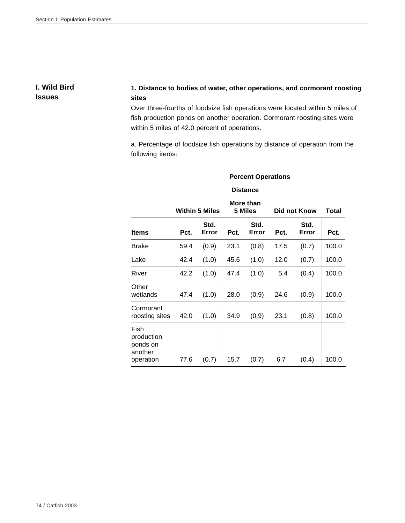**I. Wild Bird Issues**

# **1. Distance to bodies of water, other operations, and cormorant roosting sites**

Over three-fourths of foodsize fish operations were located within 5 miles of fish production ponds on another operation. Cormorant roosting sites were within 5 miles of 42.0 percent of operations.

a. Percentage of foodsize fish operations by distance of operation from the following items:

|                                                        | <b>Percent Operations</b> |                       |      |                      |      |               |       |  |  |
|--------------------------------------------------------|---------------------------|-----------------------|------|----------------------|------|---------------|-------|--|--|
|                                                        |                           |                       |      | <b>Distance</b>      |      |               |       |  |  |
|                                                        |                           | <b>Within 5 Miles</b> |      | More than<br>5 Miles |      | Did not Know  | Total |  |  |
| <b>Items</b>                                           | Pct.                      | Std.<br>Error         | Pct. | Std.<br>Error        | Pct. | Std.<br>Error | Pct.  |  |  |
| <b>Brake</b>                                           | 59.4                      | (0.9)                 | 23.1 | (0.8)                | 17.5 | (0.7)         | 100.0 |  |  |
| Lake                                                   | 42.4                      | (1.0)                 | 45.6 | (1.0)                | 12.0 | (0.7)         | 100.0 |  |  |
| River                                                  | 42.2                      | (1.0)                 | 47.4 | (1.0)                | 5.4  | (0.4)         | 100.0 |  |  |
| Other<br>wetlands                                      | 47.4                      | (1.0)                 | 28.0 | (0.9)                | 24.6 | (0.9)         | 100.0 |  |  |
| Cormorant<br>roosting sites                            | 42.0                      | (1.0)                 | 34.9 | (0.9)                | 23.1 | (0.8)         | 100.0 |  |  |
| Fish<br>production<br>ponds on<br>another<br>operation | 77.6                      | (0.7)                 | 15.7 | (0.7)                | 6.7  | (0.4)         | 100.0 |  |  |

#### 74 / Catfish 2003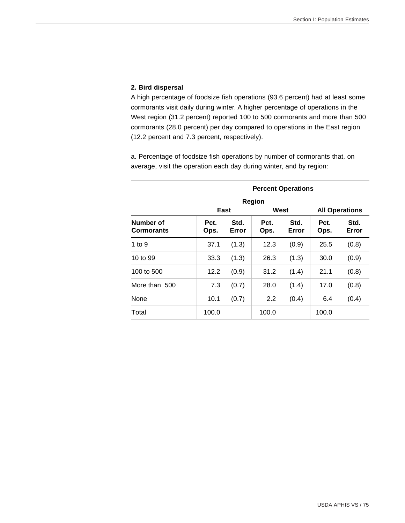## **2. Bird dispersal**

A high percentage of foodsize fish operations (93.6 percent) had at least some cormorants visit daily during winter. A higher percentage of operations in the West region (31.2 percent) reported 100 to 500 cormorants and more than 500 cormorants (28.0 percent) per day compared to operations in the East region (12.2 percent and 7.3 percent, respectively).

a. Percentage of foodsize fish operations by number of cormorants that, on average, visit the operation each day during winter, and by region:

|                                |              | <b>Percent Operations</b> |              |               |              |                       |  |  |  |
|--------------------------------|--------------|---------------------------|--------------|---------------|--------------|-----------------------|--|--|--|
|                                |              |                           | Region       |               |              |                       |  |  |  |
|                                | East         |                           | West         |               |              | <b>All Operations</b> |  |  |  |
| Number of<br><b>Cormorants</b> | Pct.<br>Ops. | Std.<br>Error             | Pct.<br>Ops. | Std.<br>Error | Pct.<br>Ops. | Std.<br>Error         |  |  |  |
| 1 to $9$                       | 37.1         | (1.3)                     | 12.3         | (0.9)         | 25.5         | (0.8)                 |  |  |  |
| 10 to 99                       | 33.3         | (1.3)                     | 26.3         | (1.3)         | 30.0         | (0.9)                 |  |  |  |
| 100 to 500                     | 12.2         | (0.9)                     | 31.2         | (1.4)         | 21.1         | (0.8)                 |  |  |  |
| More than 500                  | 7.3          | (0.7)                     | 28.0         | (1.4)         | 17.0         | (0.8)                 |  |  |  |
| None                           | 10.1         | (0.7)                     | 2.2          | (0.4)         | 6.4          | (0.4)                 |  |  |  |
| Total                          | 100.0        |                           | 100.0        |               | 100.0        |                       |  |  |  |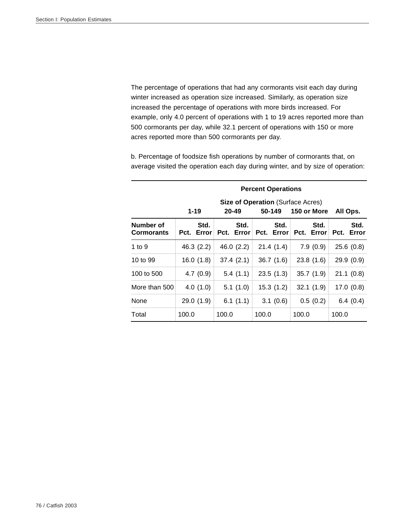The percentage of operations that had any cormorants visit each day during winter increased as operation size increased. Similarly, as operation size increased the percentage of operations with more birds increased. For example, only 4.0 percent of operations with 1 to 19 acres reported more than 500 cormorants per day, while 32.1 percent of operations with 150 or more acres reported more than 500 cormorants per day.

b. Percentage of foodsize fish operations by number of cormorants that, on average visited the operation each day during winter, and by size of operation:

|                                |                    | <b>Percent Operations</b> |                                                    |                    |                    |  |  |  |  |
|--------------------------------|--------------------|---------------------------|----------------------------------------------------|--------------------|--------------------|--|--|--|--|
|                                | $1 - 19$           | $20 - 49$                 | <b>Size of Operation (Surface Acres)</b><br>50-149 | 150 or More        | All Ops.           |  |  |  |  |
| Number of<br><b>Cormorants</b> | Std.<br>Pct. Error | Std.<br>Pct. Error        | Std.<br>Pct. Error                                 | Std.<br>Pct. Error | Std.<br>Pct. Error |  |  |  |  |
| 1 to $9$                       | 46.3 (2.2)         | 46.0 $(2.2)$              | 21.4(1.4)                                          | 7.9(0.9)           | 25.6(0.8)          |  |  |  |  |
| 10 to 99                       | 16.0(1.8)          | 37.4(2.1)                 | 36.7(1.6)                                          | 23.8(1.6)          | 29.9(0.9)          |  |  |  |  |
| 100 to 500                     | 4.7(0.9)           | 5.4(1.1)                  | 23.5(1.3)                                          | 35.7(1.9)          | 21.1(0.8)          |  |  |  |  |
| More than 500                  | 4.0(1.0)           | 5.1(1.0)                  | 15.3(1.2)                                          | 32.1(1.9)          | 17.0(0.8)          |  |  |  |  |
| None                           | 29.0(1.9)          | 6.1 $(1.1)$               | 3.1(0.6)                                           | 0.5(0.2)           | 6.4(0.4)           |  |  |  |  |
| Total                          | 100.0              | 100.0                     | 100.0                                              | 100.0              | 100.0              |  |  |  |  |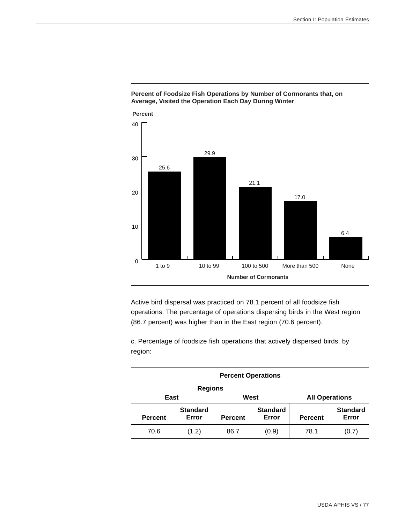

### **Percent of Foodsize Fish Operations by Number of Cormorants that, on Average, Visited the Operation Each Day During Winter**

Active bird dispersal was practiced on 78.1 percent of all foodsize fish operations. The percentage of operations dispersing birds in the West region (86.7 percent) was higher than in the East region (70.6 percent).

c. Percentage of foodsize fish operations that actively dispersed birds, by region:

| <b>Percent Operations</b> |                          |                |                          |                       |                          |  |  |  |
|---------------------------|--------------------------|----------------|--------------------------|-----------------------|--------------------------|--|--|--|
| <b>Regions</b>            |                          |                |                          |                       |                          |  |  |  |
| East                      |                          | West           |                          | <b>All Operations</b> |                          |  |  |  |
| <b>Percent</b>            | <b>Standard</b><br>Error | <b>Percent</b> | <b>Standard</b><br>Error | <b>Percent</b>        | <b>Standard</b><br>Error |  |  |  |
| 70.6                      | (1.2)                    | 86.7           | (0.9)                    | 78.1                  | (0.7)                    |  |  |  |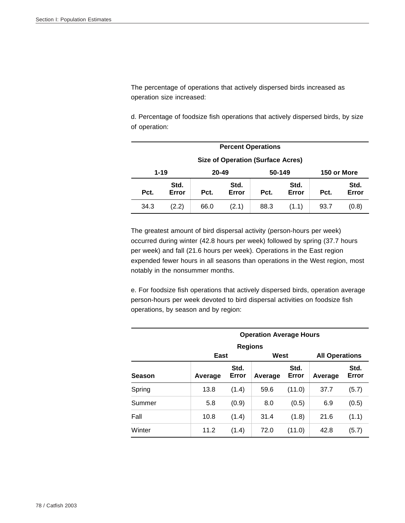The percentage of operations that actively dispersed birds increased as operation size increased:

d. Percentage of foodsize fish operations that actively dispersed birds, by size of operation:

| <b>Percent Operations</b> |                                            |      |               |      |               |      |               |  |
|---------------------------|--------------------------------------------|------|---------------|------|---------------|------|---------------|--|
|                           | <b>Size of Operation (Surface Acres)</b>   |      |               |      |               |      |               |  |
|                           | $1 - 19$<br>20-49<br>50-149<br>150 or More |      |               |      |               |      |               |  |
| Pct.                      | Std.<br>Error                              | Pct. | Std.<br>Error | Pct. | Std.<br>Error | Pct. | Std.<br>Error |  |
| 34.3                      | (2.2)                                      | 66.0 | (2.1)         | 88.3 | (1.1)         | 93.7 | (0.8)         |  |

The greatest amount of bird dispersal activity (person-hours per week) occurred during winter (42.8 hours per week) followed by spring (37.7 hours per week) and fall (21.6 hours per week). Operations in the East region expended fewer hours in all seasons than operations in the West region, most notably in the nonsummer months.

e. For foodsize fish operations that actively dispersed birds, operation average person-hours per week devoted to bird dispersal activities on foodsize fish operations, by season and by region:

|               | <b>Operation Average Hours</b> |                                           |      |        |                       |               |  |  |
|---------------|--------------------------------|-------------------------------------------|------|--------|-----------------------|---------------|--|--|
|               | <b>Regions</b>                 |                                           |      |        |                       |               |  |  |
|               | East                           |                                           | West |        | <b>All Operations</b> |               |  |  |
| <b>Season</b> | Average                        | Std.<br>Std.<br>Error<br>Error<br>Average |      |        | Average               | Std.<br>Error |  |  |
| Spring        | 13.8                           | (1.4)                                     | 59.6 | (11.0) | 37.7                  | (5.7)         |  |  |
| Summer        | 5.8                            | (0.9)                                     | 8.0  | (0.5)  | 6.9                   | (0.5)         |  |  |
| Fall          | 10.8                           | (1.4)                                     | 31.4 | (1.8)  | 21.6                  | (1.1)         |  |  |
| Winter        | 11.2                           | (1.4)                                     | 72.0 | (11.0) | 42.8                  | (5.7)         |  |  |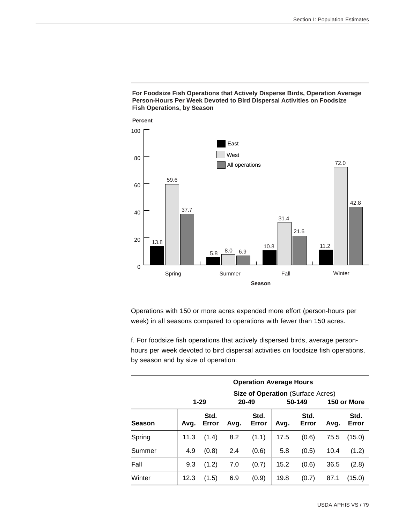#### **For Foodsize Fish Operations that Actively Disperse Birds, Operation Average Person-Hours Per Week Devoted to Bird Dispersal Activities on Foodsize Fish Operations, by Season**



Operations with 150 or more acres expended more effort (person-hours per week) in all seasons compared to operations with fewer than 150 acres.

f. For foodsize fish operations that actively dispersed birds, average personhours per week devoted to bird dispersal activities on foodsize fish operations, by season and by size of operation:

|               |                                          | <b>Operation Average Hours</b> |      |               |        |               |             |               |  |  |
|---------------|------------------------------------------|--------------------------------|------|---------------|--------|---------------|-------------|---------------|--|--|
|               | <b>Size of Operation (Surface Acres)</b> |                                |      |               |        |               |             |               |  |  |
|               |                                          | $1 - 29$                       |      | $20 - 49$     | 50-149 |               | 150 or More |               |  |  |
| <b>Season</b> | Avq.                                     | Std.<br>Error                  | Avg. | Std.<br>Error | Avg.   | Std.<br>Error | Avg.        | Std.<br>Error |  |  |
| Spring        | 11.3                                     | (1.4)                          | 8.2  | (1.1)         | 17.5   | (0.6)         | 75.5        | (15.0)        |  |  |
| Summer        | 4.9                                      | (0.8)                          | 2.4  | (0.6)         | 5.8    | (0.5)         | 10.4        | (1.2)         |  |  |
| Fall          | 9.3                                      | (1.2)                          | 7.0  | (0.7)         | 15.2   | (0.6)         | 36.5        | (2.8)         |  |  |
| Winter        | 12.3                                     | (1.5)                          | 6.9  | (0.9)         | 19.8   | (0.7)         | 87.1        | (15.0)        |  |  |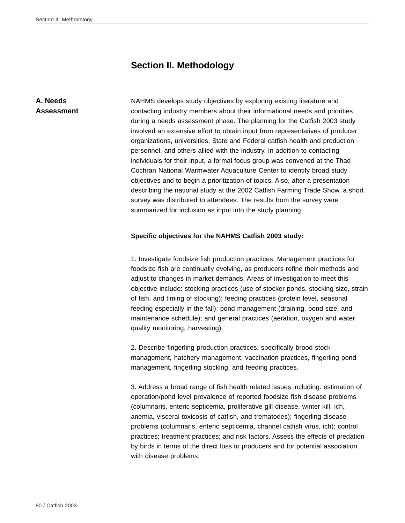# **Section II. Methodology**

# **A. Needs Assessment**

NAHMS develops study objectives by exploring existing literature and contacting industry members about their informational needs and priorities during a needs assessment phase. The planning for the Catfish 2003 study involved an extensive effort to obtain input from representatives of producer organizations, universities, State and Federal catfish health and production personnel, and others allied with the industry. In addition to contacting individuals for their input, a formal focus group was convened at the Thad Cochran National Warmwater Aquaculture Center to identify broad study objectives and to begin a prioritization of topics. Also, after a presentation describing the national study at the 2002 Catfish Farming Trade Show, a short survey was distributed to attendees. The results from the survey were summarized for inclusion as input into the study planning.

### **Specific objectives for the NAHMS Catfish 2003 study:**

1. Investigate foodsize fish production practices. Management practices for foodsize fish are continually evolving, as producers refine their methods and adjust to changes in market demands. Areas of investigation to meet this objective include: stocking practices (use of stocker ponds, stocking size, strain of fish, and timing of stocking); feeding practices (protein level, seasonal feeding especially in the fall); pond management (draining, pond size, and maintenance schedule); and general practices (aeration, oxygen and water quality monitoring, harvesting).

2. Describe fingerling production practices, specifically brood stock management, hatchery management, vaccination practices, fingerling pond management, fingerling stocking, and feeding practices.

3. Address a broad range of fish health related issues including: estimation of operation/pond level prevalence of reported foodsize fish disease problems (columnaris, enteric septicemia, proliferative gill disease, winter kill, ich, anemia, visceral toxicosis of catfish, and trematodes); fingerling disease problems (columnaris, enteric septicemia, channel catfish virus, ich); control practices; treatment practices; and risk factors. Assess the effects of predation by birds in terms of the direct loss to producers and for potential association with disease problems.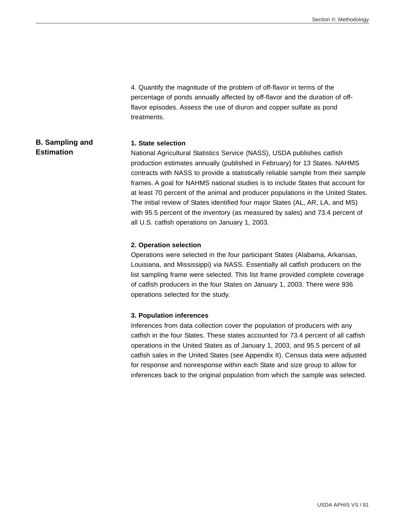4. Quantify the magnitude of the problem of off-flavor in terms of the percentage of ponds annually affected by off-flavor and the duration of offflavor episodes. Assess the use of diuron and copper sulfate as pond treatments.

#### **B. Sampling and Estimation 1. State selection** National Agricultural Statistics Service (NASS), USDA publishes catfish

production estimates annually (published in February) for 13 States. NAHMS contracts with NASS to provide a statistically reliable sample from their sample frames. A goal for NAHMS national studies is to include States that account for at least 70 percent of the animal and producer populations in the United States. The initial review of States identified four major States (AL, AR, LA, and MS) with 95.5 percent of the inventory (as measured by sales) and 73.4 percent of all U.S. catfish operations on January 1, 2003.

#### **2. Operation selection**

Operations were selected in the four participant States (Alabama, Arkansas, Louisiana, and Mississippi) via NASS. Essentially all catfish producers on the list sampling frame were selected. This list frame provided complete coverage of catfish producers in the four States on January 1, 2003. There were 936 operations selected for the study.

#### **3. Population inferences**

Inferences from data collection cover the population of producers with any catfish in the four States. These states accounted for 73.4 percent of all catfish operations in the United States as of January 1, 2003, and 95.5 percent of all catfish sales in the United States (see Appendix II). Census data were adjusted for response and nonresponse within each State and size group to allow for inferences back to the original population from which the sample was selected.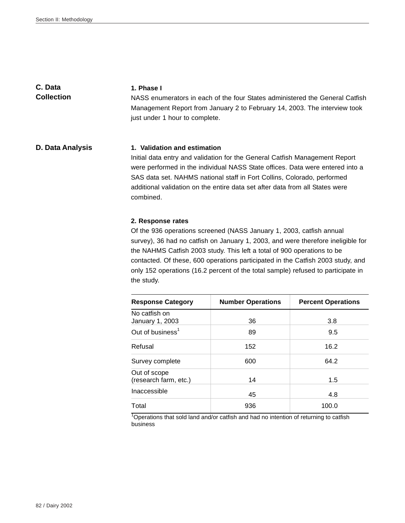**C. Data Collection**

#### **1. Phase I**

NASS enumerators in each of the four States administered the General Catfish Management Report from January 2 to February 14, 2003. The interview took just under 1 hour to complete.

### **D. Data Analysis 1. Validation and estimation**

Initial data entry and validation for the General Catfish Management Report were performed in the individual NASS State offices. Data were entered into a SAS data set. NAHMS national staff in Fort Collins, Colorado, performed additional validation on the entire data set after data from all States were combined.

#### **2. Response rates**

Of the 936 operations screened (NASS January 1, 2003, catfish annual survey), 36 had no catfish on January 1, 2003, and were therefore ineligible for the NAHMS Catfish 2003 study. This left a total of 900 operations to be contacted. Of these, 600 operations participated in the Catfish 2003 study, and only 152 operations (16.2 percent of the total sample) refused to participate in the study.

| <b>Response Category</b>              | <b>Number Operations</b> | <b>Percent Operations</b> |  |
|---------------------------------------|--------------------------|---------------------------|--|
| No catfish on<br>January 1, 2003      | 36                       | 3.8                       |  |
| Out of business <sup>1</sup>          | 89                       | 9.5                       |  |
| Refusal                               | 152                      | 16.2                      |  |
| Survey complete                       | 600                      | 64.2                      |  |
| Out of scope<br>(research farm, etc.) | 14                       | 1.5                       |  |
| Inaccessible                          | 45                       | 4.8                       |  |
| Total                                 | 936                      | 100.0                     |  |

<sup>1</sup>Operations that sold land and/or catfish and had no intention of returning to catfish business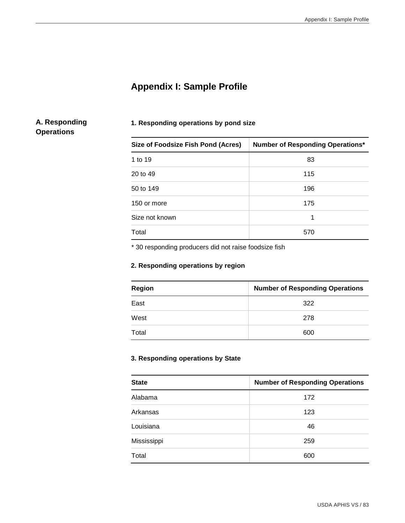# **Appendix I: Sample Profile**

# **A. Responding Operations**

# **1. Responding operations by pond size**

| Size of Foodsize Fish Pond (Acres) | <b>Number of Responding Operations*</b> |
|------------------------------------|-----------------------------------------|
| 1 to 19                            | 83                                      |
| 20 to 49                           | 115                                     |
| 50 to 149                          | 196                                     |
| 150 or more                        | 175                                     |
| Size not known                     | 1                                       |
| Total                              | 570                                     |

\* 30 responding producers did not raise foodsize fish

# **2. Responding operations by region**

| <b>Region</b> | <b>Number of Responding Operations</b> |
|---------------|----------------------------------------|
| East          | 322                                    |
| West          | 278                                    |
| Total         | 600                                    |

# **3. Responding operations by State**

| <b>State</b> | <b>Number of Responding Operations</b> |
|--------------|----------------------------------------|
| Alabama      | 172                                    |
| Arkansas     | 123                                    |
| Louisiana    | 46                                     |
| Mississippi  | 259                                    |
| Total        | 600                                    |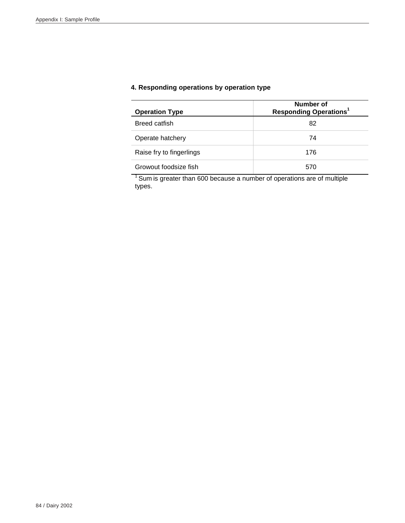# **4. Responding operations by operation type**

| <b>Operation Type</b>    | Number of<br><b>Responding Operations<sup>1</sup></b> |
|--------------------------|-------------------------------------------------------|
| Breed catfish            | 82                                                    |
| Operate hatchery         | 74                                                    |
| Raise fry to fingerlings | 176                                                   |
| Growout foodsize fish    | 570                                                   |

 $1$  Sum is greater than 600 because a number of operations are of multiple types.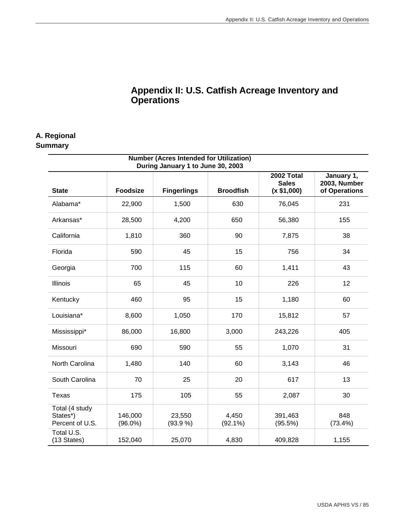# **Appendix II: U.S. Catfish Acreage Inventory and Operations**

# **A. Regional**

# **Summary**

| <b>Number (Acres Intended for Utilization)</b><br>During January 1 to June 30, 2003 |                       |                    |                     |                                           |                                             |  |  |
|-------------------------------------------------------------------------------------|-----------------------|--------------------|---------------------|-------------------------------------------|---------------------------------------------|--|--|
| <b>State</b>                                                                        | <b>Foodsize</b>       | <b>Fingerlings</b> | <b>Broodfish</b>    | 2002 Total<br><b>Sales</b><br>(x \$1,000) | January 1,<br>2003, Number<br>of Operations |  |  |
| Alabama*                                                                            | 22,900                | 1,500              | 630                 | 76,045                                    | 231                                         |  |  |
| Arkansas*                                                                           | 28,500                | 4,200              | 650                 | 56,380                                    | 155                                         |  |  |
| California                                                                          | 1,810                 | 360                | 90                  | 7,875                                     | 38                                          |  |  |
| Florida                                                                             | 590                   | 45                 | 15                  | 756                                       | 34                                          |  |  |
| Georgia                                                                             | 700                   | 115                | 60                  | 1,411                                     | 43                                          |  |  |
| Illinois                                                                            | 65                    | 45                 | 10                  | 226                                       | 12                                          |  |  |
| Kentucky                                                                            | 460                   | 95                 | 15                  | 1,180                                     | 60                                          |  |  |
| Louisiana*                                                                          | 8,600                 | 1,050              | 170                 | 15,812                                    | 57                                          |  |  |
| Mississippi*                                                                        | 86,000                | 16,800             | 3,000               | 243,226                                   | 405                                         |  |  |
| Missouri                                                                            | 690                   | 590                | 55                  | 1,070                                     | 31                                          |  |  |
| North Carolina                                                                      | 1,480                 | 140                | 60                  | 3,143                                     | 46                                          |  |  |
| South Carolina                                                                      | 70                    | 25                 | 20                  | 617                                       | 13                                          |  |  |
| Texas                                                                               | 175                   | 105                | 55                  | 2,087                                     | 30                                          |  |  |
| Total (4 study<br>States*)<br>Percent of U.S.                                       | 146,000<br>$(96.0\%)$ | 23,550<br>(93.9%   | 4,450<br>$(92.1\%)$ | 391,463<br>$(95.5\%)$                     | 848<br>$(73.4\%)$                           |  |  |
| Total U.S.<br>(13 States)                                                           | 152,040               | 25,070             | 4,830               | 409,828                                   | 1,155                                       |  |  |